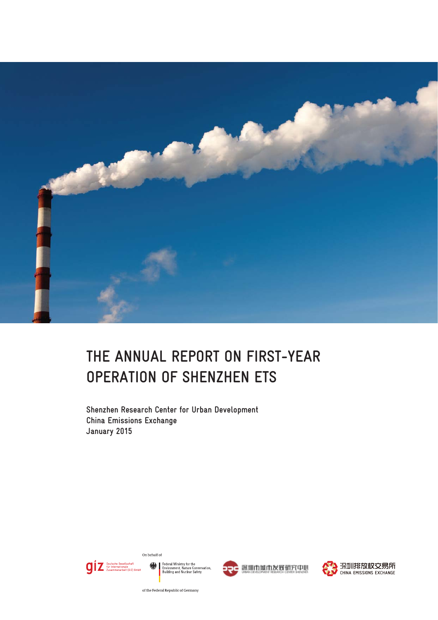

# **THE ANNUAL REPORT ON FIRST-YEAR OPERATION OF SHENZHEN ETS**

**Shenzhen Research Center for Urban Development China Emissions Exchange January 2015**











of the Federal Republic of Germany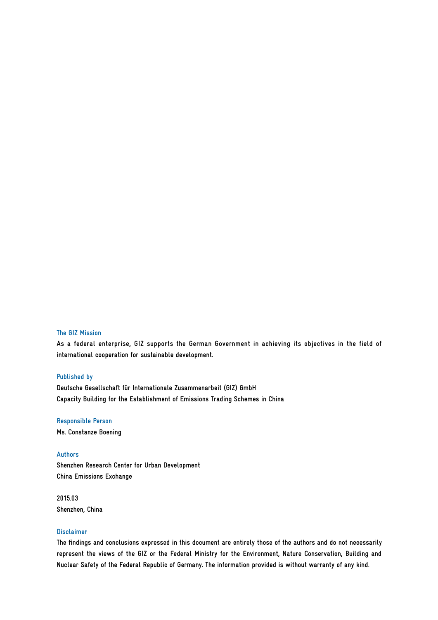#### **The GIZ Mission**

**As a federal enterprise, GIZ supports the German Government in achieving its objectives in the field of international cooperation for sustainable development.**

#### **Published by**

**Deutsche Gesellschaft für Internationale Zusammenarbeit (GIZ) GmbH Capacity Building for the Establishment of Emissions Trading Schemes in China**

#### **Responsible Person**

**Ms. Constanze Boening**

#### **Authors**

**Shenzhen Research Center for Urban Development China Emissions Exchange** 

**2015.03 Shenzhen, China**

#### **Disclaimer**

**The findings and conclusions expressed in this document are entirely those of the authors and do not necessarily represent the views of the GIZ or the Federal Ministry for the Environment, Nature Conservation, Building and Nuclear Safety of the Federal Republic of Germany. The information provided is without warranty of any kind.**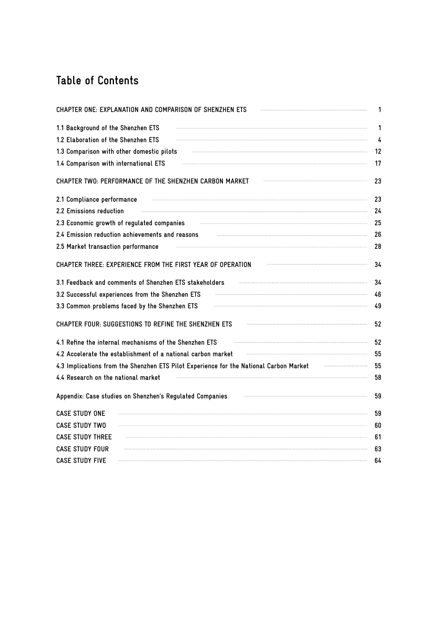# **Table of Contents**

| CHAPTER ONE: EXPLANATION AND COMPARISON OF SHENZHEN ETS                                | 1  |
|----------------------------------------------------------------------------------------|----|
| 1.1 Background of the Shenzhen ETS                                                     | 1  |
| 1.2 Elaboration of the Shenzhen ETS                                                    | 4  |
| 1.3 Comparison with other domestic pilots                                              | 12 |
| 1.4 Comparison with international ETS                                                  | 17 |
| CHAPTER TWO: PERFORMANCE OF THE SHENZHEN CARBON MARKET                                 | 23 |
| 2.1 Compliance performance                                                             | 23 |
| 2.2 Emissions reduction                                                                | 24 |
| 2.3 Economic growth of regulated companies                                             | 25 |
| 2.4 Emission reduction achievements and reasons                                        | 26 |
| 2.5 Market transaction performance                                                     | 28 |
| CHAPTER THREE: EXPERIENCE FROM THE FIRST YEAR OF OPERATION                             | 34 |
| 3.1 Feedback and comments of Shenzhen ETS stakeholders                                 | 34 |
| 3.2 Successful experiences from the Shenzhen ETS                                       | 46 |
| 3.3 Common problems faced by the Shenzhen ETS                                          | 49 |
| CHAPTER FOUR: SUGGESTIONS TO REFINE THE SHENZHEN ETS                                   | 52 |
| 4.1 Refine the internal mechanisms of the Shenzhen ETS                                 | 52 |
| 4.2 Accelerate the establishment of a national carbon market                           | 55 |
| 4.3 Implications from the Shenzhen ETS Pilot Experience for the National Carbon Market | 55 |
| 4.4 Research on the national market                                                    | 58 |
| Appendix: Case studies on Shenzhen's Regulated Companies                               | 59 |
| <b>CASE STUDY ONE</b>                                                                  | 59 |
| <b>CASE STUDY TWO</b>                                                                  | 60 |
| <b>CASE STUDY THREE</b>                                                                | 61 |
| <b>CASE STUDY FOUR</b>                                                                 | 63 |
| <b>CASE STUDY FIVE</b>                                                                 | 64 |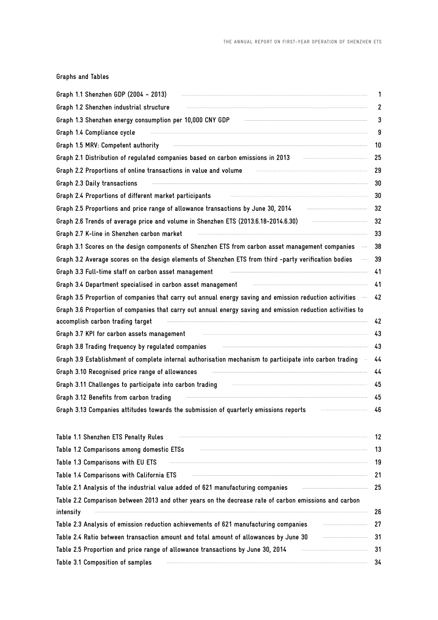| Graphs and Tables |  |  |  |
|-------------------|--|--|--|
|-------------------|--|--|--|

| Graph 1.1 Shenzhen GDP (2004 - 2013)                                                                               | 1  |
|--------------------------------------------------------------------------------------------------------------------|----|
| Graph 1.2 Shenzhen industrial structure                                                                            | 2  |
| Graph 1.3 Shenzhen energy consumption per 10,000 CNY GDP                                                           | 3  |
| Graph 1.4 Compliance cycle                                                                                         | 9  |
| Graph 1.5 MRV: Competent authority                                                                                 | 10 |
| Graph 2.1 Distribution of regulated companies based on carbon emissions in 2013                                    | 25 |
| Graph 2.2 Proportions of online transactions in value and volume                                                   | 29 |
| Graph 2.3 Daily transactions                                                                                       | 30 |
| Graph 2.4 Proportions of different market participants                                                             | 30 |
| Graph 2.5 Proportions and price range of allowance transactions by June 30, 2014                                   | 32 |
| Graph 2.6 Trends of average price and volume in Shenzhen ETS (2013.6.18-2014.6.30)                                 | 32 |
| Graph 2.7 K-line in Shenzhen carbon market                                                                         | 33 |
| Graph 3.1 Scores on the design components of Shenzhen ETS from carbon asset management companies                   | 38 |
| Graph 3.2 Average scores on the design elements of Shenzhen ETS from third -party verification bodies<br>          | 39 |
| Graph 3.3 Full-time staff on carbon asset management                                                               | 41 |
| Graph 3.4 Department specialised in carbon asset management                                                        | 41 |
| Graph 3.5 Proportion of companies that carry out annual energy saving and emission reduction activities            | 42 |
| Graph 3.6 Proportion of companies that carry out annual energy saving and emission reduction activities to         |    |
| accomplish carbon trading target                                                                                   | 42 |
| Graph 3.7 KPI for carbon assets management                                                                         | 43 |
| Graph 3.8 Trading frequency by regulated companies                                                                 | 43 |
| Graph 3.9 Establishment of complete internal authorisation mechanism to participate into carbon trading            | 44 |
| Graph 3.10 Recognised price range of allowances                                                                    | 44 |
| Graph 3.11 Challenges to participate into carbon trading                                                           | 45 |
| Graph 3.12 Benefits from carbon trading                                                                            | 45 |
| Graph 3.13 Companies attitudes towards the submission of quarterly emissions reports                               | 46 |
| Table 1.1 Shenzhen ETS Penalty Rules                                                                               | 12 |
| Table 1.2 Comparisons among domestic ETSs                                                                          | 13 |
| Table 1.3 Comparisons with EU ETS                                                                                  | 19 |
| Table 1.4 Comparisons with California ETS                                                                          | 21 |
| Table 2.1 Analysis of the industrial value added of 621 manufacturing companies                                    | 25 |
| Table 2.2 Comparison between 2013 and other years on the decrease rate of carbon emissions and carbon<br>intensity | 26 |
| Table 2.3 Analysis of emission reduction achievements of 621 manufacturing companies                               | 27 |
| Table 2.4 Ratio between transaction amount and total amount of allowances by June 30                               | 31 |
| Table 2.5 Proportion and price range of allowance transactions by June 30, 2014                                    | 31 |
| Table 3.1 Composition of samples                                                                                   | 34 |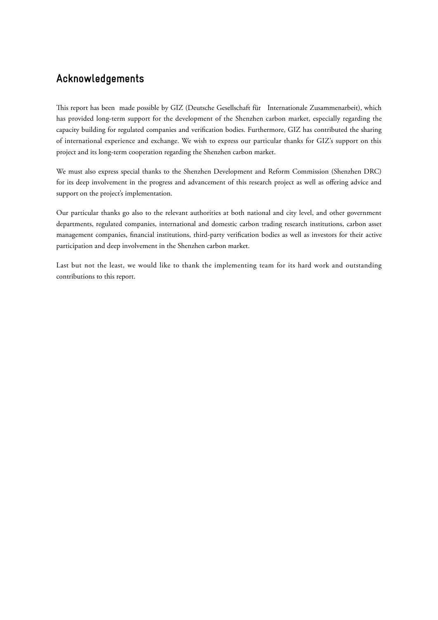# **Acknowledgements**

This report has been made possible by GIZ (Deutsche Gesellschaft für Internationale Zusammenarbeit), which has provided long-term support for the development of the Shenzhen carbon market, especially regarding the capacity building for regulated companies and verification bodies. Furthermore, GIZ has contributed the sharing of international experience and exchange. We wish to express our particular thanks for GIZ's support on this project and its long-term cooperation regarding the Shenzhen carbon market.

We must also express special thanks to the Shenzhen Development and Reform Commission (Shenzhen DRC) for its deep involvement in the progress and advancement of this research project as well as offering advice and support on the project's implementation.

Our particular thanks go also to the relevant authorities at both national and city level, and other government departments, regulated companies, international and domestic carbon trading research institutions, carbon asset management companies, financial institutions, third-party verification bodies as well as investors for their active participation and deep involvement in the Shenzhen carbon market.

Last but not the least, we would like to thank the implementing team for its hard work and outstanding contributions to this report.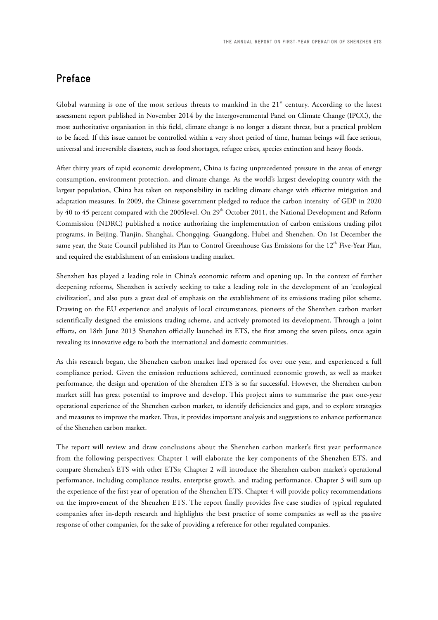# **Preface**

Global warming is one of the most serious threats to mankind in the 21<sup>st</sup> century. According to the latest assessment report published in November 2014 by the Intergovernmental Panel on Climate Change (IPCC), the most authoritative organisation in this field, climate change is no longer a distant threat, but a practical problem to be faced. If this issue cannot be controlled within a very short period of time, human beings will face serious, universal and irreversible disasters, such as food shortages, refugee crises, species extinction and heavy floods.

After thirty years of rapid economic development, China is facing unprecedented pressure in the areas of energy consumption, environment protection, and climate change. As the world's largest developing country with the largest population, China has taken on responsibility in tackling climate change with effective mitigation and adaptation measures. In 2009, the Chinese government pledged to reduce the carbon intensity of GDP in 2020 by 40 to 45 percent compared with the 2005level. On 29<sup>th</sup> October 2011, the National Development and Reform Commission (NDRC) published a notice authorizing the implementation of carbon emissions trading pilot programs, in Beijing, Tianjin, Shanghai, Chongqing, Guangdong, Hubei and Shenzhen. On 1st December the same year, the State Council published its Plan to Control Greenhouse Gas Emissions for the 12<sup>th</sup> Five-Year Plan, and required the establishment of an emissions trading market.

Shenzhen has played a leading role in China's economic reform and opening up. In the context of further deepening reforms, Shenzhen is actively seeking to take a leading role in the development of an 'ecological civilization', and also puts a great deal of emphasis on the establishment of its emissions trading pilot scheme. Drawing on the EU experience and analysis of local circumstances, pioneers of the Shenzhen carbon market scientifically designed the emissions trading scheme, and actively promoted its development. Through a joint efforts, on 18th June 2013 Shenzhen officially launched its ETS, the first among the seven pilots, once again revealing its innovative edge to both the international and domestic communities.

As this research began, the Shenzhen carbon market had operated for over one year, and experienced a full compliance period. Given the emission reductions achieved, continued economic growth, as well as market performance, the design and operation of the Shenzhen ETS is so far successful. However, the Shenzhen carbon market still has great potential to improve and develop. This project aims to summarise the past one-year operational experience of the Shenzhen carbon market, to identify deficiencies and gaps, and to explore strategies and measures to improve the market. Thus, it provides important analysis and suggestions to enhance performance of the Shenzhen carbon market.

The report will review and draw conclusions about the Shenzhen carbon market's first year performance from the following perspectives: Chapter 1 will elaborate the key components of the Shenzhen ETS, and compare Shenzhen's ETS with other ETSs; Chapter 2 will introduce the Shenzhen carbon market's operational performance, including compliance results, enterprise growth, and trading performance. Chapter 3 will sum up the experience of the first year of operation of the Shenzhen ETS. Chapter 4 will provide policy recommendations on the improvement of the Shenzhen ETS. The report finally provides five case studies of typical regulated companies after in-depth research and highlights the best practice of some companies as well as the passive response of other companies, for the sake of providing a reference for other regulated companies.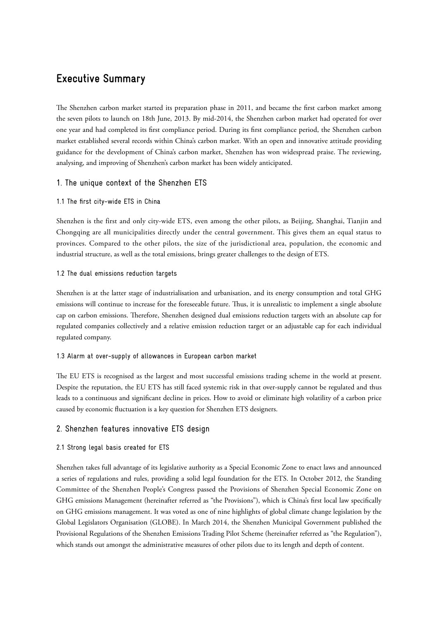# **Executive Summary**

The Shenzhen carbon market started its preparation phase in 2011, and became the first carbon market among the seven pilots to launch on 18th June, 2013. By mid-2014, the Shenzhen carbon market had operated for over one year and had completed its first compliance period. During its first compliance period, the Shenzhen carbon market established several records within China's carbon market. With an open and innovative attitude providing guidance for the development of China's carbon market, Shenzhen has won widespread praise. The reviewing, analysing, and improving of Shenzhen's carbon market has been widely anticipated.

# 1. The unique context of the Shenzhen ETS

# 1.1 The first city-wide ETS in China

Shenzhen is the first and only city-wide ETS, even among the other pilots, as Beijing, Shanghai, Tianjin and Chongqing are all municipalities directly under the central government. This gives them an equal status to provinces. Compared to the other pilots, the size of the jurisdictional area, population, the economic and industrial structure, as well as the total emissions, brings greater challenges to the design of ETS.

# 1.2 The dual emissions reduction targets

Shenzhen is at the latter stage of industrialisation and urbanisation, and its energy consumption and total GHG emissions will continue to increase for the foreseeable future. Thus, it is unrealistic to implement a single absolute cap on carbon emissions. Therefore, Shenzhen designed dual emissions reduction targets with an absolute cap for regulated companies collectively and a relative emission reduction target or an adjustable cap for each individual regulated company.

# 1.3 Alarm at over-supply of allowances in European carbon market

The EU ETS is recognised as the largest and most successful emissions trading scheme in the world at present. Despite the reputation, the EU ETS has still faced systemic risk in that over-supply cannot be regulated and thus leads to a continuous and significant decline in prices. How to avoid or eliminate high volatility of a carbon price caused by economic fluctuation is a key question for Shenzhen ETS designers.

# 2. Shenzhen features innovative ETS design

# 2.1 Strong legal basis created for ETS

Shenzhen takes full advantage of its legislative authority as a Special Economic Zone to enact laws and announced a series of regulations and rules, providing a solid legal foundation for the ETS. In October 2012, the Standing Committee of the Shenzhen People's Congress passed the Provisions of Shenzhen Special Economic Zone on GHG emissions Management (hereinafter referred as "the Provisions"), which is China's first local law specifically on GHG emissions management. It was voted as one of nine highlights of global climate change legislation by the Global Legislators Organisation (GLOBE). In March 2014, the Shenzhen Municipal Government published the Provisional Regulations of the Shenzhen Emissions Trading Pilot Scheme (hereinafter referred as "the Regulation"), which stands out amongst the administrative measures of other pilots due to its length and depth of content.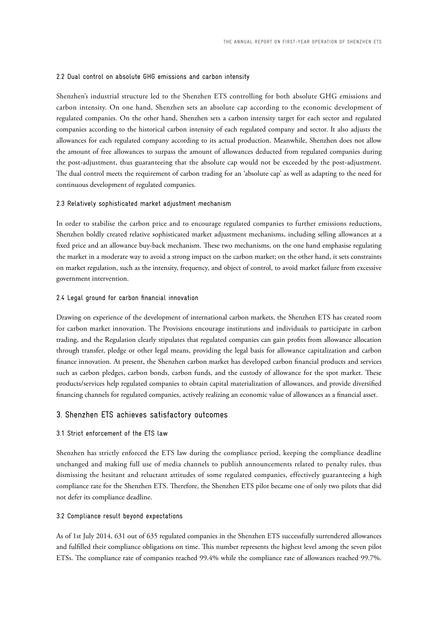#### 2.2 Dual control on absolute GHG emissions and carbon intensity

Shenzhen's industrial structure led to the Shenzhen ETS controlling for both absolute GHG emissions and carbon intensity. On one hand, Shenzhen sets an absolute cap according to the economic development of regulated companies. On the other hand, Shenzhen sets a carbon intensity target for each sector and regulated companies according to the historical carbon intensity of each regulated company and sector. It also adjusts the allowances for each regulated company according to its actual production. Meanwhile, Shenzhen does not allow the amount of free allowances to surpass the amount of allowances deducted from regulated companies during the post-adjustment, thus guaranteeing that the absolute cap would not be exceeded by the post-adjustment. The dual control meets the requirement of carbon trading for an 'absolute cap' as well as adapting to the need for continuous development of regulated companies.

#### 2.3 Relatively sophisticated market adjustment mechanism

In order to stabilise the carbon price and to encourage regulated companies to further emissions reductions, Shenzhen boldly created relative sophisticated market adjustment mechanisms, including selling allowances at a fixed price and an allowance buy-back mechanism. These two mechanisms, on the one hand emphasise regulating the market in a moderate way to avoid a strong impact on the carbon market; on the other hand, it sets constraints on market regulation, such as the intensity, frequency, and object of control, to avoid market failure from excessive government intervention.

#### 2.4 Legal ground for carbon financial innovation

Drawing on experience of the development of international carbon markets, the Shenzhen ETS has created room for carbon market innovation. The Provisions encourage institutions and individuals to participate in carbon trading, and the Regulation clearly stipulates that regulated companies can gain profits from allowance allocation through transfer, pledge or other legal means, providing the legal basis for allowance capitalization and carbon finance innovation. At present, the Shenzhen carbon market has developed carbon financial products and services such as carbon pledges, carbon bonds, carbon funds, and the custody of allowance for the spot market. These products/services help regulated companies to obtain capital materialization of allowances, and provide diversified financing channels for regulated companies, actively realizing an economic value of allowances as a financial asset.

# 3. Shenzhen ETS achieves satisfactory outcomes

# 3.1 Strict enforcement of the ETS law

Shenzhen has strictly enforced the ETS law during the compliance period, keeping the compliance deadline unchanged and making full use of media channels to publish announcements related to penalty rules, thus dismissing the hesitant and reluctant attitudes of some regulated companies, effectively guaranteeing a high compliance rate for the Shenzhen ETS. Therefore, the Shenzhen ETS pilot became one of only two pilots that did not defer its compliance deadline.

#### 3.2 Compliance result beyond expectations

As of 1st July 2014, 631 out of 635 regulated companies in the Shenzhen ETS successfully surrendered allowances and fulfilled their compliance obligations on time. This number represents the highest level among the seven pilot ETSs. The compliance rate of companies reached 99.4% while the compliance rate of allowances reached 99.7%.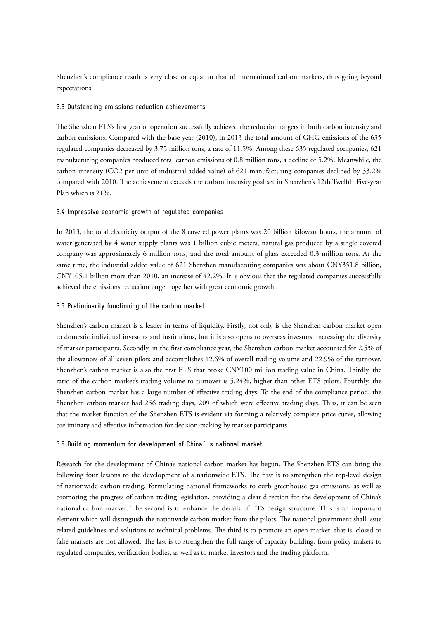Shenzhen's compliance result is very close or equal to that of international carbon markets, thus going beyond expectations.

#### 3.3 Outstanding emissions reduction achievements

The Shenzhen ETS's first year of operation successfully achieved the reduction targets in both carbon intensity and carbon emissions. Compared with the base-year (2010), in 2013 the total amount of GHG emissions of the 635 regulated companies decreased by 3.75 million tons, a rate of 11.5%. Among these 635 regulated companies, 621 manufacturing companies produced total carbon emissions of 0.8 million tons, a decline of 5.2%. Meanwhile, the carbon intensity (CO2 per unit of industrial added value) of 621 manufacturing companies declined by 33.2% compared with 2010. The achievement exceeds the carbon intensity goal set in Shenzhen's 12th Twelfth Five-year Plan which is 21%.

#### 3.4 Impressive economic growth of regulated companies

In 2013, the total electricity output of the 8 covered power plants was 20 billion kilowatt hours, the amount of water generated by 4 water supply plants was 1 billion cubic meters, natural gas produced by a single covered company was approximately 6 million tons, and the total amount of glass exceeded 0.3 million tons. At the same time, the industrial added value of 621 Shenzhen manufacturing companies was about CNY351.8 billion, CNY105.1 billion more than 2010, an increase of 42.2%. It is obvious that the regulated companies successfully achieved the emissions reduction target together with great economic growth.

#### 3.5 Preliminarily functioning of the carbon market

Shenzhen's carbon market is a leader in terms of liquidity. Firstly, not only is the Shenzhen carbon market open to domestic individual investors and institutions, but it is also opens to overseas investors, increasing the diversity of market participants. Secondly, in the first compliance year, the Shenzhen carbon market accounted for 2.5% of the allowances of all seven pilots and accomplishes 12.6% of overall trading volume and 22.9% of the turnover. Shenzhen's carbon market is also the first ETS that broke CNY100 million trading value in China. Thirdly, the ratio of the carbon market's trading volume to turnover is 5.24%, higher than other ETS pilots. Fourthly, the Shenzhen carbon market has a large number of effective trading days. To the end of the compliance period, the Shenzhen carbon market had 256 trading days, 209 of which were effective trading days. Thus, it can be seen that the market function of the Shenzhen ETS is evident via forming a relatively complete price curve, allowing preliminary and effective information for decision-making by market participants.

#### 3.6 Building momentum for development of China's national market

Research for the development of China's national carbon market has begun. The Shenzhen ETS can bring the following four lessons to the development of a nationwide ETS. The first is to strengthen the top-level design of nationwide carbon trading, formulating national frameworks to curb greenhouse gas emissions, as well as promoting the progress of carbon trading legislation, providing a clear direction for the development of China's national carbon market. The second is to enhance the details of ETS design structure. This is an important element which will distinguish the nationwide carbon market from the pilots. The national government shall issue related guidelines and solutions to technical problems. The third is to promote an open market, that is, closed or false markets are not allowed. The last is to strengthen the full range of capacity building, from policy makers to regulated companies, verification bodies, as well as to market investors and the trading platform.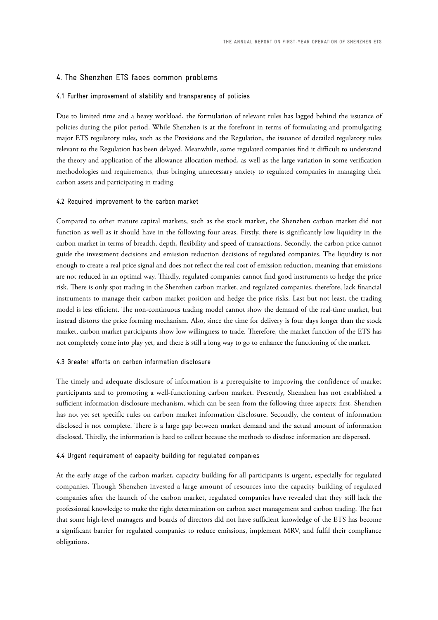# 4. The Shenzhen ETS faces common problems

#### 4.1 Further improvement of stability and transparency of policies

Due to limited time and a heavy workload, the formulation of relevant rules has lagged behind the issuance of policies during the pilot period. While Shenzhen is at the forefront in terms of formulating and promulgating major ETS regulatory rules, such as the Provisions and the Regulation, the issuance of detailed regulatory rules relevant to the Regulation has been delayed. Meanwhile, some regulated companies find it difficult to understand the theory and application of the allowance allocation method, as well as the large variation in some verification methodologies and requirements, thus bringing unnecessary anxiety to regulated companies in managing their carbon assets and participating in trading.

#### 4.2 Required improvement to the carbon market

Compared to other mature capital markets, such as the stock market, the Shenzhen carbon market did not function as well as it should have in the following four areas. Firstly, there is significantly low liquidity in the carbon market in terms of breadth, depth, flexibility and speed of transactions. Secondly, the carbon price cannot guide the investment decisions and emission reduction decisions of regulated companies. The liquidity is not enough to create a real price signal and does not reflect the real cost of emission reduction, meaning that emissions are not reduced in an optimal way. Thirdly, regulated companies cannot find good instruments to hedge the price risk. There is only spot trading in the Shenzhen carbon market, and regulated companies, therefore, lack financial instruments to manage their carbon market position and hedge the price risks. Last but not least, the trading model is less efficient. The non-continuous trading model cannot show the demand of the real-time market, but instead distorts the price forming mechanism. Also, since the time for delivery is four days longer than the stock market, carbon market participants show low willingness to trade. Therefore, the market function of the ETS has not completely come into play yet, and there is still a long way to go to enhance the functioning of the market.

#### 4.3 Greater efforts on carbon information disclosure

The timely and adequate disclosure of information is a prerequisite to improving the confidence of market participants and to promoting a well-functioning carbon market. Presently, Shenzhen has not established a sufficient information disclosure mechanism, which can be seen from the following three aspects: first, Shenzhen has not yet set specific rules on carbon market information disclosure. Secondly, the content of information disclosed is not complete. There is a large gap between market demand and the actual amount of information disclosed. Thirdly, the information is hard to collect because the methods to disclose information are dispersed.

### 4.4 Urgent requirement of capacity building for regulated companies

At the early stage of the carbon market, capacity building for all participants is urgent, especially for regulated companies. Though Shenzhen invested a large amount of resources into the capacity building of regulated companies after the launch of the carbon market, regulated companies have revealed that they still lack the professional knowledge to make the right determination on carbon asset management and carbon trading. The fact that some high-level managers and boards of directors did not have sufficient knowledge of the ETS has become a significant barrier for regulated companies to reduce emissions, implement MRV, and fulfil their compliance obligations.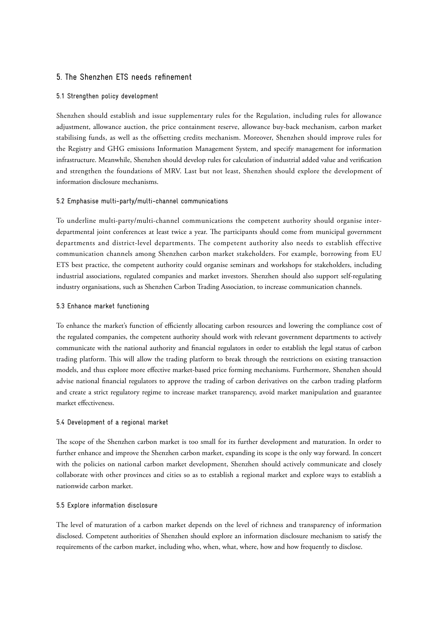# 5. The Shenzhen ETS needs refinement

### 5.1 Strengthen policy development

Shenzhen should establish and issue supplementary rules for the Regulation, including rules for allowance adjustment, allowance auction, the price containment reserve, allowance buy-back mechanism, carbon market stabilising funds, as well as the offsetting credits mechanism. Moreover, Shenzhen should improve rules for the Registry and GHG emissions Information Management System, and specify management for information infrastructure. Meanwhile, Shenzhen should develop rules for calculation of industrial added value and verification and strengthen the foundations of MRV. Last but not least, Shenzhen should explore the development of information disclosure mechanisms.

#### 5.2 Emphasise multi-party/multi-channel communications

To underline multi-party/multi-channel communications the competent authority should organise interdepartmental joint conferences at least twice a year. The participants should come from municipal government departments and district-level departments. The competent authority also needs to establish effective communication channels among Shenzhen carbon market stakeholders. For example, borrowing from EU ETS best practice, the competent authority could organise seminars and workshops for stakeholders, including industrial associations, regulated companies and market investors. Shenzhen should also support self-regulating industry organisations, such as Shenzhen Carbon Trading Association, to increase communication channels.

#### 5.3 Enhance market functioning

To enhance the market's function of efficiently allocating carbon resources and lowering the compliance cost of the regulated companies, the competent authority should work with relevant government departments to actively communicate with the national authority and financial regulators in order to establish the legal status of carbon trading platform. This will allow the trading platform to break through the restrictions on existing transaction models, and thus explore more effective market-based price forming mechanisms. Furthermore, Shenzhen should advise national financial regulators to approve the trading of carbon derivatives on the carbon trading platform and create a strict regulatory regime to increase market transparency, avoid market manipulation and guarantee market effectiveness.

#### 5.4 Development of a regional market

The scope of the Shenzhen carbon market is too small for its further development and maturation. In order to further enhance and improve the Shenzhen carbon market, expanding its scope is the only way forward. In concert with the policies on national carbon market development, Shenzhen should actively communicate and closely collaborate with other provinces and cities so as to establish a regional market and explore ways to establish a nationwide carbon market.

# 5.5 Explore information disclosure

The level of maturation of a carbon market depends on the level of richness and transparency of information disclosed. Competent authorities of Shenzhen should explore an information disclosure mechanism to satisfy the requirements of the carbon market, including who, when, what, where, how and how frequently to disclose.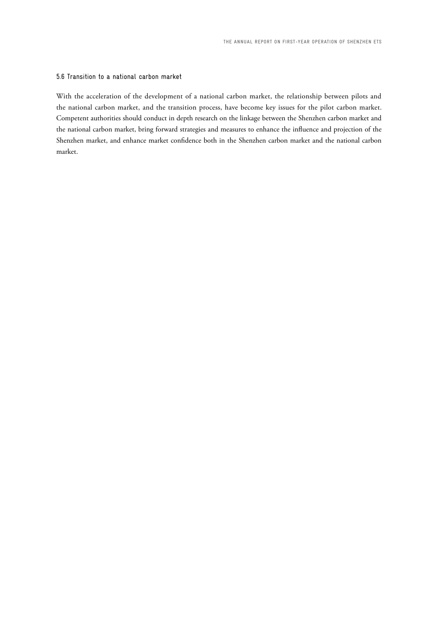# 5.6 Transition to a national carbon market

With the acceleration of the development of a national carbon market, the relationship between pilots and the national carbon market, and the transition process, have become key issues for the pilot carbon market. Competent authorities should conduct in depth research on the linkage between the Shenzhen carbon market and the national carbon market, bring forward strategies and measures to enhance the influence and projection of the Shenzhen market, and enhance market confidence both in the Shenzhen carbon market and the national carbon market.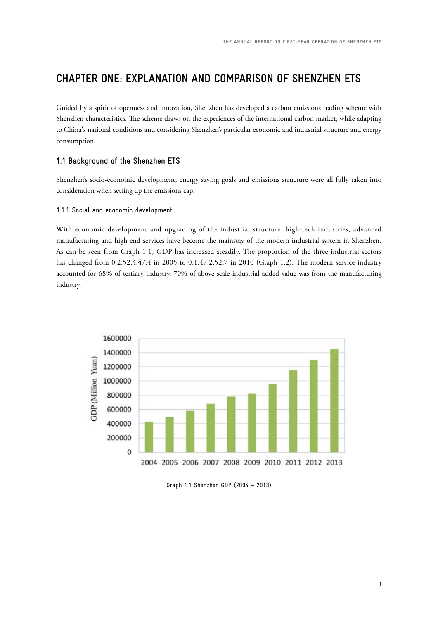# **CHAPTER ONE: EXPLANATION AND COMPARISON OF SHENZHEN ETS**

Guided by a spirit of openness and innovation, Shenzhen has developed a carbon emissions trading scheme with Shenzhen characteristics. The scheme draws on the experiences of the international carbon market, while adapting to China's national conditions and considering Shenzhen's particular economic and industrial structure and energy consumption.

# **1.1 Background of the Shenzhen ETS**

Shenzhen's socio-economic development, energy saving goals and emissions structure were all fully taken into consideration when setting up the emissions cap.

#### 1.1.1 Social and economic development

With economic development and upgrading of the industrial structure, high-tech industries, advanced manufacturing and high-end services have become the mainstay of the modern industrial system in Shenzhen. As can be seen from Graph 1.1, GDP has increased steadily. The proportion of the three industrial sectors has changed from 0.2:52.4:47.4 in 2005 to 0.1:47.2:52.7 in 2010 (Graph 1.2). The modern service industry accounted for 68% of tertiary industry. 70% of above-scale industrial added value was from the manufacturing industry.



Graph 1.1 Shenzhen GDP (2004 – 2013)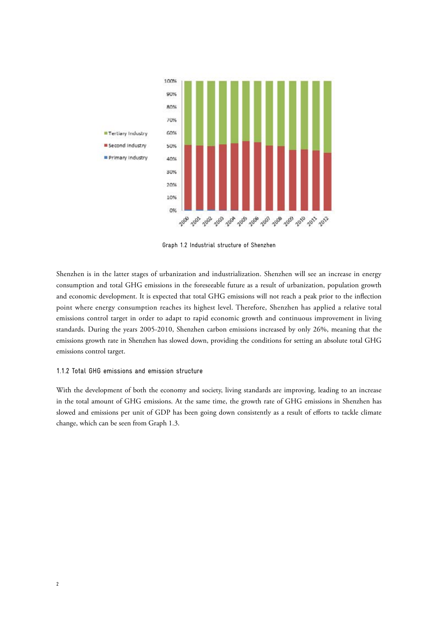

Graph 1.2 Industrial structure of Shenzhen

Shenzhen is in the latter stages of urbanization and industrialization. Shenzhen will see an increase in energy consumption and total GHG emissions in the foreseeable future as a result of urbanization, population growth and economic development. It is expected that total GHG emissions will not reach a peak prior to the inflection point where energy consumption reaches its highest level. Therefore, Shenzhen has applied a relative total emissions control target in order to adapt to rapid economic growth and continuous improvement in living standards. During the years 2005-2010, Shenzhen carbon emissions increased by only 26%, meaning that the emissions growth rate in Shenzhen has slowed down, providing the conditions for setting an absolute total GHG emissions control target.

#### 1.1.2 Total GHG emissions and emission structure

With the development of both the economy and society, living standards are improving, leading to an increase in the total amount of GHG emissions. At the same time, the growth rate of GHG emissions in Shenzhen has slowed and emissions per unit of GDP has been going down consistently as a result of efforts to tackle climate change, which can be seen from Graph 1.3.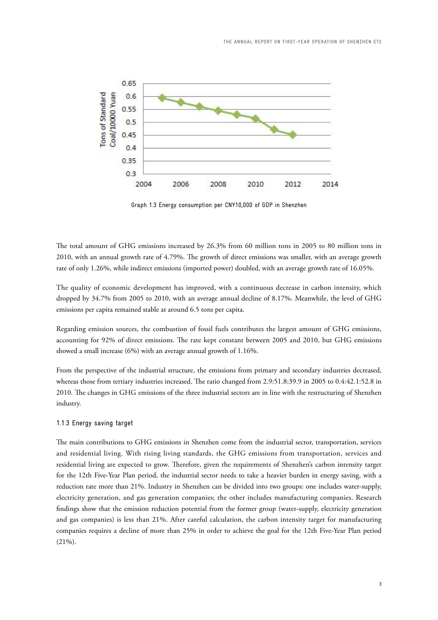

Graph 1.3 Energy consumption per CNY10,000 of GDP in Shenzhen

The total amount of GHG emissions increased by 26.3% from 60 million tons in 2005 to 80 million tons in 2010, with an annual growth rate of 4.79%. The growth of direct emissions was smaller, with an average growth rate of only 1.26%, while indirect emissions (imported power) doubled, with an average growth rate of 16.05%.

The quality of economic development has improved, with a continuous decrease in carbon intensity, which dropped by 34.7% from 2005 to 2010, with an average annual decline of 8.17%. Meanwhile, the level of GHG emissions per capita remained stable at around 6.5 tons per capita.

Regarding emission sources, the combustion of fossil fuels contributes the largest amount of GHG emissions, accounting for 92% of direct emissions. The rate kept constant between 2005 and 2010, but GHG emissions showed a small increase (6%) with an average annual growth of 1.16%.

From the perspective of the industrial structure, the emissions from primary and secondary industries decreased, whereas those from tertiary industries increased. The ratio changed from 2.9:51.8:39.9 in 2005 to 0.4:42.1:52.8 in 2010. The changes in GHG emissions of the three industrial sectors are in line with the restructuring of Shenzhen industry.

#### 1.1.3 Energy saving target

The main contributions to GHG emissions in Shenzhen come from the industrial sector, transportation, services and residential living. With rising living standards, the GHG emissions from transportation, services and residential living are expected to grow. Therefore, given the requirements of Shenzhen's carbon intensity target for the 12th Five-Year Plan period, the industrial sector needs to take a heavier burden in energy saving, with a reduction rate more than 21%. Industry in Shenzhen can be divided into two groups: one includes water-supply, electricity generation, and gas generation companies; the other includes manufacturing companies. Research findings show that the emission reduction potential from the former group (water-supply, electricity generation and gas companies) is less than 21%. After careful calculation, the carbon intensity target for manufacturing companies requires a decline of more than 25% in order to achieve the goal for the 12th Five-Year Plan period (21%).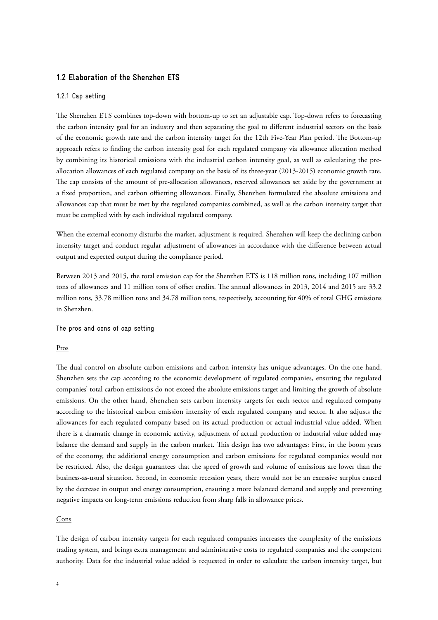# **1.2 Elaboration of the Shenzhen ETS**

#### 1.2.1 Cap setting

The Shenzhen ETS combines top-down with bottom-up to set an adjustable cap. Top-down refers to forecasting the carbon intensity goal for an industry and then separating the goal to different industrial sectors on the basis of the economic growth rate and the carbon intensity target for the 12th Five-Year Plan period. The Bottom-up approach refers to finding the carbon intensity goal for each regulated company via allowance allocation method by combining its historical emissions with the industrial carbon intensity goal, as well as calculating the preallocation allowances of each regulated company on the basis of its three-year (2013-2015) economic growth rate. The cap consists of the amount of pre-allocation allowances, reserved allowances set aside by the government at a fixed proportion, and carbon offsetting allowances. Finally, Shenzhen formulated the absolute emissions and allowances cap that must be met by the regulated companies combined, as well as the carbon intensity target that must be complied with by each individual regulated company.

When the external economy disturbs the market, adjustment is required. Shenzhen will keep the declining carbon intensity target and conduct regular adjustment of allowances in accordance with the difference between actual output and expected output during the compliance period.

Between 2013 and 2015, the total emission cap for the Shenzhen ETS is 118 million tons, including 107 million tons of allowances and 11 million tons of offset credits. The annual allowances in 2013, 2014 and 2015 are 33.2 million tons, 33.78 million tons and 34.78 million tons, respectively, accounting for 40% of total GHG emissions in Shenzhen.

The pros and cons of cap setting

#### Pros

The dual control on absolute carbon emissions and carbon intensity has unique advantages. On the one hand, Shenzhen sets the cap according to the economic development of regulated companies, ensuring the regulated companies' total carbon emissions do not exceed the absolute emissions target and limiting the growth of absolute emissions. On the other hand, Shenzhen sets carbon intensity targets for each sector and regulated company according to the historical carbon emission intensity of each regulated company and sector. It also adjusts the allowances for each regulated company based on its actual production or actual industrial value added. When there is a dramatic change in economic activity, adjustment of actual production or industrial value added may balance the demand and supply in the carbon market. This design has two advantages: First, in the boom years of the economy, the additional energy consumption and carbon emissions for regulated companies would not be restricted. Also, the design guarantees that the speed of growth and volume of emissions are lower than the business-as-usual situation. Second, in economic recession years, there would not be an excessive surplus caused by the decrease in output and energy consumption, ensuring a more balanced demand and supply and preventing negative impacts on long-term emissions reduction from sharp falls in allowance prices.

### **Cons**

The design of carbon intensity targets for each regulated companies increases the complexity of the emissions trading system, and brings extra management and administrative costs to regulated companies and the competent authority. Data for the industrial value added is requested in order to calculate the carbon intensity target, but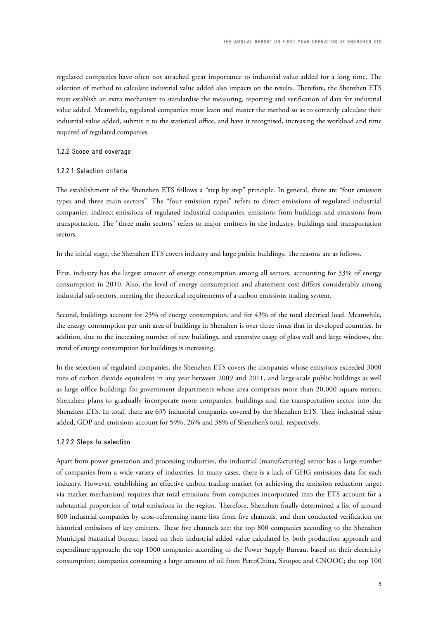regulated companies have often not attached great importance to industrial value added for a long time. The selection of method to calculate industrial value added also impacts on the results. Therefore, the Shenzhen ETS must establish an extra mechanism to standardise the measuring, reporting and verification of data for industrial value added. Meanwhile, regulated companies must learn and master the method so as to correctly calculate their industrial value added, submit it to the statistical office, and have it recognised, increasing the workload and time required of regulated companies.

#### 1.2.2 Scope and coverage

#### 1.2.2.1 Selection criteria

The establishment of the Shenzhen ETS follows a "step by step" principle. In general, there are "four emission types and three main sectors". The "four emission types" refers to direct emissions of regulated industrial companies, indirect emissions of regulated industrial companies, emissions from buildings and emissions from transportation. The "three main sectors" refers to major emitters in the industry, buildings and transportation sectors.

In the initial stage, the Shenzhen ETS covers industry and large public buildings. The reasons are as follows.

First, industry has the largest amount of energy consumption among all sectors, accounting for 33% of energy consumption in 2010. Also, the level of energy consumption and abatement cost differs considerably among industrial sub-sectors, meeting the theoretical requirements of a carbon emissions trading system.

Second, buildings account for 23% of energy consumption, and for 43% of the total electrical load. Meanwhile, the energy consumption per unit area of buildings in Shenzhen is over three times that in developed countries. In addition, due to the increasing number of new buildings, and extensive usage of glass wall and large windows, the trend of energy consumption for buildings is increasing.

In the selection of regulated companies, the Shenzhen ETS covers the companies whose emissions exceeded 3000 tons of carbon dioxide equivalent in any year between 2009 and 2011, and large-scale public buildings as well as large office buildings for government departments whose area comprises more than 20,000 square meters. Shenzhen plans to gradually incorporate more companies, buildings and the transportation sector into the Shenzhen ETS. In total, there are 635 industrial companies covered by the Shenzhen ETS. Their industrial value added, GDP and emissions account for 59%, 26% and 38% of Shenzhen's total, respectively.

#### 1.2.2.2 Steps to selection

Apart from power generation and processing industries, the industrial (manufacturing) sector has a large number of companies from a wide variety of industries. In many cases, there is a lack of GHG emissions data for each industry. However, establishing an effective carbon trading market (or achieving the emission reduction target via market mechanism) requires that total emissions from companies incorporated into the ETS account for a substantial proportion of total emissions in the region. Therefore, Shenzhen finally determined a list of around 800 industrial companies by cross-referencing name lists from five channels, and then conducted verification on historical emissions of key emitters. These five channels are: the top 800 companies according to the Shenzhen Municipal Statistical Bureau, based on their industrial added value calculated by both production approach and expenditure approach; the top 1000 companies according to the Power Supply Bureau, based on their electricity consumption; companies consuming a large amount of oil from PetroChina, Sinopec and CNOOC; the top 100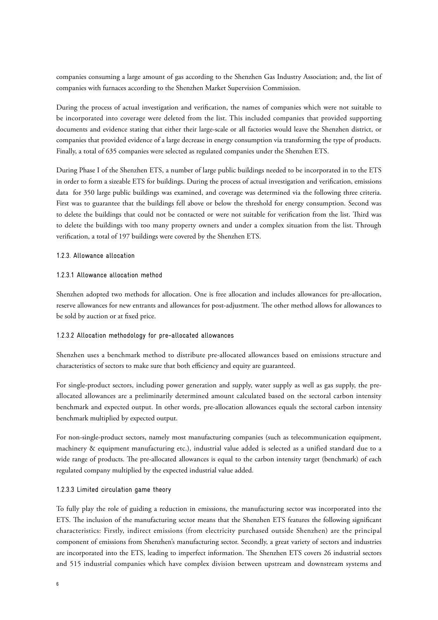companies consuming a large amount of gas according to the Shenzhen Gas Industry Association; and, the list of companies with furnaces according to the Shenzhen Market Supervision Commission.

During the process of actual investigation and verification, the names of companies which were not suitable to be incorporated into coverage were deleted from the list. This included companies that provided supporting documents and evidence stating that either their large-scale or all factories would leave the Shenzhen district, or companies that provided evidence of a large decrease in energy consumption via transforming the type of products. Finally, a total of 635 companies were selected as regulated companies under the Shenzhen ETS.

During Phase I of the Shenzhen ETS, a number of large public buildings needed to be incorporated in to the ETS in order to form a sizeable ETS for buildings. During the process of actual investigation and verification, emissions data for 350 large public buildings was examined, and coverage was determined via the following three criteria. First was to guarantee that the buildings fell above or below the threshold for energy consumption. Second was to delete the buildings that could not be contacted or were not suitable for verification from the list. Third was to delete the buildings with too many property owners and under a complex situation from the list. Through verification, a total of 197 buildings were covered by the Shenzhen ETS.

#### 1.2.3. Allowance allocation

#### 1.2.3.1 Allowance allocation method

Shenzhen adopted two methods for allocation. One is free allocation and includes allowances for pre-allocation, reserve allowances for new entrants and allowances for post-adjustment. The other method allows for allowances to be sold by auction or at fixed price.

# 1.2.3.2 Allocation methodology for pre-allocated allowances

Shenzhen uses a benchmark method to distribute pre-allocated allowances based on emissions structure and characteristics of sectors to make sure that both efficiency and equity are guaranteed.

For single-product sectors, including power generation and supply, water supply as well as gas supply, the preallocated allowances are a preliminarily determined amount calculated based on the sectoral carbon intensity benchmark and expected output. In other words, pre-allocation allowances equals the sectoral carbon intensity benchmark multiplied by expected output.

For non-single-product sectors, namely most manufacturing companies (such as telecommunication equipment, machinery & equipment manufacturing etc.), industrial value added is selected as a unified standard due to a wide range of products. The pre-allocated allowances is equal to the carbon intensity target (benchmark) of each regulated company multiplied by the expected industrial value added.

#### 1.2.3.3 Limited circulation game theory

To fully play the role of guiding a reduction in emissions, the manufacturing sector was incorporated into the ETS. The inclusion of the manufacturing sector means that the Shenzhen ETS features the following significant characteristics: Firstly, indirect emissions (from electricity purchased outside Shenzhen) are the principal component of emissions from Shenzhen's manufacturing sector. Secondly, a great variety of sectors and industries are incorporated into the ETS, leading to imperfect information. The Shenzhen ETS covers 26 industrial sectors and 515 industrial companies which have complex division between upstream and downstream systems and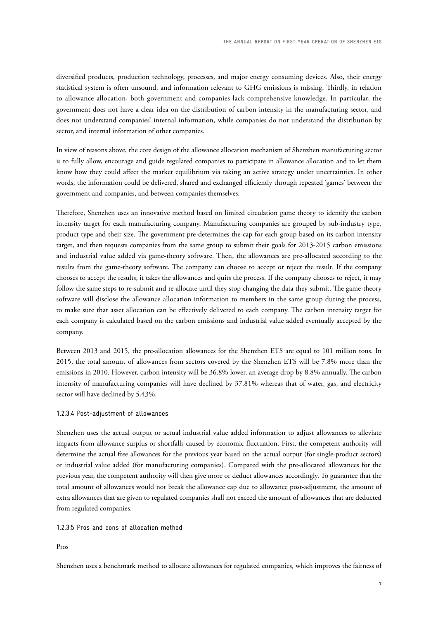diversified products, production technology, processes, and major energy consuming devices. Also, their energy statistical system is often unsound, and information relevant to GHG emissions is missing. Thirdly, in relation to allowance allocation, both government and companies lack comprehensive knowledge. In particular, the government does not have a clear idea on the distribution of carbon intensity in the manufacturing sector, and does not understand companies' internal information, while companies do not understand the distribution by sector, and internal information of other companies.

In view of reasons above, the core design of the allowance allocation mechanism of Shenzhen manufacturing sector is to fully allow, encourage and guide regulated companies to participate in allowance allocation and to let them know how they could affect the market equilibrium via taking an active strategy under uncertainties. In other words, the information could be delivered, shared and exchanged efficiently through repeated 'games' between the government and companies, and between companies themselves.

Therefore, Shenzhen uses an innovative method based on limited circulation game theory to identify the carbon intensity target for each manufacturing company. Manufacturing companies are grouped by sub-industry type, product type and their size. The government pre-determines the cap for each group based on its carbon intensity target, and then requests companies from the same group to submit their goals for 2013-2015 carbon emissions and industrial value added via game-theory software. Then, the allowances are pre-allocated according to the results from the game-theory software. The company can choose to accept or reject the result. If the company chooses to accept the results, it takes the allowances and quits the process. If the company chooses to reject, it may follow the same steps to re-submit and re-allocate until they stop changing the data they submit. The game-theory software will disclose the allowance allocation information to members in the same group during the process, to make sure that asset allocation can be effectively delivered to each company. The carbon intensity target for each company is calculated based on the carbon emissions and industrial value added eventually accepted by the company.

Between 2013 and 2015, the pre-allocation allowances for the Shenzhen ETS are equal to 101 million tons. In 2015, the total amount of allowances from sectors covered by the Shenzhen ETS will be 7.8% more than the emissions in 2010. However, carbon intensity will be 36.8% lower, an average drop by 8.8% annually. The carbon intensity of manufacturing companies will have declined by 37.81% whereas that of water, gas, and electricity sector will have declined by 5.43%.

#### 1.2.3.4 Post-adjustment of allowances

Shenzhen uses the actual output or actual industrial value added information to adjust allowances to alleviate impacts from allowance surplus or shortfalls caused by economic fluctuation. First, the competent authority will determine the actual free allowances for the previous year based on the actual output (for single-product sectors) or industrial value added (for manufacturing companies). Compared with the pre-allocated allowances for the previous year, the competent authority will then give more or deduct allowances accordingly. To guarantee that the total amount of allowances would not break the allowance cap due to allowance post-adjustment, the amount of extra allowances that are given to regulated companies shall not exceed the amount of allowances that are deducted from regulated companies.

1.2.3.5 Pros and cons of allocation method

#### Pros

Shenzhen uses a benchmark method to allocate allowances for regulated companies, which improves the fairness of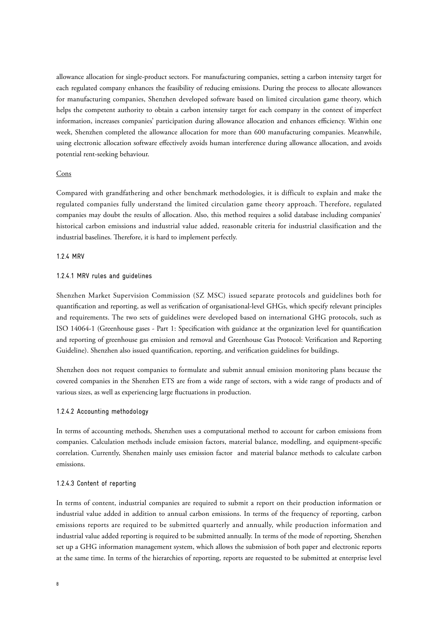allowance allocation for single-product sectors. For manufacturing companies, setting a carbon intensity target for each regulated company enhances the feasibility of reducing emissions. During the process to allocate allowances for manufacturing companies, Shenzhen developed software based on limited circulation game theory, which helps the competent authority to obtain a carbon intensity target for each company in the context of imperfect information, increases companies' participation during allowance allocation and enhances efficiency. Within one week, Shenzhen completed the allowance allocation for more than 600 manufacturing companies. Meanwhile, using electronic allocation software effectively avoids human interference during allowance allocation, and avoids potential rent-seeking behaviour.

#### Cons

Compared with grandfathering and other benchmark methodologies, it is difficult to explain and make the regulated companies fully understand the limited circulation game theory approach. Therefore, regulated companies may doubt the results of allocation. Also, this method requires a solid database including companies' historical carbon emissions and industrial value added, reasonable criteria for industrial classification and the industrial baselines. Therefore, it is hard to implement perfectly.

#### 1.2.4 MRV

#### 1.2.4.1 MRV rules and guidelines

Shenzhen Market Supervision Commission (SZ MSC) issued separate protocols and guidelines both for quantification and reporting, as well as verification of organisational-level GHGs, which specify relevant principles and requirements. The two sets of guidelines were developed based on international GHG protocols, such as ISO 14064-1 (Greenhouse gases - Part 1: Specification with guidance at the organization level for quantification and reporting of greenhouse gas emission and removal and Greenhouse Gas Protocol: Verification and Reporting Guideline). Shenzhen also issued quantification, reporting, and verification guidelines for buildings.

Shenzhen does not request companies to formulate and submit annual emission monitoring plans because the covered companies in the Shenzhen ETS are from a wide range of sectors, with a wide range of products and of various sizes, as well as experiencing large fluctuations in production.

#### 1.2.4.2 Accounting methodology

In terms of accounting methods, Shenzhen uses a computational method to account for carbon emissions from companies. Calculation methods include emission factors, material balance, modelling, and equipment-specific correlation. Currently, Shenzhen mainly uses emission factor and material balance methods to calculate carbon emissions.

#### 1.2.4.3 Content of reporting

In terms of content, industrial companies are required to submit a report on their production information or industrial value added in addition to annual carbon emissions. In terms of the frequency of reporting, carbon emissions reports are required to be submitted quarterly and annually, while production information and industrial value added reporting is required to be submitted annually. In terms of the mode of reporting, Shenzhen set up a GHG information management system, which allows the submission of both paper and electronic reports at the same time. In terms of the hierarchies of reporting, reports are requested to be submitted at enterprise level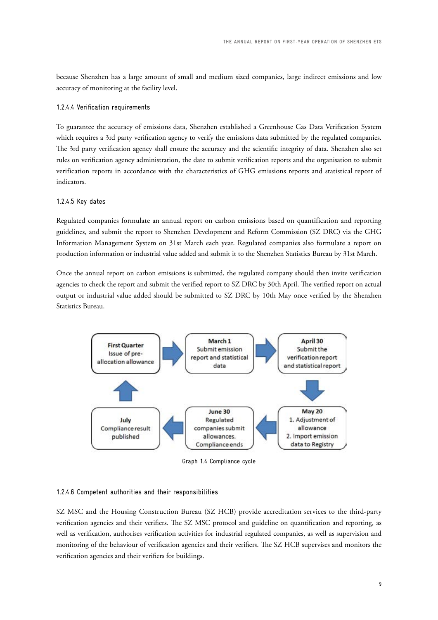because Shenzhen has a large amount of small and medium sized companies, large indirect emissions and low accuracy of monitoring at the facility level.

#### 1.2.4.4 Verification requirements

To guarantee the accuracy of emissions data, Shenzhen established a Greenhouse Gas Data Verification System which requires a 3rd party verification agency to verify the emissions data submitted by the regulated companies. The 3rd party verification agency shall ensure the accuracy and the scientific integrity of data. Shenzhen also set rules on verification agency administration, the date to submit verification reports and the organisation to submit verification reports in accordance with the characteristics of GHG emissions reports and statistical report of indicators.

#### 1.2.4.5 Key dates

Regulated companies formulate an annual report on carbon emissions based on quantification and reporting guidelines, and submit the report to Shenzhen Development and Reform Commission (SZ DRC) via the GHG Information Management System on 31st March each year. Regulated companies also formulate a report on production information or industrial value added and submit it to the Shenzhen Statistics Bureau by 31st March.

Once the annual report on carbon emissions is submitted, the regulated company should then invite verification agencies to check the report and submit the verified report to SZ DRC by 30th April. The verified report on actual output or industrial value added should be submitted to SZ DRC by 10th May once verified by the Shenzhen Statistics Bureau.



Graph 1.4 Compliance cycle

#### 1.2.4.6 Competent authorities and their responsibilities

SZ MSC and the Housing Construction Bureau (SZ HCB) provide accreditation services to the third-party verification agencies and their verifiers. The SZ MSC protocol and guideline on quantification and reporting, as well as verification, authorises verification activities for industrial regulated companies, as well as supervision and monitoring of the behaviour of verification agencies and their verifiers. The SZ HCB supervises and monitors the verification agencies and their verifiers for buildings.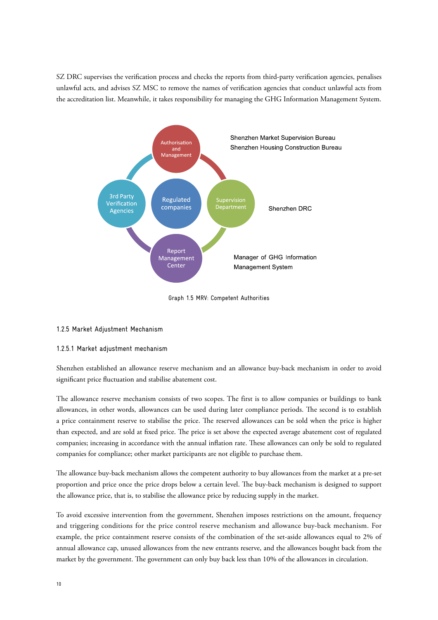SZ DRC supervises the verification process and checks the reports from third-party verification agencies, penalises unlawful acts, and advises SZ MSC to remove the names of verification agencies that conduct unlawful acts from the accreditation list. Meanwhile, it takes responsibility for managing the GHG Information Management System.



Graph 1.5 MRV: Competent Authorities

# 1.2.5 Market Adjustment Mechanism

# 1.2.5.1 Market adjustment mechanism

Shenzhen established an allowance reserve mechanism and an allowance buy-back mechanism in order to avoid significant price fluctuation and stabilise abatement cost.

The allowance reserve mechanism consists of two scopes. The first is to allow companies or buildings to bank allowances, in other words, allowances can be used during later compliance periods. The second is to establish a price containment reserve to stabilise the price. The reserved allowances can be sold when the price is higher than expected, and are sold at fixed price. The price is set above the expected average abatement cost of regulated companies; increasing in accordance with the annual inflation rate. These allowances can only be sold to regulated companies for compliance; other market participants are not eligible to purchase them.

The allowance buy-back mechanism allows the competent authority to buy allowances from the market at a pre-set proportion and price once the price drops below a certain level. The buy-back mechanism is designed to support the allowance price, that is, to stabilise the allowance price by reducing supply in the market.

To avoid excessive intervention from the government, Shenzhen imposes restrictions on the amount, frequency and triggering conditions for the price control reserve mechanism and allowance buy-back mechanism. For example, the price containment reserve consists of the combination of the set-aside allowances equal to 2% of annual allowance cap, unused allowances from the new entrants reserve, and the allowances bought back from the market by the government. The government can only buy back less than 10% of the allowances in circulation.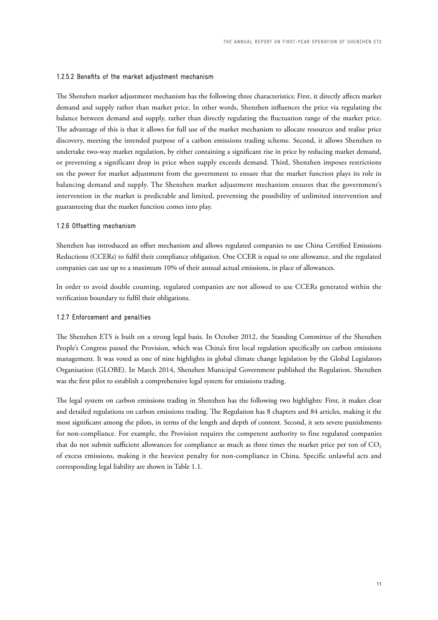#### 1.2.5.2 Benefits of the market adjustment mechanism

The Shenzhen market adjustment mechanism has the following three characteristics: First, it directly affects market demand and supply rather than market price. In other words, Shenzhen influences the price via regulating the balance between demand and supply, rather than directly regulating the fluctuation range of the market price. The advantage of this is that it allows for full use of the market mechanism to allocate resources and realise price discovery, meeting the intended purpose of a carbon emissions trading scheme. Second, it allows Shenzhen to undertake two-way market regulation, by either containing a significant rise in price by reducing market demand, or preventing a significant drop in price when supply exceeds demand. Third, Shenzhen imposes restrictions on the power for market adjustment from the government to ensure that the market function plays its role in balancing demand and supply. The Shenzhen market adjustment mechanism ensures that the government's intervention in the market is predictable and limited, preventing the possibility of unlimited intervention and guaranteeing that the market function comes into play.

#### 1.2.6 Offsetting mechanism

Shenzhen has introduced an offset mechanism and allows regulated companies to use China Certified Emissions Reductions (CCERs) to fulfil their compliance obligation. One CCER is equal to one allowance, and the regulated companies can use up to a maximum 10% of their annual actual emissions, in place of allowances.

In order to avoid double counting, regulated companies are not allowed to use CCERs generated within the verification boundary to fulfil their obligations.

#### 1.2.7 Enforcement and penalties

The Shenzhen ETS is built on a strong legal basis. In October 2012, the Standing Committee of the Shenzhen People's Congress passed the Provision, which was China's first local regulation specifically on carbon emissions management. It was voted as one of nine highlights in global climate change legislation by the Global Legislators Organisation (GLOBE). In March 2014, Shenzhen Municipal Government published the Regulation. Shenzhen was the first pilot to establish a comprehensive legal system for emissions trading.

The legal system on carbon emissions trading in Shenzhen has the following two highlights: First, it makes clear and detailed regulations on carbon emissions trading. The Regulation has 8 chapters and 84 articles, making it the most significant among the pilots, in terms of the length and depth of content. Second, it sets severe punishments for non-compliance. For example, the Provision requires the competent authority to fine regulated companies that do not submit sufficient allowances for compliance as much as three times the market price per ton of  $CO<sub>2</sub>$ of excess emissions, making it the heaviest penalty for non-compliance in China. Specific unlawful acts and corresponding legal liability are shown in Table 1.1.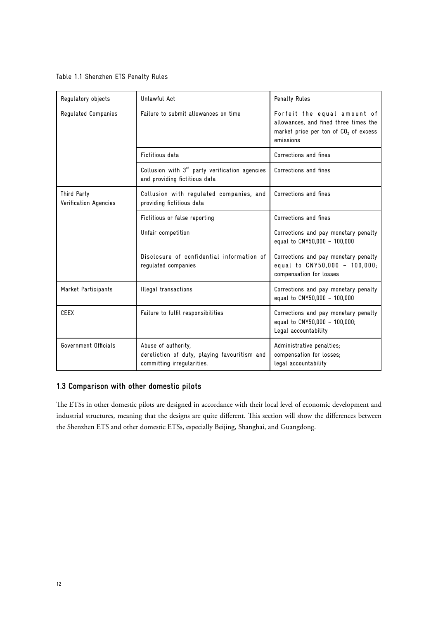# Table 1.1 Shenzhen ETS Penalty Rules

| Regulatory objects                   | Unlawful Act                                                                                      | Penalty Rules                                                                                                                |
|--------------------------------------|---------------------------------------------------------------------------------------------------|------------------------------------------------------------------------------------------------------------------------------|
| Regulated Companies                  | Failure to submit allowances on time                                                              | Forfeit the equal amount of<br>allowances, and fined three times the<br>market price per ton of $CO2$ of excess<br>emissions |
|                                      | Fictitious data                                                                                   | Corrections and fines                                                                                                        |
|                                      | Collusion with 3 <sup>rd</sup> party verification agencies<br>and providing fictitious data       | Corrections and fines                                                                                                        |
| Third Party<br>Verification Agencies | Collusion with regulated companies, and<br>providing fictitious data                              | Corrections and fines                                                                                                        |
|                                      | Fictitious or false reporting                                                                     | Corrections and fines                                                                                                        |
|                                      | Unfair competition                                                                                | Corrections and pay monetary penalty<br>equal to CNY50,000 - 100,000                                                         |
|                                      | Disclosure of confidential information of<br>regulated companies                                  | Corrections and pay monetary penalty<br>equal to CNY50,000 - 100,000;<br>compensation for losses                             |
| Market Participants                  | Illegal transactions                                                                              | Corrections and pay monetary penalty<br>equal to CNY50,000 - 100,000                                                         |
| <b>CEEX</b>                          | Failure to fulfil responsibilities                                                                | Corrections and pay monetary penalty<br>equal to CNY50,000 - 100,000;<br>Legal accountability                                |
| Government Officials                 | Abuse of authority,<br>dereliction of duty, playing favouritism and<br>committing irregularities. | Administrative penalties;<br>compensation for losses;<br>legal accountability                                                |

# **1.3 Comparison with other domestic pilots**

The ETSs in other domestic pilots are designed in accordance with their local level of economic development and industrial structures, meaning that the designs are quite different. This section will show the differences between the Shenzhen ETS and other domestic ETSs, especially Beijing, Shanghai, and Guangdong.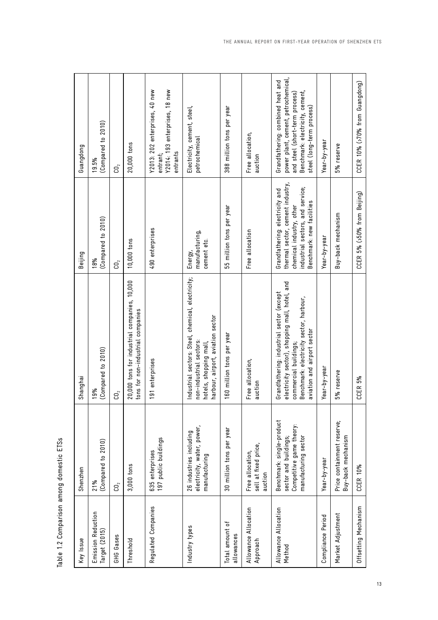| Key Issue                                  | Shenzhen                                                                                               | Shanghai                                                                                                                                                                                       | Beijing                                                                                                                                                          | Guangdong                                                                                                                                                                  |
|--------------------------------------------|--------------------------------------------------------------------------------------------------------|------------------------------------------------------------------------------------------------------------------------------------------------------------------------------------------------|------------------------------------------------------------------------------------------------------------------------------------------------------------------|----------------------------------------------------------------------------------------------------------------------------------------------------------------------------|
| <b>Emission Reduction</b><br>Target (2015) | (Compared to 2010)<br>21%                                                                              | (Compared to 2010)<br>19%                                                                                                                                                                      | (Compared to 2010)<br>18%                                                                                                                                        | (Compared to 2010)<br>19.5%                                                                                                                                                |
| GHG Gases                                  | ຕິ                                                                                                     | ຕິ                                                                                                                                                                                             | ຽິ                                                                                                                                                               | ຕິ                                                                                                                                                                         |
| Threshold                                  | 3,000 tons                                                                                             | 20,000 tons for industrial companies, 10,000<br>tons for non-industrial companies                                                                                                              | 10,000 tons                                                                                                                                                      | 20,000 tons                                                                                                                                                                |
| Regulated Companies                        | 197 public buildings<br>635 enterprises                                                                | 191 enterprises                                                                                                                                                                                | 490 enterprises                                                                                                                                                  | Y2013: 202 enterprises, 40 new<br>Y2014: 193 enterprises, 18 new<br>entrants<br>entrant;                                                                                   |
| Industry types                             | electricity, water, power,<br>26 industries including<br>manufacturing                                 | Industrial sectors: Steel, chemical, electricity;<br>harbour, airport, aviation sector<br>non-industrial sectors:<br>hotels, shopping mall                                                     | manufacturing,<br>cement etc.<br>Energy,                                                                                                                         | Electricity, cement, steel,<br>petrochemical                                                                                                                               |
| Total amount of<br>allowances              | 30 million tons per year                                                                               | 160 million tons per year                                                                                                                                                                      | 55 million tons per year                                                                                                                                         | 388 million tons per year                                                                                                                                                  |
| Allowance Allocation<br>Approach           | sell at fixed price,<br>Free allocation,<br>auction                                                    | Free allocation,<br>auction                                                                                                                                                                    | Free allocation                                                                                                                                                  | Free allocation,<br>auction                                                                                                                                                |
| Allowance Allocation<br>Method             | Benchmark: single-product<br>Competitive game theory:<br>sector and buildings;<br>manufacturing sector | electricity sector), shopping mall, hotel, and<br>Grandfathering: industrial sector (except<br>Benchmark: electricity sector, harbour,<br>aviation and airport sector<br>commercial buildings; | thermal sector, cement industry,<br>industrial sectors, and service;<br>Grandfathering: electricity and<br>Benchmark: new facilities<br>chemical industry, other | power plant, cement, petrochemical,<br>Grandfathering: combined heat and<br>Benchmark: electricity, cement,<br>and steel (short-term process)<br>steel (long-term process) |
| Compliance Period                          | Year-by-year                                                                                           | Year-by-year                                                                                                                                                                                   | Year-by-year                                                                                                                                                     | Year-by-year                                                                                                                                                               |
| Market Adjustment                          | Price containment reserve;<br>Buy-back mechanism                                                       | 5% reserve                                                                                                                                                                                     | Buy-back mechanism                                                                                                                                               | 5% reserve                                                                                                                                                                 |
| Offsetting Mechanism                       | <b>CCER 10%</b>                                                                                        | CCER 5%                                                                                                                                                                                        | CCER 5% (>50% from Beijing)                                                                                                                                      | CCER 10% (>70% from Guangdong)                                                                                                                                             |

Table 1.2 Comparison among domestic ETSs Table 1.2 Comparison among domestic ETSs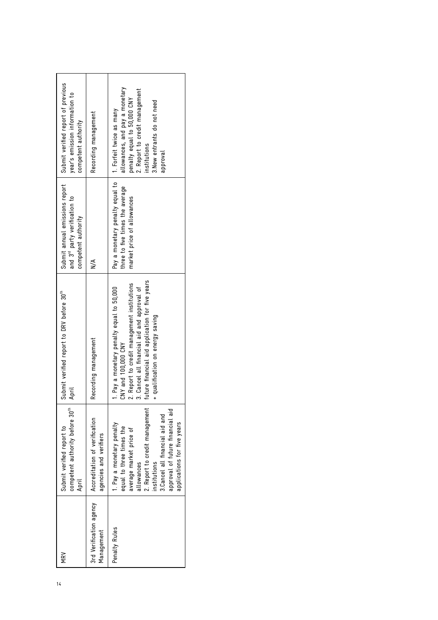| MRV                                   | competent authority before 30 <sup>th</sup><br>Submit verified report to<br>April                                                                                                                                                                   | Submit verified report to DRV before 30 <sup>th</sup><br>April                                                                                                                                                                                        | Submit annual emissions report<br>and 3 <sup>rd</sup> party verification to<br>competent authority | Submit verified report of previous<br>year's emission information to<br>competent authority                                                                                            |
|---------------------------------------|-----------------------------------------------------------------------------------------------------------------------------------------------------------------------------------------------------------------------------------------------------|-------------------------------------------------------------------------------------------------------------------------------------------------------------------------------------------------------------------------------------------------------|----------------------------------------------------------------------------------------------------|----------------------------------------------------------------------------------------------------------------------------------------------------------------------------------------|
| 3rd Verification agency<br>Management | Accreditation of verification<br>agencies and verifiers                                                                                                                                                                                             | Recording management                                                                                                                                                                                                                                  | ≶                                                                                                  | Recording management                                                                                                                                                                   |
| Penalty Rules                         | 2. Report to credit management<br>approval of future financial aid<br>Cancel all financial aid and<br>applications for five years<br>1. Pay a monetary penalty<br>equal to three times the<br>average market price of<br>allowances<br>institutions | future financial aid application for five years<br>2. Report to credit management institutions<br>1. Pay a monetary penalty equal to 50,000<br>3. Cancel all financial aid and approval of<br>+ qualification on energy saving<br>CNY and 100,000 CNY | Pay a monetary penalty equal to  <br>three to five times the average<br>market price of allowances | allowances, and pay a monetary<br>2. Report to credit management<br>penalty equal to 50,000 CNY<br>3. New entrants do not need<br>1. Forfeit twice as many<br>institutions<br>approval |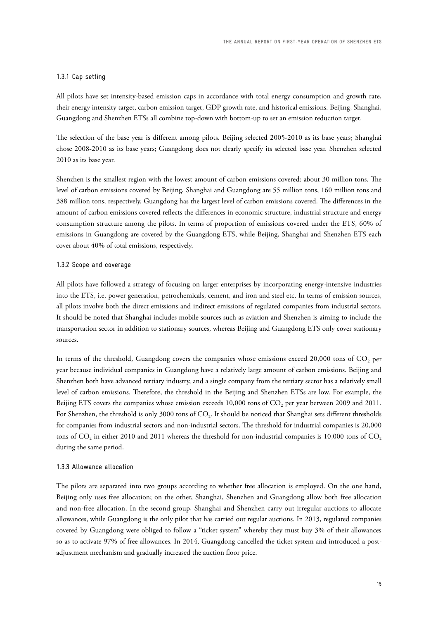# 1.3.1 Cap setting

All pilots have set intensity-based emission caps in accordance with total energy consumption and growth rate, their energy intensity target, carbon emission target, GDP growth rate, and historical emissions. Beijing, Shanghai, Guangdong and Shenzhen ETSs all combine top-down with bottom-up to set an emission reduction target.

The selection of the base year is different among pilots. Beijing selected 2005-2010 as its base years; Shanghai chose 2008-2010 as its base years; Guangdong does not clearly specify its selected base year. Shenzhen selected 2010 as its base year.

Shenzhen is the smallest region with the lowest amount of carbon emissions covered: about 30 million tons. The level of carbon emissions covered by Beijing, Shanghai and Guangdong are 55 million tons, 160 million tons and 388 million tons, respectively. Guangdong has the largest level of carbon emissions covered. The differences in the amount of carbon emissions covered reflects the differences in economic structure, industrial structure and energy consumption structure among the pilots. In terms of proportion of emissions covered under the ETS, 60% of emissions in Guangdong are covered by the Guangdong ETS, while Beijing, Shanghai and Shenzhen ETS each cover about 40% of total emissions, respectively.

#### 1.3.2 Scope and coverage

All pilots have followed a strategy of focusing on larger enterprises by incorporating energy-intensive industries into the ETS, i.e. power generation, petrochemicals, cement, and iron and steel etc. In terms of emission sources, all pilots involve both the direct emissions and indirect emissions of regulated companies from industrial sectors. It should be noted that Shanghai includes mobile sources such as aviation and Shenzhen is aiming to include the transportation sector in addition to stationary sources, whereas Beijing and Guangdong ETS only cover stationary sources.

In terms of the threshold, Guangdong covers the companies whose emissions exceed 20,000 tons of CO<sub>2</sub> per year because individual companies in Guangdong have a relatively large amount of carbon emissions. Beijing and Shenzhen both have advanced tertiary industry, and a single company from the tertiary sector has a relatively small level of carbon emissions. Therefore, the threshold in the Beijing and Shenzhen ETSs are low. For example, the Beijing ETS covers the companies whose emission exceeds 10,000 tons of CO<sub>2</sub> per year between 2009 and 2011. For Shenzhen, the threshold is only 3000 tons of CO<sub>2</sub>. It should be noticed that Shanghai sets different thresholds for companies from industrial sectors and non-industrial sectors. The threshold for industrial companies is 20,000 tons of  $CO_2$  in either 2010 and 2011 whereas the threshold for non-industrial companies is 10,000 tons of  $CO_2$ during the same period.

#### 1.3.3 Allowance allocation

The pilots are separated into two groups according to whether free allocation is employed. On the one hand, Beijing only uses free allocation; on the other, Shanghai, Shenzhen and Guangdong allow both free allocation and non-free allocation. In the second group, Shanghai and Shenzhen carry out irregular auctions to allocate allowances, while Guangdong is the only pilot that has carried out regular auctions. In 2013, regulated companies covered by Guangdong were obliged to follow a "ticket system" whereby they must buy 3% of their allowances so as to activate 97% of free allowances. In 2014, Guangdong cancelled the ticket system and introduced a postadjustment mechanism and gradually increased the auction floor price.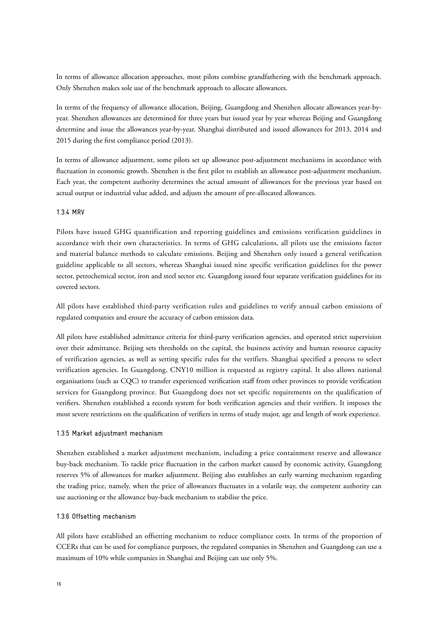In terms of allowance allocation approaches, most pilots combine grandfathering with the benchmark approach. Only Shenzhen makes sole use of the benchmark approach to allocate allowances.

In terms of the frequency of allowance allocation, Beijing, Guangdong and Shenzhen allocate allowances year-byyear. Shenzhen allowances are determined for three years but issued year by year whereas Beijing and Guangdong determine and issue the allowances year-by-year. Shanghai distributed and issued allowances for 2013, 2014 and 2015 during the first compliance period (2013).

In terms of allowance adjustment, some pilots set up allowance post-adjustment mechanisms in accordance with fluctuation in economic growth. Shenzhen is the first pilot to establish an allowance post-adjustment mechanism. Each year, the competent authority determines the actual amount of allowances for the previous year based on actual output or industrial value added, and adjusts the amount of pre-allocated allowances.

#### 1.3.4 MRV

Pilots have issued GHG quantification and reporting guidelines and emissions verification guidelines in accordance with their own characteristics. In terms of GHG calculations, all pilots use the emissions factor and material balance methods to calculate emissions. Beijing and Shenzhen only issued a general verification guideline applicable to all sectors, whereas Shanghai issued nine specific verification guidelines for the power sector, petrochemical sector, iron and steel sector etc. Guangdong issued four separate verification guidelines for its covered sectors.

All pilots have established third-party verification rules and guidelines to verify annual carbon emissions of regulated companies and ensure the accuracy of carbon emission data.

All pilots have established admittance criteria for third-party verification agencies, and operated strict supervision over their admittance. Beijing sets thresholds on the capital, the business activity and human resource capacity of verification agencies, as well as setting specific rules for the verifiers. Shanghai specified a process to select verification agencies. In Guangdong, CNY10 million is requested as registry capital. It also allows national organisations (such as CQC) to transfer experienced verification staff from other provinces to provide verification services for Guangdong province. But Guangdong does not set specific requirements on the qualification of verifiers. Shenzhen established a records system for both verification agencies and their verifiers. It imposes the most severe restrictions on the qualification of verifiers in terms of study major, age and length of work experience.

#### 1.3.5 Market adjustment mechanism

Shenzhen established a market adjustment mechanism, including a price containment reserve and allowance buy-back mechanism. To tackle price fluctuation in the carbon market caused by economic activity, Guangdong reserves 5% of allowances for market adjustment. Beijing also establishes an early warning mechanism regarding the trading price, namely, when the price of allowances fluctuates in a volatile way, the competent authority can use auctioning or the allowance buy-back mechanism to stabilise the price.

#### 1.3.6 Offsetting mechanism

All pilots have established an offsetting mechanism to reduce compliance costs. In terms of the proportion of CCERs that can be used for compliance purposes, the regulated companies in Shenzhen and Guangdong can use a maximum of 10% while companies in Shanghai and Beijing can use only 5%.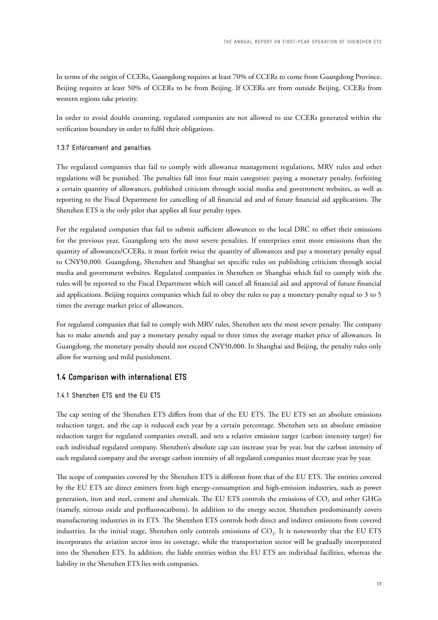In terms of the origin of CCERs, Guangdong requires at least 70% of CCERs to come from Guangdong Province. Beijing requires at least 50% of CCERs to be from Beijing. If CCERs are from outside Beijing, CCERs from western regions take priority.

In order to avoid double counting, regulated companies are not allowed to use CCERs generated within the verification boundary in order to fulfil their obligations.

# 1.3.7 Enforcement and penalties

The regulated companies that fail to comply with allowance management regulations, MRV rules and other regulations will be punished. The penalties fall into four main categories: paying a monetary penalty, forfeiting a certain quantity of allowances, published criticism through social media and government websites, as well as reporting to the Fiscal Department for cancelling of all financial aid and of future financial aid applications. The Shenzhen ETS is the only pilot that applies all four penalty types.

For the regulated companies that fail to submit sufficient allowances to the local DRC to offset their emissions for the previous year, Guangdong sets the most severe penalties. If enterprises emit more emissions than the quantity of allowances/CCERs, it must forfeit twice the quantity of allowances and pay a monetary penalty equal to CNY50,000. Guangdong, Shenzhen and Shanghai set specific rules on publishing criticism through social media and government websites. Regulated companies in Shenzhen or Shanghai which fail to comply with the rules will be reported to the Fiscal Department which will cancel all financial aid and approval of future financial aid applications. Beijing requires companies which fail to obey the rules to pay a monetary penalty equal to 3 to 5 times the average market price of allowances.

For regulated companies that fail to comply with MRV rules, Shenzhen sets the most severe penalty. The company has to make amends and pay a monetary penalty equal to three times the average market price of allowances. In Guangdong, the monetary penalty should not exceed CNY50,000. In Shanghai and Beijing, the penalty rules only allow for warning and mild punishment.

# **1.4 Comparison with international ETS**

# 1.4.1 Shenzhen ETS and the EU ETS

The cap setting of the Shenzhen ETS differs from that of the EU ETS. The EU ETS set an absolute emissions reduction target, and the cap is reduced each year by a certain percentage. Shenzhen sets an absolute emission reduction target for regulated companies overall, and sets a relative emission target (carbon intensity target) for each individual regulated company. Shenzhen's absolute cap can increase year by year, but the carbon intensity of each regulated company and the average carbon intensity of all regulated companies must decrease year by year.

The scope of companies covered by the Shenzhen ETS is different from that of the EU ETS. The entities covered by the EU ETS are direct emitters from high energy-consumption and high-emission industries, such as power generation, iron and steel, cement and chemicals. The EU ETS controls the emissions of CO<sub>2</sub> and other GHGs (namely, nitrous oxide and perfluorocarbons). In addition to the energy sector, Shenzhen predominantly covers manufacturing industries in its ETS. The Shenzhen ETS controls both direct and indirect emissions from covered industries. In the initial stage, Shenzhen only controls emissions of CO<sub>2</sub>. It is noteworthy that the EU ETS incorporates the aviation sector into its coverage, while the transportation sector will be gradually incorporated into the Shenzhen ETS. In addition, the liable entities within the EU ETS are individual facilities, whereas the liability in the Shenzhen ETS lies with companies.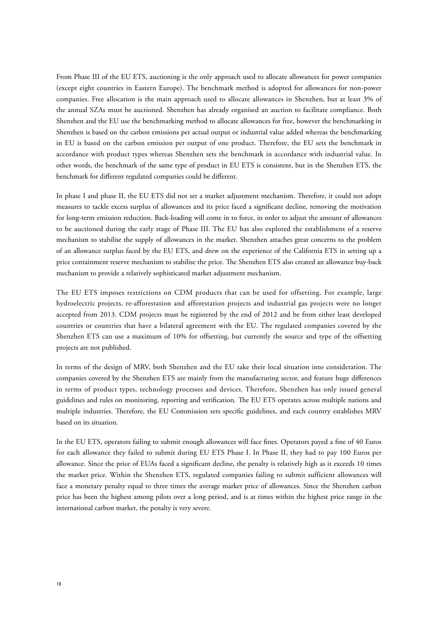From Phase III of the EU ETS, auctioning is the only approach used to allocate allowances for power companies (except eight countries in Eastern Europe). The benchmark method is adopted for allowances for non-power companies. Free allocation is the main approach used to allocate allowances in Shenzhen, but at least 3% of the annual SZAs must be auctioned. Shenzhen has already organised an auction to facilitate compliance. Both Shenzhen and the EU use the benchmarking method to allocate allowances for free, however the benchmarking in Shenzhen is based on the carbon emissions per actual output or industrial value added whereas the benchmarking in EU is based on the carbon emission per output of one product. Therefore, the EU sets the benchmark in accordance with product types whereas Shenzhen sets the benchmark in accordance with industrial value. In other words, the benchmark of the same type of product in EU ETS is consistent, but in the Shenzhen ETS, the benchmark for different regulated companies could be different.

In phase I and phase II, the EU ETS did not set a market adjustment mechanism. Therefore, it could not adopt measures to tackle excess surplus of allowances and its price faced a significant decline, removing the motivation for long-term emission reduction. Back-loading will come in to force, in order to adjust the amount of allowances to be auctioned during the early stage of Phase III. The EU has also explored the establishment of a reserve mechanism to stabilise the supply of allowances in the market. Shenzhen attaches great concerns to the problem of an allowance surplus faced by the EU ETS, and drew on the experience of the California ETS in setting up a price containment reserve mechanism to stabilise the price. The Shenzhen ETS also created an allowance buy-back mechanism to provide a relatively sophisticated market adjustment mechanism.

The EU ETS imposes restrictions on CDM products that can be used for offsetting. For example, large hydroelectric projects, re-afforestation and afforestation projects and industrial gas projects were no longer accepted from 2013. CDM projects must be registered by the end of 2012 and be from either least developed countries or countries that have a bilateral agreement with the EU. The regulated companies covered by the Shenzhen ETS can use a maximum of 10% for offsetting, but currently the source and type of the offsetting projects are not published.

In terms of the design of MRV, both Shenzhen and the EU take their local situation into consideration. The companies covered by the Shenzhen ETS are mainly from the manufacturing sector, and feature huge differences in terms of product types, technology processes and devices. Therefore, Shenzhen has only issued general guidelines and rules on monitoring, reporting and verification. The EU ETS operates across multiple nations and multiple industries. Therefore, the EU Commission sets specific guidelines, and each country establishes MRV based on its situation.

In the EU ETS, operators failing to submit enough allowances will face fines. Operators payed a fine of 40 Euros for each allowance they failed to submit during EU ETS Phase I. In Phase II, they had to pay 100 Euros per allowance. Since the price of EUAs faced a significant decline, the penalty is relatively high as it exceeds 10 times the market price. Within the Shenzhen ETS, regulated companies failing to submit sufficient allowances will face a monetary penalty equal to three times the average market price of allowances. Since the Shenzhen carbon price has been the highest among pilots over a long period, and is at times within the highest price range in the international carbon market, the penalty is very severe.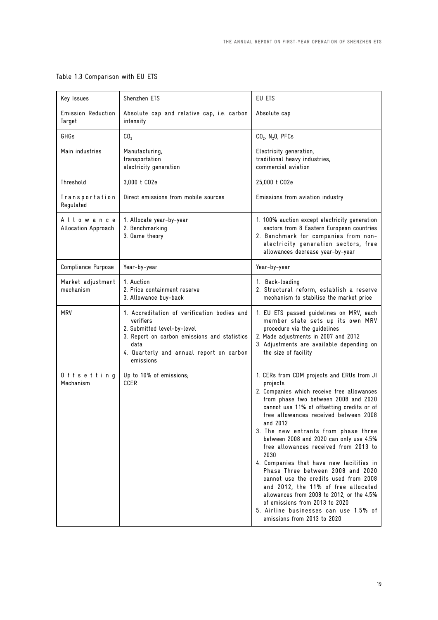# Table 1.3 Comparison with EU ETS

| Key Issues                       | Shenzhen ETS                                                                                                                                                                                             | EU ETS                                                                                                                                                                                                                                                                                                                                                                                                                                                                                                                                                                                                                                                                                                      |
|----------------------------------|----------------------------------------------------------------------------------------------------------------------------------------------------------------------------------------------------------|-------------------------------------------------------------------------------------------------------------------------------------------------------------------------------------------------------------------------------------------------------------------------------------------------------------------------------------------------------------------------------------------------------------------------------------------------------------------------------------------------------------------------------------------------------------------------------------------------------------------------------------------------------------------------------------------------------------|
| Emission Reduction<br>Target     | Absolute cap and relative cap, i.e. carbon<br>intensity                                                                                                                                                  | Absolute cap                                                                                                                                                                                                                                                                                                                                                                                                                                                                                                                                                                                                                                                                                                |
| GHGs                             | CO <sub>2</sub>                                                                                                                                                                                          | $CO2$ , N <sub>2</sub> 0, PFCs                                                                                                                                                                                                                                                                                                                                                                                                                                                                                                                                                                                                                                                                              |
| Main industries                  | Manufacturing,<br>transportation<br>electricity generation                                                                                                                                               | Electricity generation,<br>traditional heavy industries,<br>commercial aviation                                                                                                                                                                                                                                                                                                                                                                                                                                                                                                                                                                                                                             |
| Threshold                        | 3,000 t CO2e                                                                                                                                                                                             | 25,000 t CO2e                                                                                                                                                                                                                                                                                                                                                                                                                                                                                                                                                                                                                                                                                               |
| Transportation<br>Regulated      | Direct emissions from mobile sources                                                                                                                                                                     | Emissions from aviation industry                                                                                                                                                                                                                                                                                                                                                                                                                                                                                                                                                                                                                                                                            |
| Allowance<br>Allocation Approach | 1. Allocate year-by-year<br>2. Benchmarking<br>3. Game theory                                                                                                                                            | 1. 100% auction except electricity generation<br>sectors from 8 Eastern European countries<br>2. Benchmark for companies from non-<br>electricity generation sectors, free<br>allowances decrease year-by-year                                                                                                                                                                                                                                                                                                                                                                                                                                                                                              |
| Compliance Purpose               | Year-by-year                                                                                                                                                                                             | Year-by-year                                                                                                                                                                                                                                                                                                                                                                                                                                                                                                                                                                                                                                                                                                |
| Market adjustment<br>mechanism   | 1. Auction<br>2. Price containment reserve<br>3. Allowance buy-back                                                                                                                                      | 1. Back-loading<br>2. Structural reform, establish a reserve<br>mechanism to stabilise the market price                                                                                                                                                                                                                                                                                                                                                                                                                                                                                                                                                                                                     |
| <b>MRV</b>                       | 1. Accreditation of verification bodies and<br>verifiers<br>2. Submitted level-by-level<br>3. Report on carbon emissions and statistics<br>data<br>4. Quarterly and annual report on carbon<br>emissions | 1. EU ETS passed guidelines on MRV, each<br>member state sets up its own MRV<br>procedure via the guidelines<br>2. Made adjustments in 2007 and 2012<br>3. Adjustments are available depending on<br>the size of facility                                                                                                                                                                                                                                                                                                                                                                                                                                                                                   |
| Offsetting<br>Mechanism          | Up to 10% of emissions;<br><b>CCER</b>                                                                                                                                                                   | 1. CERs from CDM projects and ERUs from JI<br>projects<br>2. Companies which receive free allowances<br>from phase two between 2008 and 2020<br>cannot use 11% of offsetting credits or of<br>free allowances received between 2008<br>and 2012<br>3. The new entrants from phase three<br>between 2008 and 2020 can only use 4.5%<br>free allowances received from 2013 to<br>2030<br>4. Companies that have new facilities in<br>Phase Three between 2008 and 2020<br>cannot use the credits used from 2008<br>and 2012, the 11% of free allocated<br>allowances from 2008 to 2012, or the 4.5%<br>of emissions from 2013 to 2020<br>5. Airline businesses can use 1.5% of<br>emissions from 2013 to 2020 |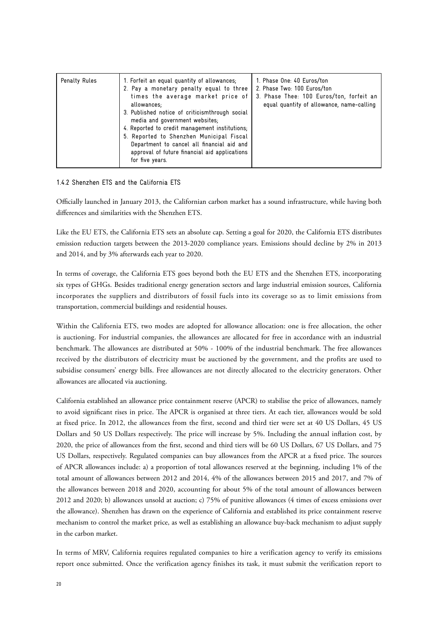| Penalty Rules | 1. Forfeit an equal quantity of allowances;<br>2. Pay a monetary penalty equal to three<br>times the average market price of<br>allowances;<br>3. Published notice of criticismthrough social<br>media and government websites;<br>4. Reported to credit management institutions;<br>5. Reported to Shenzhen Municipal Fiscal<br>Department to cancel all financial aid and<br>approval of future financial aid applications<br>for five years. | 1. Phase One: 40 Euros/ton<br>2. Phase Two: 100 Euros/ton<br>3. Phase Thee: 100 Euros/ton, forfeit an<br>equal quantity of allowance, name-calling |
|---------------|-------------------------------------------------------------------------------------------------------------------------------------------------------------------------------------------------------------------------------------------------------------------------------------------------------------------------------------------------------------------------------------------------------------------------------------------------|----------------------------------------------------------------------------------------------------------------------------------------------------|
|---------------|-------------------------------------------------------------------------------------------------------------------------------------------------------------------------------------------------------------------------------------------------------------------------------------------------------------------------------------------------------------------------------------------------------------------------------------------------|----------------------------------------------------------------------------------------------------------------------------------------------------|

# 1.4.2 Shenzhen ETS and the California ETS

Officially launched in January 2013, the Californian carbon market has a sound infrastructure, while having both differences and similarities with the Shenzhen ETS.

Like the EU ETS, the California ETS sets an absolute cap. Setting a goal for 2020, the California ETS distributes emission reduction targets between the 2013-2020 compliance years. Emissions should decline by 2% in 2013 and 2014, and by 3% afterwards each year to 2020.

In terms of coverage, the California ETS goes beyond both the EU ETS and the Shenzhen ETS, incorporating six types of GHGs. Besides traditional energy generation sectors and large industrial emission sources, California incorporates the suppliers and distributors of fossil fuels into its coverage so as to limit emissions from transportation, commercial buildings and residential houses.

Within the California ETS, two modes are adopted for allowance allocation: one is free allocation, the other is auctioning. For industrial companies, the allowances are allocated for free in accordance with an industrial benchmark. The allowances are distributed at 50% - 100% of the industrial benchmark. The free allowances received by the distributors of electricity must be auctioned by the government, and the profits are used to subsidise consumers' energy bills. Free allowances are not directly allocated to the electricity generators. Other allowances are allocated via auctioning.

California established an allowance price containment reserve (APCR) to stabilise the price of allowances, namely to avoid significant rises in price. The APCR is organised at three tiers. At each tier, allowances would be sold at fixed price. In 2012, the allowances from the first, second and third tier were set at 40 US Dollars, 45 US Dollars and 50 US Dollars respectively. The price will increase by 5%. Including the annual inflation cost, by 2020, the price of allowances from the first, second and third tiers will be 60 US Dollars, 67 US Dollars, and 75 US Dollars, respectively. Regulated companies can buy allowances from the APCR at a fixed price. The sources of APCR allowances include: a) a proportion of total allowances reserved at the beginning, including 1% of the total amount of allowances between 2012 and 2014, 4% of the allowances between 2015 and 2017, and 7% of the allowances between 2018 and 2020, accounting for about 5% of the total amount of allowances between 2012 and 2020; b) allowances unsold at auction; c) 75% of punitive allowances (4 times of excess emissions over the allowance). Shenzhen has drawn on the experience of California and established its price containment reserve mechanism to control the market price, as well as establishing an allowance buy-back mechanism to adjust supply in the carbon market.

In terms of MRV, California requires regulated companies to hire a verification agency to verify its emissions report once submitted. Once the verification agency finishes its task, it must submit the verification report to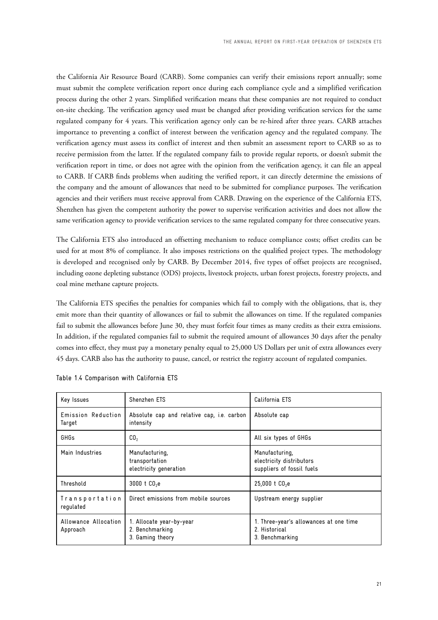the California Air Resource Board (CARB). Some companies can verify their emissions report annually; some must submit the complete verification report once during each compliance cycle and a simplified verification process during the other 2 years. Simplified verification means that these companies are not required to conduct on-site checking. The verification agency used must be changed after providing verification services for the same regulated company for 4 years. This verification agency only can be re-hired after three years. CARB attaches importance to preventing a conflict of interest between the verification agency and the regulated company. The verification agency must assess its conflict of interest and then submit an assessment report to CARB so as to receive permission from the latter. If the regulated company fails to provide regular reports, or doesn't submit the verification report in time, or does not agree with the opinion from the verification agency, it can file an appeal to CARB. If CARB finds problems when auditing the verified report, it can directly determine the emissions of the company and the amount of allowances that need to be submitted for compliance purposes. The verification agencies and their verifiers must receive approval from CARB. Drawing on the experience of the California ETS, Shenzhen has given the competent authority the power to supervise verification activities and does not allow the same verification agency to provide verification services to the same regulated company for three consecutive years.

The California ETS also introduced an offsetting mechanism to reduce compliance costs; offset credits can be used for at most 8% of compliance. It also imposes restrictions on the qualified project types. The methodology is developed and recognised only by CARB. By December 2014, five types of offset projects are recognised, including ozone depleting substance (ODS) projects, livestock projects, urban forest projects, forestry projects, and coal mine methane capture projects.

The California ETS specifies the penalties for companies which fail to comply with the obligations, that is, they emit more than their quantity of allowances or fail to submit the allowances on time. If the regulated companies fail to submit the allowances before June 30, they must forfeit four times as many credits as their extra emissions. In addition, if the regulated companies fail to submit the required amount of allowances 30 days after the penalty comes into effect, they must pay a monetary penalty equal to 25,000 US Dollars per unit of extra allowances every 45 days. CARB also has the authority to pause, cancel, or restrict the registry account of regulated companies.

| Key Issues                       | Shenzhen ETS                                                    | California ETS                                                             |
|----------------------------------|-----------------------------------------------------------------|----------------------------------------------------------------------------|
| Emission Reduction<br>Target     | Absolute cap and relative cap, <i>i.e.</i> carbon<br>intensity  | Absolute cap                                                               |
| GHGs                             | CO <sub>2</sub>                                                 | All six types of GHGs                                                      |
| Main Industries                  | Manufacturing,<br>transportation<br>electricity generation      | Manufacturing,<br>electricity distributors<br>suppliers of fossil fuels    |
| Threshold                        | $3000 + C02e$                                                   | $25,000$ t $CO,e$                                                          |
| Transportation<br>regulated      | Direct emissions from mobile sources                            | Upstream energy supplier                                                   |
| Allowance Allocation<br>Approach | 1. Allocate year-by-year<br>2. Benchmarking<br>3. Gaming theory | 1. Three-year's allowances at one time<br>2. Historical<br>3. Benchmarking |

|  | Table 1.4 Comparison with California ETS |  |  |
|--|------------------------------------------|--|--|
|  |                                          |  |  |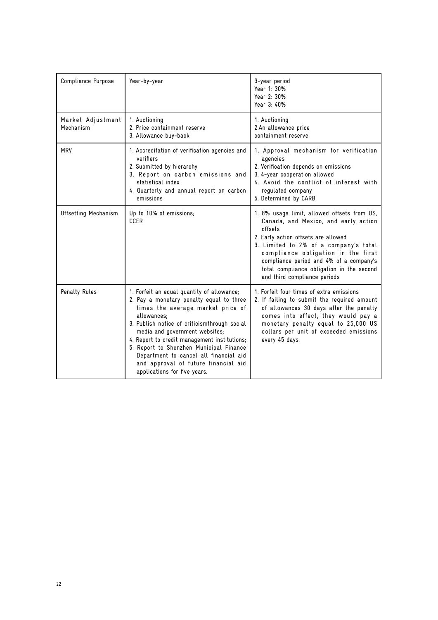| Compliance Purpose             | Year-by-year                                                                                                                                                                                                                                                                                                                                                                                                                              | 3-year period<br>Year 1: 30%<br>Year 2: 30%<br>Year 3: 40%                                                                                                                                                                                                                                                                                   |
|--------------------------------|-------------------------------------------------------------------------------------------------------------------------------------------------------------------------------------------------------------------------------------------------------------------------------------------------------------------------------------------------------------------------------------------------------------------------------------------|----------------------------------------------------------------------------------------------------------------------------------------------------------------------------------------------------------------------------------------------------------------------------------------------------------------------------------------------|
| Market Adjustment<br>Mechanism | 1. Auctioning<br>2. Price containment reserve<br>3. Allowance buy-back                                                                                                                                                                                                                                                                                                                                                                    | 1. Auctioning<br>2.An allowance price<br>containment reserve                                                                                                                                                                                                                                                                                 |
| <b>MRV</b>                     | 1. Accreditation of verification agencies and<br>verifiers<br>2. Submitted by hierarchy<br>3. Report on carbon emissions and<br>statistical index<br>4. Quarterly and annual report on carbon<br>emissions                                                                                                                                                                                                                                | 1. Approval mechanism for verification<br>agencies<br>2. Verification depends on emissions<br>3. 4-year cooperation allowed<br>4. Avoid the conflict of interest with<br>regulated company<br>5. Determined by CARB                                                                                                                          |
| Offsetting Mechanism           | Up to 10% of emissions;<br><b>CCER</b>                                                                                                                                                                                                                                                                                                                                                                                                    | 1. 8% usage limit, allowed offsets from US,<br>Canada, and Mexico, and early action<br>offsets<br>2. Early action offsets are allowed<br>3. Limited to 2% of a company's total<br>compliance obligation in the first<br>compliance period and 4% of a company's<br>total compliance obligation in the second<br>and third compliance periods |
| Penalty Rules                  | 1. Forfeit an equal quantity of allowance;<br>2. Pay a monetary penalty equal to three<br>times the average market price of<br>allowances:<br>3. Publish notice of criticismthrough social<br>media and government websites;<br>4. Report to credit management institutions;<br>5. Report to Shenzhen Municipal Finance<br>Department to cancel all financial aid<br>and approval of future financial aid<br>applications for five years. | 1. Forfeit four times of extra emissions<br>2. If failing to submit the required amount<br>of allowances 30 days after the penalty<br>comes into effect, they would pay a<br>monetary penalty equal to 25,000 US<br>dollars per unit of exceeded emissions<br>every 45 days.                                                                 |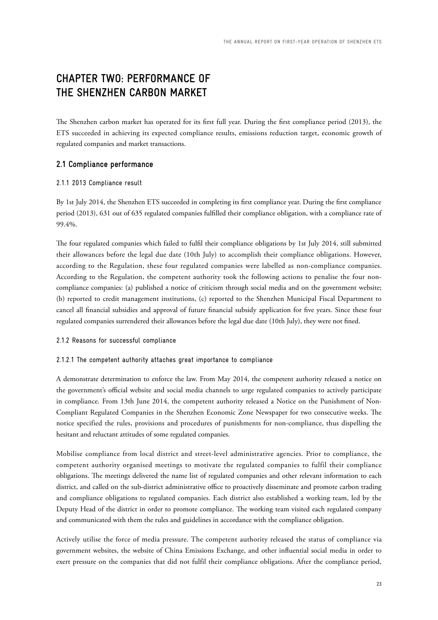# **CHAPTER TWO: PERFORMANCE OF THE SHENZHEN CARBON MARKET**

The Shenzhen carbon market has operated for its first full year. During the first compliance period (2013), the ETS succeeded in achieving its expected compliance results, emissions reduction target, economic growth of regulated companies and market transactions.

# **2.1 Compliance performance**

# 2.1.1 2013 Compliance result

By 1st July 2014, the Shenzhen ETS succeeded in completing its first compliance year. During the first compliance period (2013), 631 out of 635 regulated companies fulfilled their compliance obligation, with a compliance rate of 99.4%.

The four regulated companies which failed to fulfil their compliance obligations by 1st July 2014, still submitted their allowances before the legal due date (10th July) to accomplish their compliance obligations. However, according to the Regulation, these four regulated companies were labelled as non-compliance companies. According to the Regulation, the competent authority took the following actions to penalise the four noncompliance companies: (a) published a notice of criticism through social media and on the government website; (b) reported to credit management institutions, (c) reported to the Shenzhen Municipal Fiscal Department to cancel all financial subsidies and approval of future financial subsidy application for five years. Since these four regulated companies surrendered their allowances before the legal due date (10th July), they were not fined.

# 2.1.2 Reasons for successful compliance

# 2.1.2.1 The competent authority attaches great importance to compliance

A demonstrate determination to enforce the law. From May 2014, the competent authority released a notice on the government's official website and social media channels to urge regulated companies to actively participate in compliance. From 13th June 2014, the competent authority released a Notice on the Punishment of Non-Compliant Regulated Companies in the Shenzhen Economic Zone Newspaper for two consecutive weeks. The notice specified the rules, provisions and procedures of punishments for non-compliance, thus dispelling the hesitant and reluctant attitudes of some regulated companies.

Mobilise compliance from local district and street-level administrative agencies. Prior to compliance, the competent authority organised meetings to motivate the regulated companies to fulfil their compliance obligations. The meetings delivered the name list of regulated companies and other relevant information to each district, and called on the sub-district administrative office to proactively disseminate and promote carbon trading and compliance obligations to regulated companies. Each district also established a working team, led by the Deputy Head of the district in order to promote compliance. The working team visited each regulated company and communicated with them the rules and guidelines in accordance with the compliance obligation.

Actively utilise the force of media pressure. The competent authority released the status of compliance via government websites, the website of China Emissions Exchange, and other influential social media in order to exert pressure on the companies that did not fulfil their compliance obligations. After the compliance period,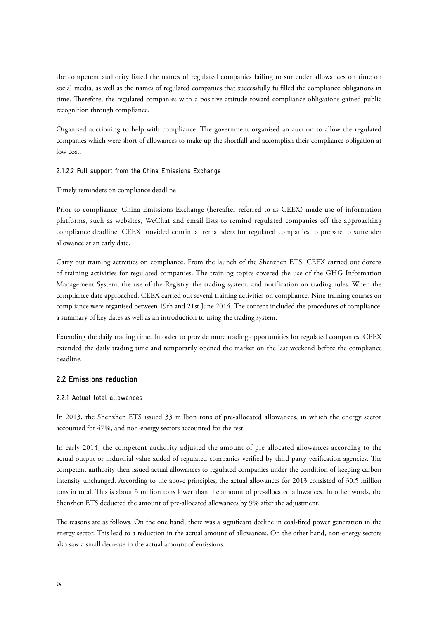the competent authority listed the names of regulated companies failing to surrender allowances on time on social media, as well as the names of regulated companies that successfully fulfilled the compliance obligations in time. Therefore, the regulated companies with a positive attitude toward compliance obligations gained public recognition through compliance.

Organised auctioning to help with compliance. The government organised an auction to allow the regulated companies which were short of allowances to make up the shortfall and accomplish their compliance obligation at low cost.

# 2.1.2.2 Full support from the China Emissions Exchange

Timely reminders on compliance deadline

Prior to compliance, China Emissions Exchange (hereafter referred to as CEEX) made use of information platforms, such as websites, WeChat and email lists to remind regulated companies off the approaching compliance deadline. CEEX provided continual remainders for regulated companies to prepare to surrender allowance at an early date.

Carry out training activities on compliance. From the launch of the Shenzhen ETS, CEEX carried out dozens of training activities for regulated companies. The training topics covered the use of the GHG Information Management System, the use of the Registry, the trading system, and notification on trading rules. When the compliance date approached, CEEX carried out several training activities on compliance. Nine training courses on compliance were organised between 19th and 21st June 2014. The content included the procedures of compliance, a summary of key dates as well as an introduction to using the trading system.

Extending the daily trading time. In order to provide more trading opportunities for regulated companies, CEEX extended the daily trading time and temporarily opened the market on the last weekend before the compliance deadline.

# **2.2 Emissions reduction**

#### 2.2.1 Actual total allowances

In 2013, the Shenzhen ETS issued 33 million tons of pre-allocated allowances, in which the energy sector accounted for 47%, and non-energy sectors accounted for the rest.

In early 2014, the competent authority adjusted the amount of pre-allocated allowances according to the actual output or industrial value added of regulated companies verified by third party verification agencies. The competent authority then issued actual allowances to regulated companies under the condition of keeping carbon intensity unchanged. According to the above principles, the actual allowances for 2013 consisted of 30.5 million tons in total. This is about 3 million tons lower than the amount of pre-allocated allowances. In other words, the Shenzhen ETS deducted the amount of pre-allocated allowances by 9% after the adjustment.

The reasons are as follows. On the one hand, there was a significant decline in coal-fired power generation in the energy sector. This lead to a reduction in the actual amount of allowances. On the other hand, non-energy sectors also saw a small decrease in the actual amount of emissions.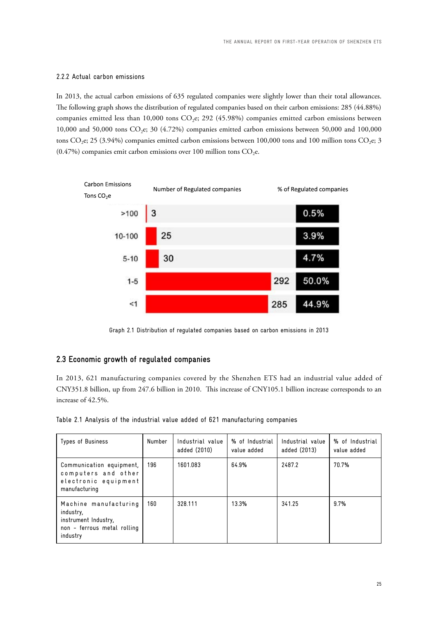## 2.2.2 Actual carbon emissions

In 2013, the actual carbon emissions of 635 regulated companies were slightly lower than their total allowances. The following graph shows the distribution of regulated companies based on their carbon emissions: 285 (44.88%) companies emitted less than 10,000 tons  $CO_2$ e; 292 (45.98%) companies emitted carbon emissions between 10,000 and 50,000 tons  $CO<sub>2</sub>$ e; 30 (4.72%) companies emitted carbon emissions between 50,000 and 100,000 tons CO<sub>2</sub>e; 25 (3.94%) companies emitted carbon emissions between 100,000 tons and 100 million tons CO<sub>2</sub>e; 3  $(0.47%)$  companies emit carbon emissions over 100 million tons CO<sub>2</sub>e.



Graph 2.1 Distribution of regulated companies based on carbon emissions in 2013

# **2.3 Economic growth of regulated companies**

In 2013, 621 manufacturing companies covered by the Shenzhen ETS had an industrial value added of CNY351.8 billion, up from 247.6 billion in 2010. This increase of CNY105.1 billion increase corresponds to an increase of 42.5%.

Table 2.1 Analysis of the industrial value added of 621 manufacturing companies

| Types of Business                                                                                     | Number | Industrial value<br>added (2010) | % of Industrial<br>value added | Industrial value<br>added (2013) | % of Industrial<br>value added |
|-------------------------------------------------------------------------------------------------------|--------|----------------------------------|--------------------------------|----------------------------------|--------------------------------|
| Communication equipment,<br>computers and other<br>electronic equipment<br>manufacturing              | 196    | 1601.083                         | 64.9%                          | 2487.2                           | 70.7%                          |
| Machine manufacturing<br>industry,<br>instrument Industry,<br>non - ferrous metal rolling<br>industry | 160    | 328.111                          | 13.3%                          | 341.25                           | 9.7%                           |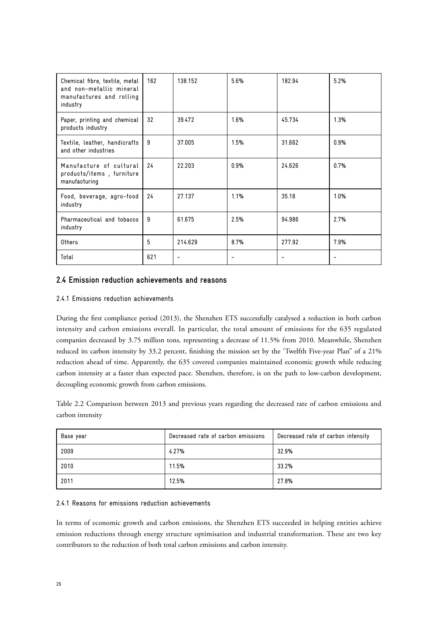| Chemical fibre, textile, metal<br>and non-metallic mineral<br>manufactures and rolling<br>industry | 162 | 138.152 | 5.6% | 182.94 | 5.2% |
|----------------------------------------------------------------------------------------------------|-----|---------|------|--------|------|
| Paper, printing and chemical<br>products industry                                                  | 32  | 39.472  | 1.6% | 45.734 | 1.3% |
| Textile, leather, handicrafts<br>and other industries                                              | 9   | 37.005  | 1.5% | 31.662 | 0.9% |
| Manufacture of cultural<br>products/items, furniture<br>manufacturing                              | 24  | 22.203  | 0.9% | 24.626 | 0.7% |
| Food, beverage, agro-food<br>industry                                                              | 24  | 27.137  | 1.1% | 35.18  | 1.0% |
| Pharmaceutical and tobacco<br>industry                                                             | 9   | 61.675  | 2.5% | 94.986 | 2.7% |
| Others                                                                                             | 5   | 214.629 | 8.7% | 277.92 | 7.9% |
| Total                                                                                              | 621 |         |      |        |      |

# **2.4 Emission reduction achievements and reasons**

# 2.4.1 Emissions reduction achievements

During the first compliance period (2013), the Shenzhen ETS successfully catalysed a reduction in both carbon intensity and carbon emissions overall. In particular, the total amount of emissions for the 635 regulated companies decreased by 3.75 million tons, representing a decrease of 11.5% from 2010. Meanwhile, Shenzhen reduced its carbon intensity by 33.2 percent, finishing the mission set by the 'Twelfth Five-year Plan" of a 21% reduction ahead of time. Apparently, the 635 covered companies maintained economic growth while reducing carbon intensity at a faster than expected pace. Shenzhen, therefore, is on the path to low-carbon development, decoupling economic growth from carbon emissions.

Table 2.2 Comparison between 2013 and previous years regarding the decreased rate of carbon emissions and carbon intensity

| Base year | Decreased rate of carbon emissions | Decreased rate of carbon intensity |
|-----------|------------------------------------|------------------------------------|
| 2009      | 4.27%                              | 32.9%                              |
| 2010      | 11.5%                              | 33.2%                              |
| 2011      | 12.5%                              | 27.8%                              |

# 2.4.1 Reasons for emissions reduction achievements

In terms of economic growth and carbon emissions, the Shenzhen ETS succeeded in helping entities achieve emission reductions through energy structure optimisation and industrial transformation. These are two key contributors to the reduction of both total carbon emissions and carbon intensity.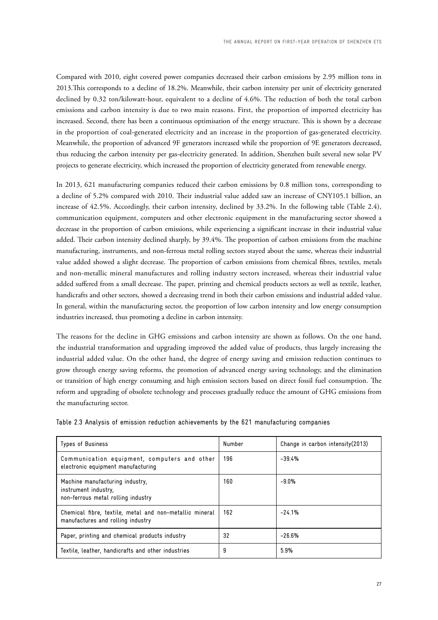Compared with 2010, eight covered power companies decreased their carbon emissions by 2.95 million tons in 2013.This corresponds to a decline of 18.2%. Meanwhile, their carbon intensity per unit of electricity generated declined by 0.32 ton/kilowatt-hour, equivalent to a decline of 4.6%. The reduction of both the total carbon emissions and carbon intensity is due to two main reasons. First, the proportion of imported electricity has increased. Second, there has been a continuous optimisation of the energy structure. This is shown by a decrease in the proportion of coal-generated electricity and an increase in the proportion of gas-generated electricity. Meanwhile, the proportion of advanced 9F generators increased while the proportion of 9E generators decreased, thus reducing the carbon intensity per gas-electricity generated. In addition, Shenzhen built several new solar PV projects to generate electricity, which increased the proportion of electricity generated from renewable energy.

In 2013, 621 manufacturing companies reduced their carbon emissions by 0.8 million tons, corresponding to a decline of 5.2% compared with 2010. Their industrial value added saw an increase of CNY105.1 billion, an increase of 42.5%. Accordingly, their carbon intensity, declined by 33.2%. In the following table (Table 2.4), communication equipment, computers and other electronic equipment in the manufacturing sector showed a decrease in the proportion of carbon emissions, while experiencing a significant increase in their industrial value added. Their carbon intensity declined sharply, by 39.4%. The proportion of carbon emissions from the machine manufacturing, instruments, and non-ferrous metal rolling sectors stayed about the same, whereas their industrial value added showed a slight decrease. The proportion of carbon emissions from chemical fibres, textiles, metals and non-metallic mineral manufactures and rolling industry sectors increased, whereas their industrial value added suffered from a small decrease. The paper, printing and chemical products sectors as well as textile, leather, handicrafts and other sectors, showed a decreasing trend in both their carbon emissions and industrial added value. In general, within the manufacturing sector, the proportion of low carbon intensity and low energy consumption industries increased, thus promoting a decline in carbon intensity.

The reasons for the decline in GHG emissions and carbon intensity are shown as follows. On the one hand, the industrial transformation and upgrading improved the added value of products, thus largely increasing the industrial added value. On the other hand, the degree of energy saving and emission reduction continues to grow through energy saving reforms, the promotion of advanced energy saving technology, and the elimination or transition of high energy consuming and high emission sectors based on direct fossil fuel consumption. The reform and upgrading of obsolete technology and processes gradually reduce the amount of GHG emissions from the manufacturing sector.

| Types of Business                                                                             | Number | Change in carbon intensity (2013) |
|-----------------------------------------------------------------------------------------------|--------|-----------------------------------|
| Communication equipment, computers and other<br>electronic equipment manufacturing            | 196    | $-39.4%$                          |
| Machine manufacturing industry,<br>instrument industry,<br>non-ferrous metal rolling industry | 160    | $-9.0%$                           |
| Chemical fibre, textile, metal and non-metallic mineral<br>manufactures and rolling industry  | 162    | $-24.1%$                          |
| Paper, printing and chemical products industry                                                | 32     | -26.6%                            |
| Textile, leather, handicrafts and other industries                                            | 9      | 5.9%                              |

| Table 2.3 Analysis of emission reduction achievements by the 621 manufacturing companies |  |  |  |  |
|------------------------------------------------------------------------------------------|--|--|--|--|
|                                                                                          |  |  |  |  |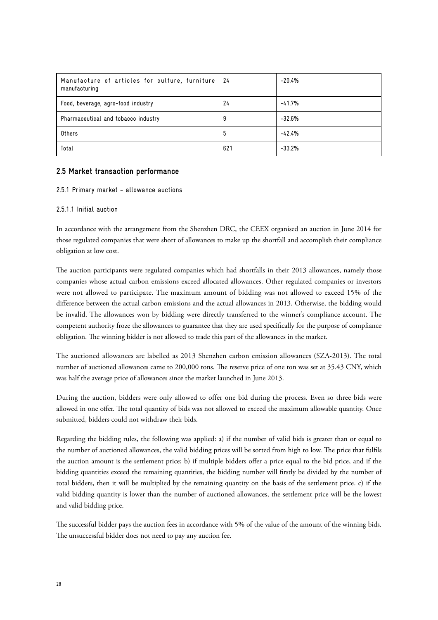| Manufacture of articles for culture, furniture<br>manufacturing | - 24 | $-20.4%$ |
|-----------------------------------------------------------------|------|----------|
| Food, beverage, agro-food industry                              | 24   | $-41.7%$ |
| Pharmaceutical and tobacco industry                             | 9    | $-32.6%$ |
| Others                                                          | 5    | $-42.4%$ |
| Total                                                           | 621  | $-33.2%$ |

# **2.5 Market transaction performance**

## 2.5.1 Primary market - allowance auctions

## 2.5.1.1 Initial auction

In accordance with the arrangement from the Shenzhen DRC, the CEEX organised an auction in June 2014 for those regulated companies that were short of allowances to make up the shortfall and accomplish their compliance obligation at low cost.

The auction participants were regulated companies which had shortfalls in their 2013 allowances, namely those companies whose actual carbon emissions exceed allocated allowances. Other regulated companies or investors were not allowed to participate. The maximum amount of bidding was not allowed to exceed 15% of the difference between the actual carbon emissions and the actual allowances in 2013. Otherwise, the bidding would be invalid. The allowances won by bidding were directly transferred to the winner's compliance account. The competent authority froze the allowances to guarantee that they are used specifically for the purpose of compliance obligation. The winning bidder is not allowed to trade this part of the allowances in the market.

The auctioned allowances are labelled as 2013 Shenzhen carbon emission allowances (SZA-2013). The total number of auctioned allowances came to 200,000 tons. The reserve price of one ton was set at 35.43 CNY, which was half the average price of allowances since the market launched in June 2013.

During the auction, bidders were only allowed to offer one bid during the process. Even so three bids were allowed in one offer. The total quantity of bids was not allowed to exceed the maximum allowable quantity. Once submitted, bidders could not withdraw their bids.

Regarding the bidding rules, the following was applied: a) if the number of valid bids is greater than or equal to the number of auctioned allowances, the valid bidding prices will be sorted from high to low. The price that fulfils the auction amount is the settlement price; b) if multiple bidders offer a price equal to the bid price, and if the bidding quantities exceed the remaining quantities, the bidding number will firstly be divided by the number of total bidders, then it will be multiplied by the remaining quantity on the basis of the settlement price. c) if the valid bidding quantity is lower than the number of auctioned allowances, the settlement price will be the lowest and valid bidding price.

The successful bidder pays the auction fees in accordance with 5% of the value of the amount of the winning bids. The unsuccessful bidder does not need to pay any auction fee.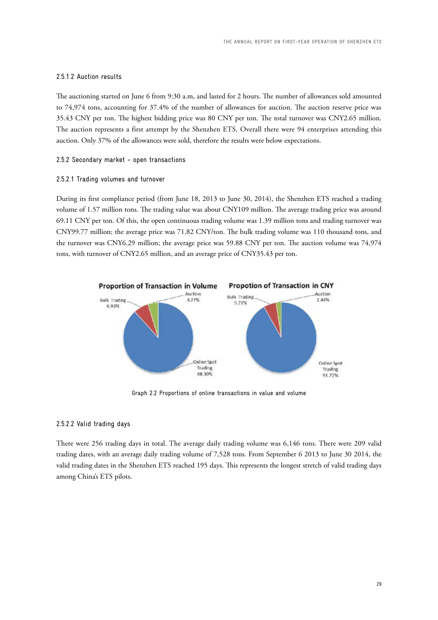## 2.5.1.2 Auction results

The auctioning started on June 6 from 9:30 a.m, and lasted for 2 hours. The number of allowances sold amounted to 74,974 tons, accounting for 37.4% of the number of allowances for auction. The auction reserve price was 35.43 CNY per ton. The highest bidding price was 80 CNY per ton. The total turnover was CNY2.65 million. The auction represents a first attempt by the Shenzhen ETS. Overall there were 94 enterprises attending this auction. Only 37% of the allowances were sold, therefore the results were below expectations.

#### 2.5.2 Secondary market - open transactions

#### 2.5.2.1 Trading volumes and turnover

During its first compliance period (from June 18, 2013 to June 30, 2014), the Shenzhen ETS reached a trading volume of 1.57 million tons. The trading value was about CNY109 million. The average trading price was around 69.11 CNY per ton. Of this, the open continuous trading volume was 1.39 million tons and trading turnover was CNY99.77 million; the average price was 71.82 CNY/ton. The bulk trading volume was 110 thousand tons, and the turnover was CNY6.29 million; the average price was 59.88 CNY per ton. The auction volume was 74,974 tons, with turnover of CNY2.65 million, and an average price of CNY35.43 per ton.



Graph 2.2 Proportions of online transactions in value and volume

## 2.5.2.2 Valid trading days

There were 256 trading days in total. The average daily trading volume was 6,146 tons. There were 209 valid trading dates, with an average daily trading volume of 7,528 tons. From September 6 2013 to June 30 2014, the valid trading dates in the Shenzhen ETS reached 195 days. This represents the longest stretch of valid trading days among China's ETS pilots.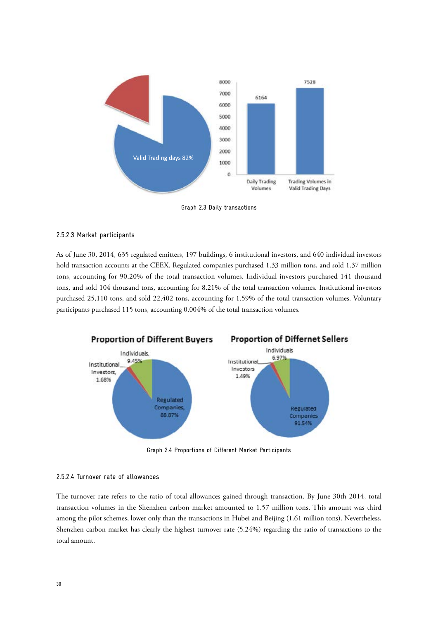

Graph 2.3 Daily transactions

#### 2.5.2.3 Market participants

As of June 30, 2014, 635 regulated emitters, 197 buildings, 6 institutional investors, and 640 individual investors hold transaction accounts at the CEEX. Regulated companies purchased 1.33 million tons, and sold 1.37 million tons, accounting for 90.20% of the total transaction volumes. Individual investors purchased 141 thousand tons, and sold 104 thousand tons, accounting for 8.21% of the total transaction volumes. Institutional investors purchased 25,110 tons, and sold 22,402 tons, accounting for 1.59% of the total transaction volumes. Voluntary participants purchased 115 tons, accounting 0.004% of the total transaction volumes.



Graph 2.4 Proportions of Different Market Participants

#### 2.5.2.4 Turnover rate of allowances

The turnover rate refers to the ratio of total allowances gained through transaction. By June 30th 2014, total transaction volumes in the Shenzhen carbon market amounted to 1.57 million tons. This amount was third among the pilot schemes, lower only than the transactions in Hubei and Beijing (1.61 million tons). Nevertheless, Shenzhen carbon market has clearly the highest turnover rate (5.24%) regarding the ratio of transactions to the total amount.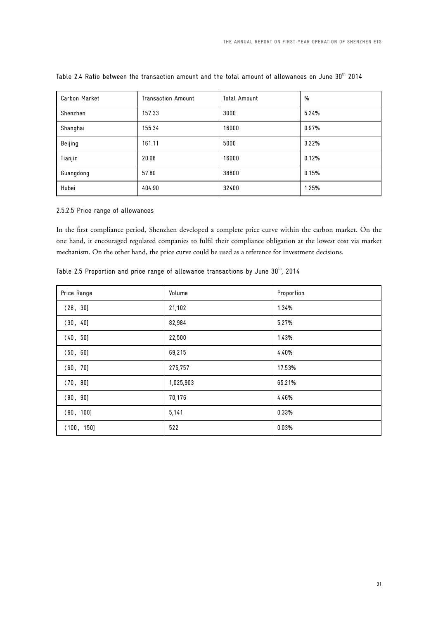| Carbon Market | <b>Transaction Amount</b> | Total Amount | $\%$  |
|---------------|---------------------------|--------------|-------|
| Shenzhen      | 157.33                    | 3000         | 5.24% |
| Shanghai      | 155.34                    | 16000        | 0.97% |
| Beijing       | 161.11                    | 5000         | 3.22% |
| Tianjin       | 20.08                     | 16000        | 0.12% |
| Guangdong     | 57.80                     | 38800        | 0.15% |
| Hubei         | 404.90                    | 32400        | 1.25% |

Table 2.4 Ratio between the transaction amount and the total amount of allowances on June 30<sup>th</sup> 2014

## 2.5.2.5 Price range of allowances

In the first compliance period, Shenzhen developed a complete price curve within the carbon market. On the one hand, it encouraged regulated companies to fulfil their compliance obligation at the lowest cost via market mechanism. On the other hand, the price curve could be used as a reference for investment decisions.

| Price Range | Volume    | Proportion |
|-------------|-----------|------------|
| (28, 30)    | 21,102    | 1.34%      |
| (30, 40]    | 82,984    | 5.27%      |
| (40, 50]    | 22,500    | 1.43%      |
| (50, 60]    | 69,215    | 4.40%      |
| (60, 70]    | 275,757   | 17.53%     |
| (70, 80)    | 1,025,903 | 65.21%     |
| (80, 90]    | 70,176    | 4.46%      |
| (90, 100]   | 5,141     | 0.33%      |
| (100, 150)  | 522       | 0.03%      |

Table 2.5 Proportion and price range of allowance transactions by June 30<sup>th</sup>, 2014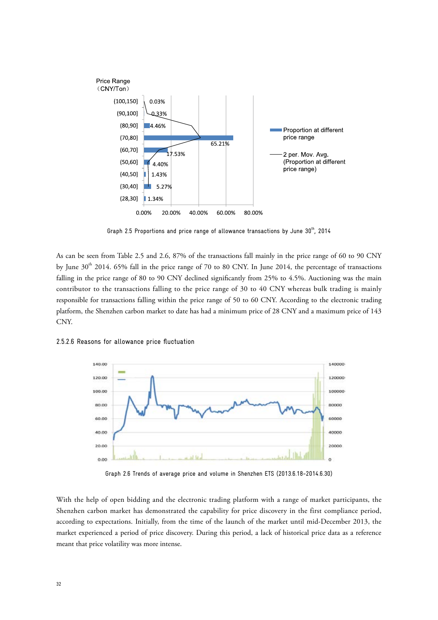

Graph 2.5 Proportions and price range of allowance transactions by June 30<sup>th</sup>, 2014

As can be seen from Table 2.5 and 2.6, 87% of the transactions fall mainly in the price range of 60 to 90 CNY by June 30<sup>th</sup> 2014. 65% fall in the price range of 70 to 80 CNY. In June 2014, the percentage of transactions falling in the price range of 80 to 90 CNY declined significantly from 25% to 4.5%. Auctioning was the main contributor to the transactions falling to the price range of 30 to 40 CNY whereas bulk trading is mainly responsible for transactions falling within the price range of 50 to 60 CNY. According to the electronic trading platform, the Shenzhen carbon market to date has had a minimum price of 28 CNY and a maximum price of 143 CNY.





Graph 2.6 Trends of average price and volume in Shenzhen ETS (2013.6.18-2014.6.30)

With the help of open bidding and the electronic trading platform with a range of market participants, the Shenzhen carbon market has demonstrated the capability for price discovery in the first compliance period, according to expectations. Initially, from the time of the launch of the market until mid-December 2013, the market experienced a period of price discovery. During this period, a lack of historical price data as a reference meant that price volatility was more intense.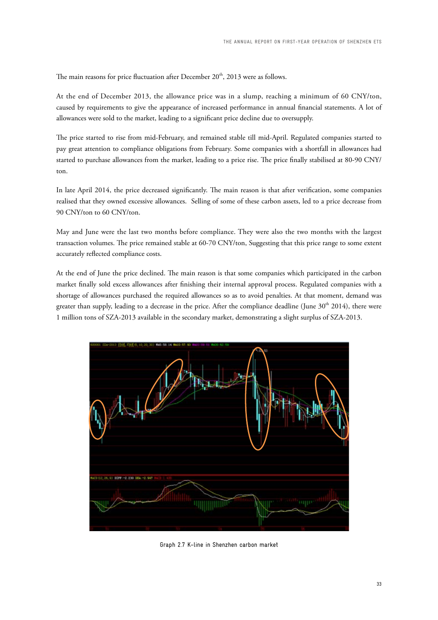The main reasons for price fluctuation after December  $20<sup>th</sup>$ , 2013 were as follows.

At the end of December 2013, the allowance price was in a slump, reaching a minimum of 60 CNY/ton, caused by requirements to give the appearance of increased performance in annual financial statements. A lot of allowances were sold to the market, leading to a significant price decline due to oversupply.

The price started to rise from mid-February, and remained stable till mid-April. Regulated companies started to pay great attention to compliance obligations from February. Some companies with a shortfall in allowances had started to purchase allowances from the market, leading to a price rise. The price finally stabilised at 80-90 CNY/ ton.

In late April 2014, the price decreased significantly. The main reason is that after verification, some companies realised that they owned excessive allowances. Selling of some of these carbon assets, led to a price decrease from 90 CNY/ton to 60 CNY/ton.

May and June were the last two months before compliance. They were also the two months with the largest transaction volumes. The price remained stable at 60-70 CNY/ton, Suggesting that this price range to some extent accurately reflected compliance costs.

At the end of June the price declined. The main reason is that some companies which participated in the carbon market finally sold excess allowances after finishing their internal approval process. Regulated companies with a shortage of allowances purchased the required allowances so as to avoid penalties. At that moment, demand was greater than supply, leading to a decrease in the price. After the compliance deadline (June 30<sup>th</sup> 2014), there were 1 million tons of SZA-2013 available in the secondary market, demonstrating a slight surplus of SZA-2013.



Graph 2.7 K-line in Shenzhen carbon market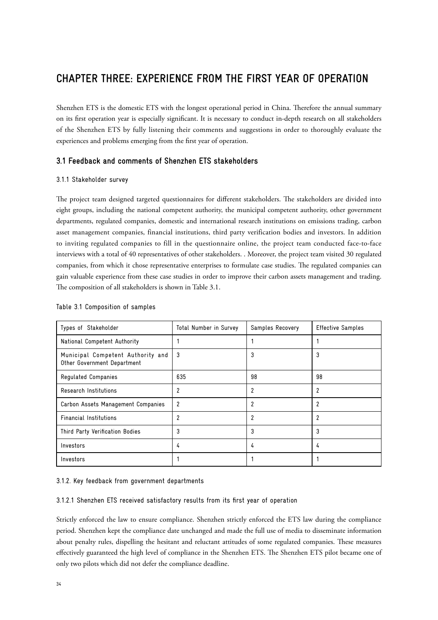# **CHAPTER THREE: EXPERIENCE FROM THE FIRST YEAR OF OPERATION**

Shenzhen ETS is the domestic ETS with the longest operational period in China. Therefore the annual summary on its first operation year is especially significant. It is necessary to conduct in-depth research on all stakeholders of the Shenzhen ETS by fully listening their comments and suggestions in order to thoroughly evaluate the experiences and problems emerging from the first year of operation.

# **3.1 Feedback and comments of Shenzhen ETS stakeholders**

## 3.1.1 Stakeholder survey

The project team designed targeted questionnaires for different stakeholders. The stakeholders are divided into eight groups, including the national competent authority, the municipal competent authority, other government departments, regulated companies, domestic and international research institutions on emissions trading, carbon asset management companies, financial institutions, third party verification bodies and investors. In addition to inviting regulated companies to fill in the questionnaire online, the project team conducted face-to-face interviews with a total of 40 representatives of other stakeholders. . Moreover, the project team visited 30 regulated companies, from which it chose representative enterprises to formulate case studies. The regulated companies can gain valuable experience from these case studies in order to improve their carbon assets management and trading. The composition of all stakeholders is shown in Table 3.1.

| Types of Stakeholder                                             | Total Number in Survey | Samples Recovery | <b>Effective Samples</b> |
|------------------------------------------------------------------|------------------------|------------------|--------------------------|
| National Competent Authority                                     |                        |                  |                          |
| Municipal Competent Authority and<br>Other Government Department | 3                      | 3                | 3                        |
| Regulated Companies                                              | 635                    | 98               | 98                       |
| Research Institutions                                            | 2                      | 2                | 2                        |
| Carbon Assets Management Companies                               | 2                      | 2                | 2                        |
| Financial Institutions                                           | 2                      | 2                | 2                        |
| Third Party Verification Bodies                                  | 3                      | 3                | 3                        |
| Investors                                                        | 4                      | 4                | 4                        |
| Investors                                                        |                        |                  |                          |

## Table 3.1 Composition of samples

## 3.1.2. Key feedback from government departments

## 3.1.2.1 Shenzhen ETS received satisfactory results from its first year of operation

Strictly enforced the law to ensure compliance. Shenzhen strictly enforced the ETS law during the compliance period. Shenzhen kept the compliance date unchanged and made the full use of media to disseminate information about penalty rules, dispelling the hesitant and reluctant attitudes of some regulated companies. These measures effectively guaranteed the high level of compliance in the Shenzhen ETS. The Shenzhen ETS pilot became one of only two pilots which did not defer the compliance deadline.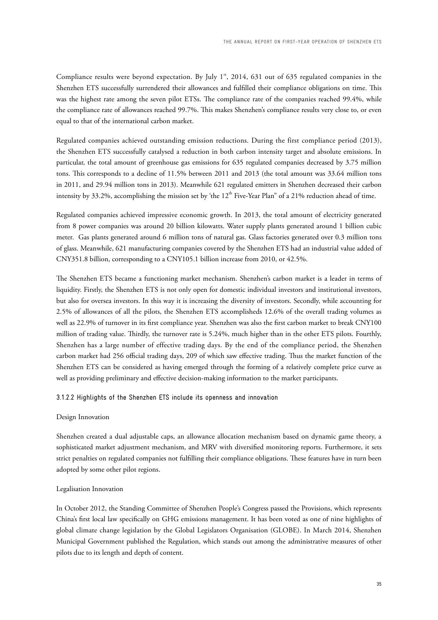Compliance results were beyond expectation. By July  $1^{st}$ , 2014, 631 out of 635 regulated companies in the Shenzhen ETS successfully surrendered their allowances and fulfilled their compliance obligations on time. This was the highest rate among the seven pilot ETSs. The compliance rate of the companies reached 99.4%, while the compliance rate of allowances reached 99.7%. This makes Shenzhen's compliance results very close to, or even equal to that of the international carbon market.

Regulated companies achieved outstanding emission reductions. During the first compliance period (2013), the Shenzhen ETS successfully catalysed a reduction in both carbon intensity target and absolute emissions. In particular, the total amount of greenhouse gas emissions for 635 regulated companies decreased by 3.75 million tons. This corresponds to a decline of 11.5% between 2011 and 2013 (the total amount was 33.64 million tons in 2011, and 29.94 million tons in 2013). Meanwhile 621 regulated emitters in Shenzhen decreased their carbon intensity by 33.2%, accomplishing the mission set by 'the  $12<sup>th</sup>$  Five-Year Plan" of a 21% reduction ahead of time.

Regulated companies achieved impressive economic growth. In 2013, the total amount of electricity generated from 8 power companies was around 20 billion kilowatts. Water supply plants generated around 1 billion cubic meter. Gas plants generated around 6 million tons of natural gas. Glass factories generated over 0.3 million tons of glass. Meanwhile, 621 manufacturing companies covered by the Shenzhen ETS had an industrial value added of CNY351.8 billion, corresponding to a CNY105.1 billion increase from 2010, or 42.5%.

The Shenzhen ETS became a functioning market mechanism. Shenzhen's carbon market is a leader in terms of liquidity. Firstly, the Shenzhen ETS is not only open for domestic individual investors and institutional investors, but also for oversea investors. In this way it is increasing the diversity of investors. Secondly, while accounting for 2.5% of allowances of all the pilots, the Shenzhen ETS accomplisheds 12.6% of the overall trading volumes as well as 22.9% of turnover in its first compliance year. Shenzhen was also the first carbon market to break CNY100 million of trading value. Thirdly, the turnover rate is 5.24%, much higher than in the other ETS pilots. Fourthly, Shenzhen has a large number of effective trading days. By the end of the compliance period, the Shenzhen carbon market had 256 official trading days, 209 of which saw effective trading. Thus the market function of the Shenzhen ETS can be considered as having emerged through the forming of a relatively complete price curve as well as providing preliminary and effective decision-making information to the market participants.

#### 3.1.2.2 Highlights of the Shenzhen ETS include its openness and innovation

#### Design Innovation

Shenzhen created a dual adjustable caps, an allowance allocation mechanism based on dynamic game theory, a sophisticated market adjustment mechanism, and MRV with diversified monitoring reports. Furthermore, it sets strict penalties on regulated companies not fulfilling their compliance obligations. These features have in turn been adopted by some other pilot regions.

## Legalisation Innovation

In October 2012, the Standing Committee of Shenzhen People's Congress passed the Provisions, which represents China's first local law specifically on GHG emissions management. It has been voted as one of nine highlights of global climate change legislation by the Global Legislators Organisation (GLOBE). In March 2014, Shenzhen Municipal Government published the Regulation, which stands out among the administrative measures of other pilots due to its length and depth of content.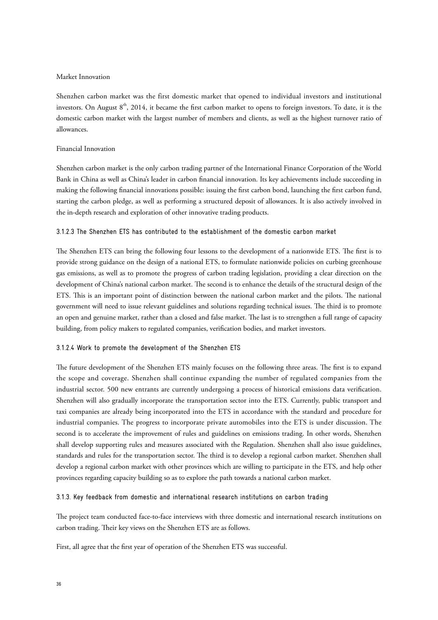## Market Innovation

Shenzhen carbon market was the first domestic market that opened to individual investors and institutional investors. On August 8<sup>th</sup>, 2014, it became the first carbon market to opens to foreign investors. To date, it is the domestic carbon market with the largest number of members and clients, as well as the highest turnover ratio of allowances.

## Financial Innovation

Shenzhen carbon market is the only carbon trading partner of the International Finance Corporation of the World Bank in China as well as China's leader in carbon financial innovation. Its key achievements include succeeding in making the following financial innovations possible: issuing the first carbon bond, launching the first carbon fund, starting the carbon pledge, as well as performing a structured deposit of allowances. It is also actively involved in the in-depth research and exploration of other innovative trading products.

## 3.1.2.3 The Shenzhen ETS has contributed to the establishment of the domestic carbon market

The Shenzhen ETS can bring the following four lessons to the development of a nationwide ETS. The first is to provide strong guidance on the design of a national ETS, to formulate nationwide policies on curbing greenhouse gas emissions, as well as to promote the progress of carbon trading legislation, providing a clear direction on the development of China's national carbon market. The second is to enhance the details of the structural design of the ETS. This is an important point of distinction between the national carbon market and the pilots. The national government will need to issue relevant guidelines and solutions regarding technical issues. The third is to promote an open and genuine market, rather than a closed and false market. The last is to strengthen a full range of capacity building, from policy makers to regulated companies, verification bodies, and market investors.

## 3.1.2.4 Work to promote the development of the Shenzhen ETS

The future development of the Shenzhen ETS mainly focuses on the following three areas. The first is to expand the scope and coverage. Shenzhen shall continue expanding the number of regulated companies from the industrial sector. 500 new entrants are currently undergoing a process of historical emissions data verification. Shenzhen will also gradually incorporate the transportation sector into the ETS. Currently, public transport and taxi companies are already being incorporated into the ETS in accordance with the standard and procedure for industrial companies. The progress to incorporate private automobiles into the ETS is under discussion. The second is to accelerate the improvement of rules and guidelines on emissions trading. In other words, Shenzhen shall develop supporting rules and measures associated with the Regulation. Shenzhen shall also issue guidelines, standards and rules for the transportation sector. The third is to develop a regional carbon market. Shenzhen shall develop a regional carbon market with other provinces which are willing to participate in the ETS, and help other provinces regarding capacity building so as to explore the path towards a national carbon market.

3.1.3. Key feedback from domestic and international research institutions on carbon trading

The project team conducted face-to-face interviews with three domestic and international research institutions on carbon trading. Their key views on the Shenzhen ETS are as follows.

First, all agree that the first year of operation of the Shenzhen ETS was successful.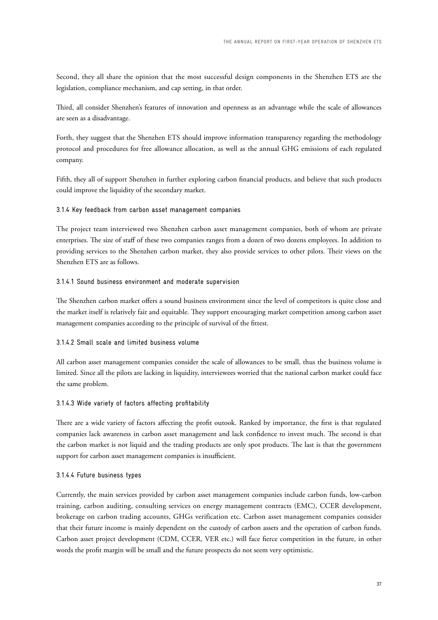Second, they all share the opinion that the most successful design components in the Shenzhen ETS are the legislation, compliance mechanism, and cap setting, in that order.

Third, all consider Shenzhen's features of innovation and openness as an advantage while the scale of allowances are seen as a disadvantage.

Forth, they suggest that the Shenzhen ETS should improve information transparency regarding the methodology protocol and procedures for free allowance allocation, as well as the annual GHG emissions of each regulated company.

Fifth, they all of support Shenzhen in further exploring carbon financial products, and believe that such products could improve the liquidity of the secondary market.

#### 3.1.4 Key feedback from carbon asset management companies

The project team interviewed two Shenzhen carbon asset management companies, both of whom are private enterprises. The size of staff of these two companies ranges from a dozen of two dozens employees. In addition to providing services to the Shenzhen carbon market, they also provide services to other pilots. Their views on the Shenzhen ETS are as follows.

## 3.1.4.1 Sound business environment and moderate supervision

The Shenzhen carbon market offers a sound business environment since the level of competitors is quite close and the market itself is relatively fair and equitable. They support encouraging market competition among carbon asset management companies according to the principle of survival of the fittest.

#### 3.1.4.2 Small scale and limited business volume

All carbon asset management companies consider the scale of allowances to be small, thus the business volume is limited. Since all the pilots are lacking in liquidity, interviewees worried that the national carbon market could face the same problem.

#### 3.1.4.3 Wide variety of factors affecting profitability

There are a wide variety of factors affecting the profit outook. Ranked by importance, the first is that regulated companies lack awareness in carbon asset management and lack confidence to invest much. The second is that the carbon market is not liquid and the trading products are only spot products. The last is that the government support for carbon asset management companies is insufficient.

#### 3.1.4.4 Future business types

Currently, the main services provided by carbon asset management companies include carbon funds, low-carbon training, carbon auditing, consulting services on energy management contracts (EMC), CCER development, brokerage on carbon trading accounts, GHGs verification etc. Carbon asset management companies consider that their future income is mainly dependent on the custody of carbon assets and the operation of carbon funds. Carbon asset project development (CDM, CCER, VER etc.) will face fierce competition in the future, in other words the profit margin will be small and the future prospects do not seem very optimistic.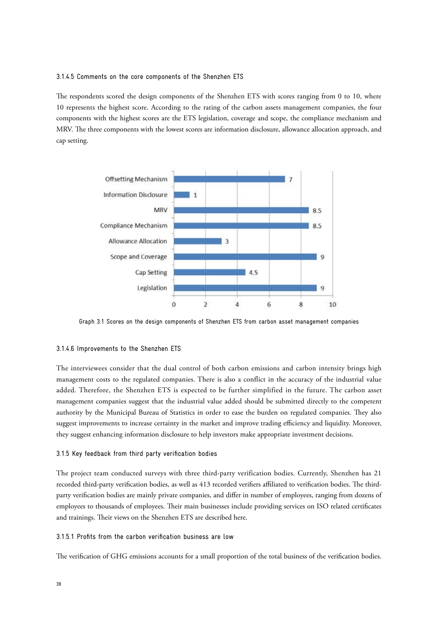#### 3.1.4.5 Comments on the core components of the Shenzhen ETS

The respondents scored the design components of the Shenzhen ETS with scores ranging from 0 to 10, where 10 represents the highest score. According to the rating of the carbon assets management companies, the four components with the highest scores are the ETS legislation, coverage and scope, the compliance mechanism and MRV. The three components with the lowest scores are information disclosure, allowance allocation approach, and cap setting.



Graph 3.1 Scores on the design components of Shenzhen ETS from carbon asset management companies

#### 3.1.4.6 Improvements to the Shenzhen ETS

The interviewees consider that the dual control of both carbon emissions and carbon intensity brings high management costs to the regulated companies. There is also a conflict in the accuracy of the industrial value added. Therefore, the Shenzhen ETS is expected to be further simplified in the future. The carbon asset management companies suggest that the industrial value added should be submitted directly to the competent authority by the Municipal Bureau of Statistics in order to ease the burden on regulated companies. They also suggest improvements to increase certainty in the market and improve trading efficiency and liquidity. Moreover, they suggest enhancing information disclosure to help investors make appropriate investment decisions.

#### 3.1.5 Key feedback from third party verification bodies

The project team conducted surveys with three third-party verification bodies. Currently, Shenzhen has 21 recorded third-party verification bodies, as well as 413 recorded verifiers affiliated to verification bodies. The thirdparty verification bodies are mainly private companies, and differ in number of employees, ranging from dozens of employees to thousands of employees. Their main businesses include providing services on ISO related certificates and trainings. Their views on the Shenzhen ETS are described here.

#### 3.1.5.1 Profits from the carbon verification business are low

The verification of GHG emissions accounts for a small proportion of the total business of the verification bodies.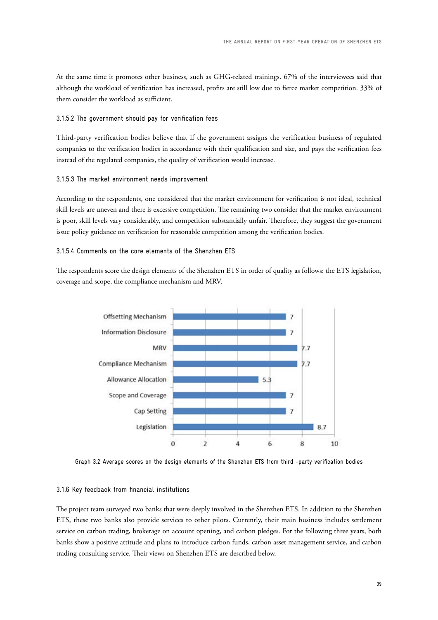At the same time it promotes other business, such as GHG-related trainings. 67% of the interviewees said that although the workload of verification has increased, profits are still low due to fierce market competition. 33% of them consider the workload as sufficient.

### 3.1.5.2 The government should pay for verification fees

Third-party verification bodies believe that if the government assigns the verification business of regulated companies to the verification bodies in accordance with their qualification and size, and pays the verification fees instead of the regulated companies, the quality of verification would increase.

#### 3.1.5.3 The market environment needs improvement

According to the respondents, one considered that the market environment for verification is not ideal, technical skill levels are uneven and there is excessive competition. The remaining two consider that the market environment is poor, skill levels vary considerably, and competition substantially unfair. Therefore, they suggest the government issue policy guidance on verification for reasonable competition among the verification bodies.

## 3.1.5.4 Comments on the core elements of the Shenzhen ETS

The respondents score the design elements of the Shenzhen ETS in order of quality as follows: the ETS legislation, coverage and scope, the compliance mechanism and MRV.



Graph 3.2 Average scores on the design elements of the Shenzhen ETS from third -party verification bodies

#### 3.1.6 Key feedback from financial institutions

The project team surveyed two banks that were deeply involved in the Shenzhen ETS. In addition to the Shenzhen ETS, these two banks also provide services to other pilots. Currently, their main business includes settlement service on carbon trading, brokerage on account opening, and carbon pledges. For the following three years, both banks show a positive attitude and plans to introduce carbon funds, carbon asset management service, and carbon trading consulting service. Their views on Shenzhen ETS are described below.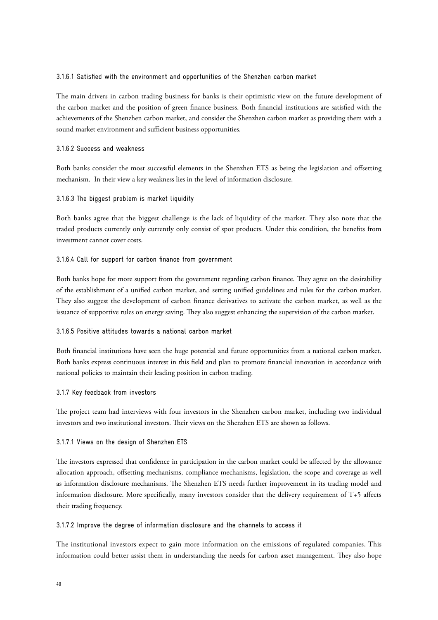#### 3.1.6.1 Satisfied with the environment and opportunities of the Shenzhen carbon market

The main drivers in carbon trading business for banks is their optimistic view on the future development of the carbon market and the position of green finance business. Both financial institutions are satisfied with the achievements of the Shenzhen carbon market, and consider the Shenzhen carbon market as providing them with a sound market environment and sufficient business opportunities.

## 3.1.6.2 Success and weakness

Both banks consider the most successful elements in the Shenzhen ETS as being the legislation and offsetting mechanism. In their view a key weakness lies in the level of information disclosure.

## 3.1.6.3 The biggest problem is market liquidity

Both banks agree that the biggest challenge is the lack of liquidity of the market. They also note that the traded products currently only currently only consist of spot products. Under this condition, the benefits from investment cannot cover costs.

## 3.1.6.4 Call for support for carbon finance from government

Both banks hope for more support from the government regarding carbon finance. They agree on the desirability of the establishment of a unified carbon market, and setting unified guidelines and rules for the carbon market. They also suggest the development of carbon finance derivatives to activate the carbon market, as well as the issuance of supportive rules on energy saving. They also suggest enhancing the supervision of the carbon market.

## 3.1.6.5 Positive attitudes towards a national carbon market

Both financial institutions have seen the huge potential and future opportunities from a national carbon market. Both banks express continuous interest in this field and plan to promote financial innovation in accordance with national policies to maintain their leading position in carbon trading.

#### 3.1.7 Key feedback from investors

The project team had interviews with four investors in the Shenzhen carbon market, including two individual investors and two institutional investors. Their views on the Shenzhen ETS are shown as follows.

#### 3.1.7.1 Views on the design of Shenzhen ETS

The investors expressed that confidence in participation in the carbon market could be affected by the allowance allocation approach, offsetting mechanisms, compliance mechanisms, legislation, the scope and coverage as well as information disclosure mechanisms. The Shenzhen ETS needs further improvement in its trading model and information disclosure. More specifically, many investors consider that the delivery requirement of T+5 affects their trading frequency.

#### 3.1.7.2 Improve the degree of information disclosure and the channels to access it

The institutional investors expect to gain more information on the emissions of regulated companies. This information could better assist them in understanding the needs for carbon asset management. They also hope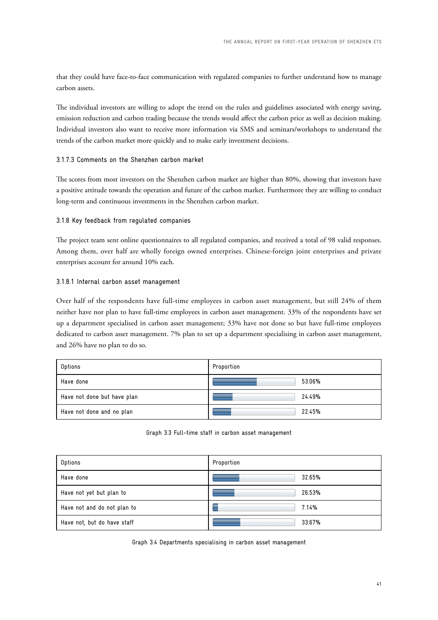that they could have face-to-face communication with regulated companies to further understand how to manage carbon assets.

The individual investors are willing to adopt the trend on the rules and guidelines associated with energy saving, emission reduction and carbon trading because the trends would affect the carbon price as well as decision making. Individual investors also want to receive more information via SMS and seminars/workshops to understand the trends of the carbon market more quickly and to make early investment decisions.

## 3.1.7.3 Comments on the Shenzhen carbon market

The scores from most investors on the Shenzhen carbon market are higher than 80%, showing that investors have a positive attitude towards the operation and future of the carbon market. Furthermore they are willing to conduct long-term and continuous investments in the Shenzhen carbon market.

## 3.1.8 Key feedback from regulated companies

The project team sent online questionnaires to all regulated companies, and received a total of 98 valid responses. Among them, over half are wholly foreign owned enterprises. Chinese-foreign joint enterprises and private enterprises account for around 10% each.

## 3.1.8.1 Internal carbon asset management

Over half of the respondents have full-time employees in carbon asset management, but still 24% of them neither have nor plan to have full-time employees in carbon asset management. 33% of the respondents have set up a department specialised in carbon asset management; 33% have not done so but have full-time employees dedicated to carbon asset management. 7% plan to set up a department specialising in carbon asset management, and 26% have no plan to do so.

| Options                     | Proportion |
|-----------------------------|------------|
| Have done                   | 53.06%     |
| Have not done but have plan | 24.49%     |
| Have not done and no plan   | 22.45%     |

#### Graph 3.3 Full-time staff in carbon asset management

| Options                     | Proportion |
|-----------------------------|------------|
| Have done                   | 32.65%     |
| Have not yet but plan to    | 26.53%     |
| Have not and do not plan to | 7.14%      |
| Have not, but do have staff | 33.67%     |

Graph 3.4 Departments specialising in carbon asset management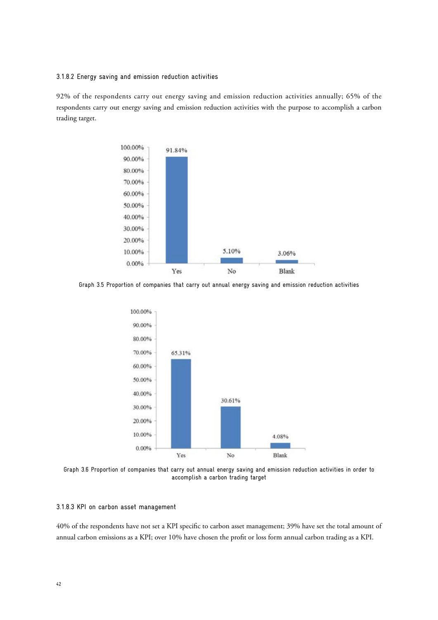3.1.8.2 Energy saving and emission reduction activities

92% of the respondents carry out energy saving and emission reduction activities annually; 65% of the respondents carry out energy saving and emission reduction activities with the purpose to accomplish a carbon trading target.



Graph 3.5 Proportion of companies that carry out annual energy saving and emission reduction activities



Graph 3.6 Proportion of companies that carry out annual energy saving and emission reduction activities in order to accomplish a carbon trading target

#### 3.1.8.3 KPI on carbon asset management

40% of the respondents have not set a KPI specific to carbon asset management; 39% have set the total amount of annual carbon emissions as a KPI; over 10% have chosen the profit or loss form annual carbon trading as a KPI.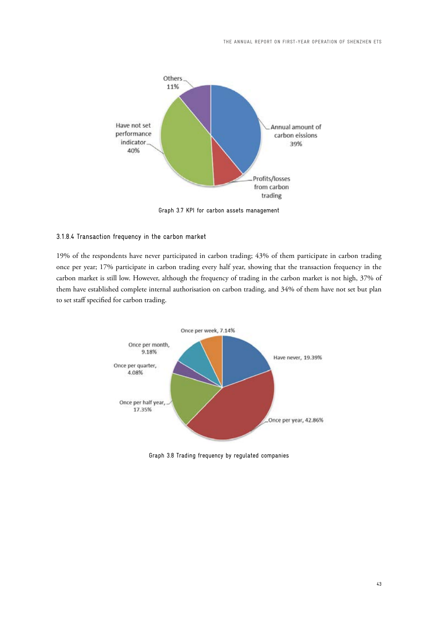

Graph 3.7 KPI for carbon assets management

## 3.1.8.4 Transaction frequency in the carbon market

19% of the respondents have never participated in carbon trading; 43% of them participate in carbon trading once per year; 17% participate in carbon trading every half year, showing that the transaction frequency in the carbon market is still low. However, although the frequency of trading in the carbon market is not high, 37% of them have established complete internal authorisation on carbon trading, and 34% of them have not set but plan to set staff specified for carbon trading.



Graph 3.8 Trading frequency by regulated companies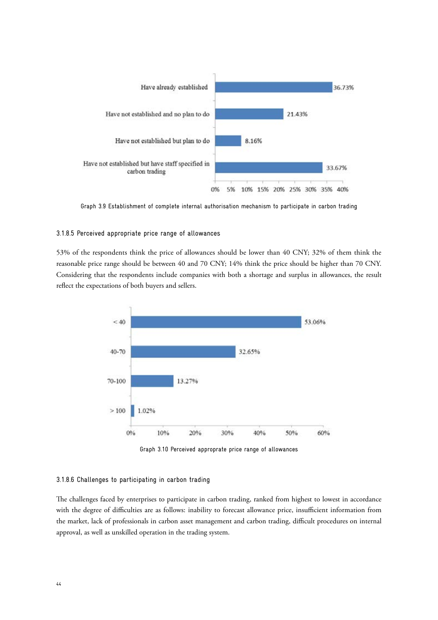

Graph 3.9 Establishment of complete internal authorisation mechanism to participate in carbon trading

## 3.1.8.5 Perceived appropriate price range of allowances

53% of the respondents think the price of allowances should be lower than 40 CNY; 32% of them think the reasonable price range should be between 40 and 70 CNY; 14% think the price should be higher than 70 CNY. Considering that the respondents include companies with both a shortage and surplus in allowances, the result reflect the expectations of both buyers and sellers.



Graph 3.10 Perceived approprate price range of allowances

## 3.1.8.6 Challenges to participating in carbon trading

The challenges faced by enterprises to participate in carbon trading, ranked from highest to lowest in accordance with the degree of difficulties are as follows: inability to forecast allowance price, insufficient information from the market, lack of professionals in carbon asset management and carbon trading, difficult procedures on internal approval, as well as unskilled operation in the trading system.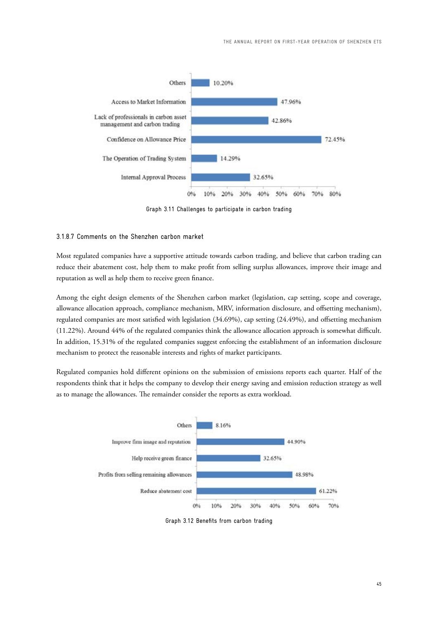

Graph 3.11 Challenges to participate in carbon trading

#### 3.1.8.7 Comments on the Shenzhen carbon market

Most regulated companies have a supportive attitude towards carbon trading, and believe that carbon trading can reduce their abatement cost, help them to make profit from selling surplus allowances, improve their image and reputation as well as help them to receive green finance.

Among the eight design elements of the Shenzhen carbon market (legislation, cap setting, scope and coverage, allowance allocation approach, compliance mechanism, MRV, information disclosure, and offsetting mechanism), regulated companies are most satisfied with legislation (34.69%), cap setting (24.49%), and offsetting mechanism (11.22%). Around 44% of the regulated companies think the allowance allocation approach is somewhat difficult. In addition, 15.31% of the regulated companies suggest enforcing the establishment of an information disclosure mechanism to protect the reasonable interests and rights of market participants.

Regulated companies hold different opinions on the submission of emissions reports each quarter. Half of the respondents think that it helps the company to develop their energy saving and emission reduction strategy as well as to manage the allowances. The remainder consider the reports as extra workload.



Graph 3.12 Benefits from carbon trading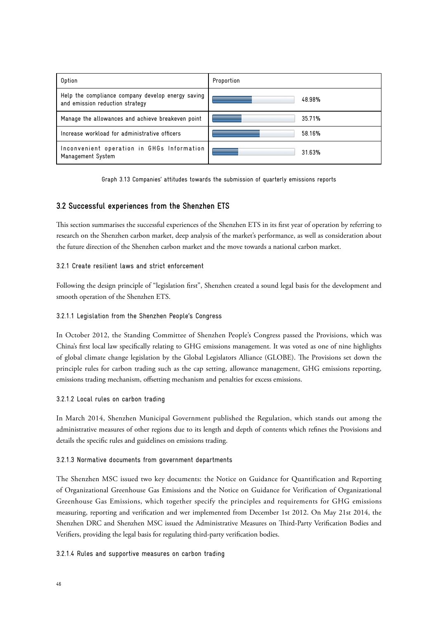| Option                                                                               | Proportion |
|--------------------------------------------------------------------------------------|------------|
| Help the compliance company develop energy saving<br>and emission reduction strategy | 48.98%     |
| Manage the allowances and achieve breakeven point                                    | 35.71%     |
| Increase workload for administrative officers                                        | 58.16%     |
| Inconvenient operation in GHGs Information<br>Management System                      | 31.63%     |

Graph 3.13 Companies' attitudes towards the submission of quarterly emissions reports

# **3.2 Successful experiences from the Shenzhen ETS**

This section summarises the successful experiences of the Shenzhen ETS in its first year of operation by referring to research on the Shenzhen carbon market, deep analysis of the market's performance, as well as consideration about the future direction of the Shenzhen carbon market and the move towards a national carbon market.

# 3.2.1 Create resilient laws and strict enforcement

Following the design principle of "legislation first", Shenzhen created a sound legal basis for the development and smooth operation of the Shenzhen ETS.

# 3.2.1.1 Legislation from the Shenzhen People's Congress

In October 2012, the Standing Committee of Shenzhen People's Congress passed the Provisions, which was China's first local law specifically relating to GHG emissions management. It was voted as one of nine highlights of global climate change legislation by the Global Legislators Alliance (GLOBE). The Provisions set down the principle rules for carbon trading such as the cap setting, allowance management, GHG emissions reporting, emissions trading mechanism, offsetting mechanism and penalties for excess emissions.

## 3.2.1.2 Local rules on carbon trading

In March 2014, Shenzhen Municipal Government published the Regulation, which stands out among the administrative measures of other regions due to its length and depth of contents which refines the Provisions and details the specific rules and guidelines on emissions trading.

## 3.2.1.3 Normative documents from government departments

The Shenzhen MSC issued two key documents: the Notice on Guidance for Quantification and Reporting of Organizational Greenhouse Gas Emissions and the Notice on Guidance for Verification of Organizational Greenhouse Gas Emissions, which together specify the principles and requirements for GHG emissions measuring, reporting and verification and wer implemented from December 1st 2012. On May 21st 2014, the Shenzhen DRC and Shenzhen MSC issued the Administrative Measures on Third-Party Verification Bodies and Verifiers, providing the legal basis for regulating third-party verification bodies.

## 3.2.1.4 Rules and supportive measures on carbon trading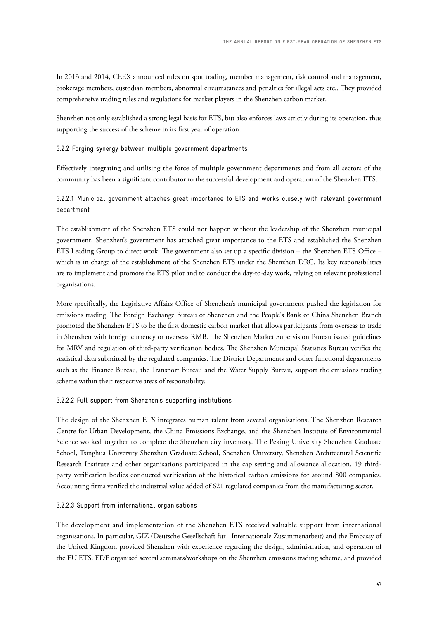In 2013 and 2014, CEEX announced rules on spot trading, member management, risk control and management, brokerage members, custodian members, abnormal circumstances and penalties for illegal acts etc.. They provided comprehensive trading rules and regulations for market players in the Shenzhen carbon market.

Shenzhen not only established a strong legal basis for ETS, but also enforces laws strictly during its operation, thus supporting the success of the scheme in its first year of operation.

## 3.2.2 Forging synergy between multiple government departments

Effectively integrating and utilising the force of multiple government departments and from all sectors of the community has been a significant contributor to the successful development and operation of the Shenzhen ETS.

# 3.2.2.1 Municipal government attaches great importance to ETS and works closely with relevant government department

The establishment of the Shenzhen ETS could not happen without the leadership of the Shenzhen municipal government. Shenzhen's government has attached great importance to the ETS and established the Shenzhen ETS Leading Group to direct work. The government also set up a specific division – the Shenzhen ETS Office – which is in charge of the establishment of the Shenzhen ETS under the Shenzhen DRC. Its key responsibilities are to implement and promote the ETS pilot and to conduct the day-to-day work, relying on relevant professional organisations.

More specifically, the Legislative Affairs Office of Shenzhen's municipal government pushed the legislation for emissions trading. The Foreign Exchange Bureau of Shenzhen and the People's Bank of China Shenzhen Branch promoted the Shenzhen ETS to be the first domestic carbon market that allows participants from overseas to trade in Shenzhen with foreign currency or overseas RMB. The Shenzhen Market Supervision Bureau issued guidelines for MRV and regulation of third-party verification bodies. The Shenzhen Municipal Statistics Bureau verifies the statistical data submitted by the regulated companies. The District Departments and other functional departments such as the Finance Bureau, the Transport Bureau and the Water Supply Bureau, support the emissions trading scheme within their respective areas of responsibility.

#### 3.2.2.2 Full support from Shenzhen's supporting institutions

The design of the Shenzhen ETS integrates human talent from several organisations. The Shenzhen Research Centre for Urban Development, the China Emissions Exchange, and the Shenzhen Institute of Environmental Science worked together to complete the Shenzhen city inventory. The Peking University Shenzhen Graduate School, Tsinghua University Shenzhen Graduate School, Shenzhen University, Shenzhen Architectural Scientific Research Institute and other organisations participated in the cap setting and allowance allocation. 19 thirdparty verification bodies conducted verification of the historical carbon emissions for around 800 companies. Accounting firms verified the industrial value added of 621 regulated companies from the manufacturing sector.

#### 3.2.2.3 Support from international organisations

The development and implementation of the Shenzhen ETS received valuable support from international organisations. In particular, GIZ (Deutsche Gesellschaft für Internationale Zusammenarbeit) and the Embassy of the United Kingdom provided Shenzhen with experience regarding the design, administration, and operation of the EU ETS. EDF organised several seminars/workshops on the Shenzhen emissions trading scheme, and provided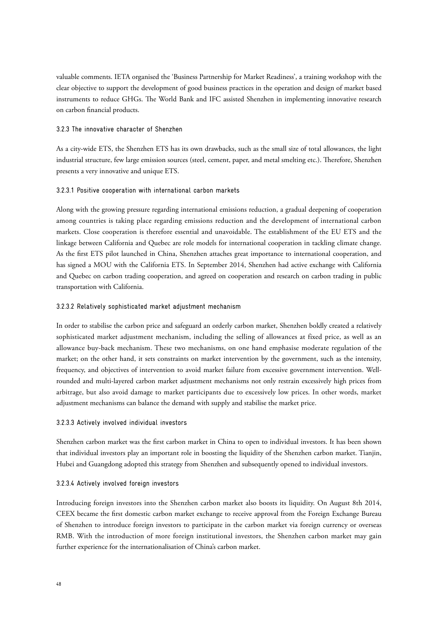valuable comments. IETA organised the 'Business Partnership for Market Readiness', a training workshop with the clear objective to support the development of good business practices in the operation and design of market based instruments to reduce GHGs. The World Bank and IFC assisted Shenzhen in implementing innovative research on carbon financial products.

## 3.2.3 The innovative character of Shenzhen

As a city-wide ETS, the Shenzhen ETS has its own drawbacks, such as the small size of total allowances, the light industrial structure, few large emission sources (steel, cement, paper, and metal smelting etc.). Therefore, Shenzhen presents a very innovative and unique ETS.

## 3.2.3.1 Positive cooperation with international carbon markets

Along with the growing pressure regarding international emissions reduction, a gradual deepening of cooperation among countries is taking place regarding emissions reduction and the development of international carbon markets. Close cooperation is therefore essential and unavoidable. The establishment of the EU ETS and the linkage between California and Quebec are role models for international cooperation in tackling climate change. As the first ETS pilot launched in China, Shenzhen attaches great importance to international cooperation, and has signed a MOU with the California ETS. In September 2014, Shenzhen had active exchange with California and Quebec on carbon trading cooperation, and agreed on cooperation and research on carbon trading in public transportation with California.

#### 3.2.3.2 Relatively sophisticated market adjustment mechanism

In order to stabilise the carbon price and safeguard an orderly carbon market, Shenzhen boldly created a relatively sophisticated market adjustment mechanism, including the selling of allowances at fixed price, as well as an allowance buy-back mechanism. These two mechanisms, on one hand emphasise moderate regulation of the market; on the other hand, it sets constraints on market intervention by the government, such as the intensity, frequency, and objectives of intervention to avoid market failure from excessive government intervention. Wellrounded and multi-layered carbon market adjustment mechanisms not only restrain excessively high prices from arbitrage, but also avoid damage to market participants due to excessively low prices. In other words, market adjustment mechanisms can balance the demand with supply and stabilise the market price.

#### 3.2.3.3 Actively involved individual investors

Shenzhen carbon market was the first carbon market in China to open to individual investors. It has been shown that individual investors play an important role in boosting the liquidity of the Shenzhen carbon market. Tianjin, Hubei and Guangdong adopted this strategy from Shenzhen and subsequently opened to individual investors.

## 3.2.3.4 Actively involved foreign investors

Introducing foreign investors into the Shenzhen carbon market also boosts its liquidity. On August 8th 2014, CEEX became the first domestic carbon market exchange to receive approval from the Foreign Exchange Bureau of Shenzhen to introduce foreign investors to participate in the carbon market via foreign currency or overseas RMB. With the introduction of more foreign institutional investors, the Shenzhen carbon market may gain further experience for the internationalisation of China's carbon market.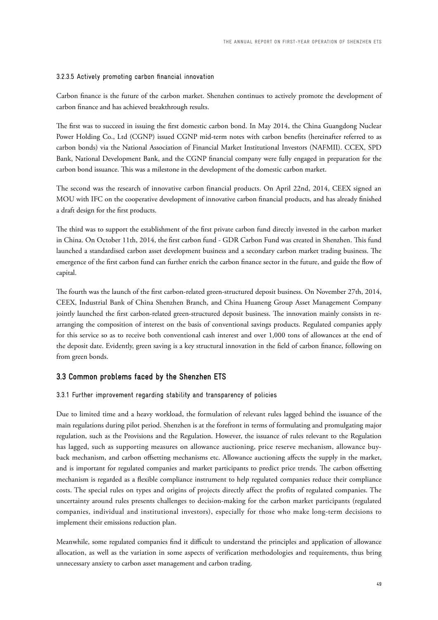# 3.2.3.5 Actively promoting carbon financial innovation

Carbon finance is the future of the carbon market. Shenzhen continues to actively promote the development of carbon finance and has achieved breakthrough results.

The first was to succeed in issuing the first domestic carbon bond. In May 2014, the China Guangdong Nuclear Power Holding Co., Ltd (CGNP) issued CGNP mid-term notes with carbon benefits (hereinafter referred to as carbon bonds) via the National Association of Financial Market Institutional Investors (NAFMII). CCEX, SPD Bank, National Development Bank, and the CGNP financial company were fully engaged in preparation for the carbon bond issuance. This was a milestone in the development of the domestic carbon market.

The second was the research of innovative carbon financial products. On April 22nd, 2014, CEEX signed an MOU with IFC on the cooperative development of innovative carbon financial products, and has already finished a draft design for the first products.

The third was to support the establishment of the first private carbon fund directly invested in the carbon market in China. On October 11th, 2014, the first carbon fund - GDR Carbon Fund was created in Shenzhen. This fund launched a standardised carbon asset development business and a secondary carbon market trading business. The emergence of the first carbon fund can further enrich the carbon finance sector in the future, and guide the flow of capital.

The fourth was the launch of the first carbon-related green-structured deposit business. On November 27th, 2014, CEEX, Industrial Bank of China Shenzhen Branch, and China Huaneng Group Asset Management Company jointly launched the first carbon-related green-structured deposit business. The innovation mainly consists in rearranging the composition of interest on the basis of conventional savings products. Regulated companies apply for this service so as to receive both conventional cash interest and over 1,000 tons of allowances at the end of the deposit date. Evidently, green saving is a key structural innovation in the field of carbon finance, following on from green bonds.

# **3.3 Common problems faced by the Shenzhen ETS**

#### 3.3.1 Further improvement regarding stability and transparency of policies

Due to limited time and a heavy workload, the formulation of relevant rules lagged behind the issuance of the main regulations during pilot period. Shenzhen is at the forefront in terms of formulating and promulgating major regulation, such as the Provisions and the Regulation. However, the issuance of rules relevant to the Regulation has lagged, such as supporting measures on allowance auctioning, price reserve mechanism, allowance buyback mechanism, and carbon offsetting mechanisms etc. Allowance auctioning affects the supply in the market, and is important for regulated companies and market participants to predict price trends. The carbon offsetting mechanism is regarded as a flexible compliance instrument to help regulated companies reduce their compliance costs. The special rules on types and origins of projects directly affect the profits of regulated companies. The uncertainty around rules presents challenges to decision-making for the carbon market participants (regulated companies, individual and institutional investors), especially for those who make long-term decisions to implement their emissions reduction plan.

Meanwhile, some regulated companies find it difficult to understand the principles and application of allowance allocation, as well as the variation in some aspects of verification methodologies and requirements, thus bring unnecessary anxiety to carbon asset management and carbon trading.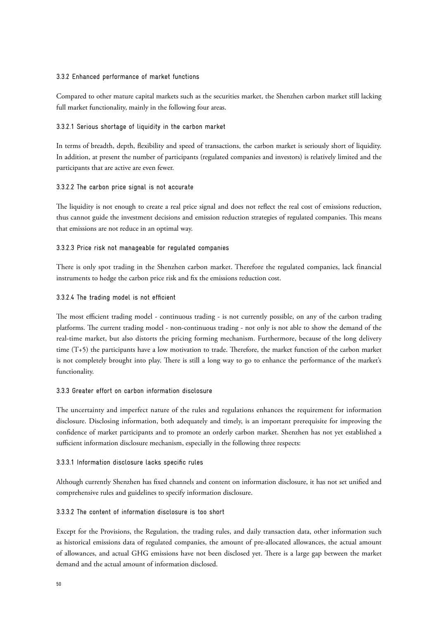## 3.3.2 Enhanced performance of market functions

Compared to other mature capital markets such as the securities market, the Shenzhen carbon market still lacking full market functionality, mainly in the following four areas.

## 3.3.2.1 Serious shortage of liquidity in the carbon market

In terms of breadth, depth, flexibility and speed of transactions, the carbon market is seriously short of liquidity. In addition, at present the number of participants (regulated companies and investors) is relatively limited and the participants that are active are even fewer.

## 3.3.2.2 The carbon price signal is not accurate

The liquidity is not enough to create a real price signal and does not reflect the real cost of emissions reduction, thus cannot guide the investment decisions and emission reduction strategies of regulated companies. This means that emissions are not reduce in an optimal way.

# 3.3.2.3 Price risk not manageable for regulated companies

There is only spot trading in the Shenzhen carbon market. Therefore the regulated companies, lack financial instruments to hedge the carbon price risk and fix the emissions reduction cost.

# 3.3.2.4 The trading model is not efficient

The most efficient trading model - continuous trading - is not currently possible, on any of the carbon trading platforms. The current trading model - non-continuous trading - not only is not able to show the demand of the real-time market, but also distorts the pricing forming mechanism. Furthermore, because of the long delivery time (T+5) the participants have a low motivation to trade. Therefore, the market function of the carbon market is not completely brought into play. There is still a long way to go to enhance the performance of the market's functionality.

## 3.3.3 Greater effort on carbon information disclosure

The uncertainty and imperfect nature of the rules and regulations enhances the requirement for information disclosure. Disclosing information, both adequately and timely, is an important prerequisite for improving the confidence of market participants and to promote an orderly carbon market. Shenzhen has not yet established a sufficient information disclosure mechanism, especially in the following three respects:

## 3.3.3.1 Information disclosure lacks specific rules

Although currently Shenzhen has fixed channels and content on information disclosure, it has not set unified and comprehensive rules and guidelines to specify information disclosure.

## 3.3.3.2 The content of information disclosure is too short

Except for the Provisions, the Regulation, the trading rules, and daily transaction data, other information such as historical emissions data of regulated companies, the amount of pre-allocated allowances, the actual amount of allowances, and actual GHG emissions have not been disclosed yet. There is a large gap between the market demand and the actual amount of information disclosed.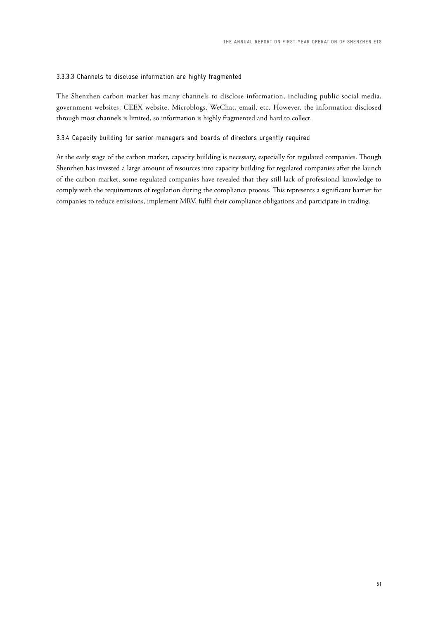# 3.3.3.3 Channels to disclose information are highly fragmented

The Shenzhen carbon market has many channels to disclose information, including public social media, government websites, CEEX website, Microblogs, WeChat, email, etc. However, the information disclosed through most channels is limited, so information is highly fragmented and hard to collect.

## 3.3.4 Capacity building for senior managers and boards of directors urgently required

At the early stage of the carbon market, capacity building is necessary, especially for regulated companies. Though Shenzhen has invested a large amount of resources into capacity building for regulated companies after the launch of the carbon market, some regulated companies have revealed that they still lack of professional knowledge to comply with the requirements of regulation during the compliance process. This represents a significant barrier for companies to reduce emissions, implement MRV, fulfil their compliance obligations and participate in trading.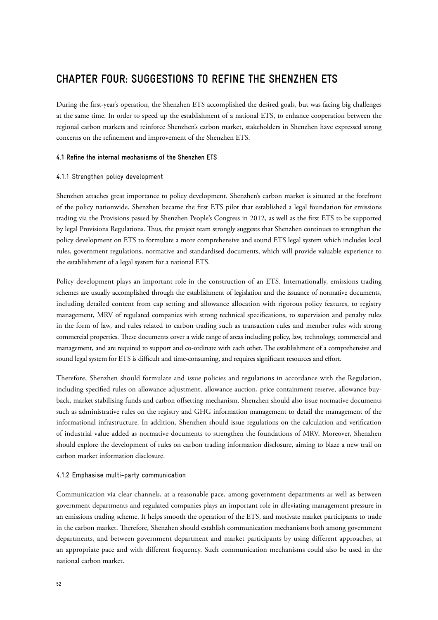# **CHAPTER FOUR: SUGGESTIONS TO REFINE THE SHENZHEN ETS**

During the first-year's operation, the Shenzhen ETS accomplished the desired goals, but was facing big challenges at the same time. In order to speed up the establishment of a national ETS, to enhance cooperation between the regional carbon markets and reinforce Shenzhen's carbon market, stakeholders in Shenzhen have expressed strong concerns on the refinement and improvement of the Shenzhen ETS.

## **4.1 Refine the internal mechanisms of the Shenzhen ETS**

## 4.1.1 Strengthen policy development

Shenzhen attaches great importance to policy development. Shenzhen's carbon market is situated at the forefront of the policy nationwide. Shenzhen became the first ETS pilot that established a legal foundation for emissions trading via the Provisions passed by Shenzhen People's Congress in 2012, as well as the first ETS to be supported by legal Provisions Regulations. Thus, the project team strongly suggests that Shenzhen continues to strengthen the policy development on ETS to formulate a more comprehensive and sound ETS legal system which includes local rules, government regulations, normative and standardised documents, which will provide valuable experience to the establishment of a legal system for a national ETS.

Policy development plays an important role in the construction of an ETS. Internationally, emissions trading schemes are usually accomplished through the establishment of legislation and the issuance of normative documents, including detailed content from cap setting and allowance allocation with rigorous policy features, to registry management, MRV of regulated companies with strong technical specifications, to supervision and penalty rules in the form of law, and rules related to carbon trading such as transaction rules and member rules with strong commercial properties. These documents cover a wide range of areas including policy, law, technology, commercial and management, and are required to support and co-ordinate with each other. The establishment of a comprehensive and sound legal system for ETS is difficult and time-consuming, and requires significant resources and effort.

Therefore, Shenzhen should formulate and issue policies and regulations in accordance with the Regulation, including specified rules on allowance adjustment, allowance auction, price containment reserve, allowance buyback, market stabilising funds and carbon offsetting mechanism. Shenzhen should also issue normative documents such as administrative rules on the registry and GHG information management to detail the management of the informational infrastructure. In addition, Shenzhen should issue regulations on the calculation and verification of industrial value added as normative documents to strengthen the foundations of MRV. Moreover, Shenzhen should explore the development of rules on carbon trading information disclosure, aiming to blaze a new trail on carbon market information disclosure.

#### 4.1.2 Emphasise multi-party communication

Communication via clear channels, at a reasonable pace, among government departments as well as between government departments and regulated companies plays an important role in alleviating management pressure in an emissions trading scheme. It helps smooth the operation of the ETS, and motivate market participants to trade in the carbon market. Therefore, Shenzhen should establish communication mechanisms both among government departments, and between government department and market participants by using different approaches, at an appropriate pace and with different frequency. Such communication mechanisms could also be used in the national carbon market.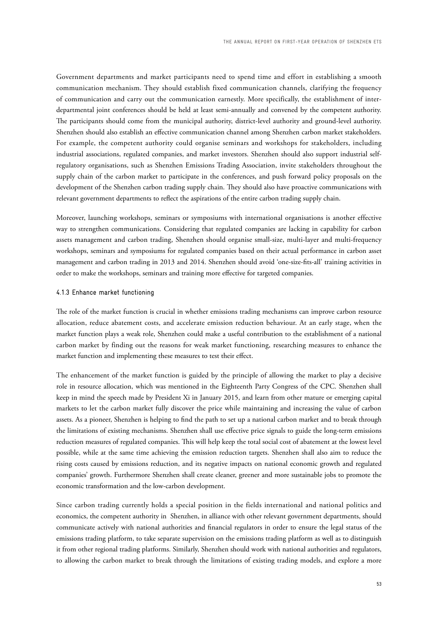Government departments and market participants need to spend time and effort in establishing a smooth communication mechanism. They should establish fixed communication channels, clarifying the frequency of communication and carry out the communication earnestly. More specifically, the establishment of interdepartmental joint conferences should be held at least semi-annually and convened by the competent authority. The participants should come from the municipal authority, district-level authority and ground-level authority. Shenzhen should also establish an effective communication channel among Shenzhen carbon market stakeholders. For example, the competent authority could organise seminars and workshops for stakeholders, including industrial associations, regulated companies, and market investors. Shenzhen should also support industrial selfregulatory organisations, such as Shenzhen Emissions Trading Association, invite stakeholders throughout the supply chain of the carbon market to participate in the conferences, and push forward policy proposals on the development of the Shenzhen carbon trading supply chain. They should also have proactive communications with relevant government departments to reflect the aspirations of the entire carbon trading supply chain.

Moreover, launching workshops, seminars or symposiums with international organisations is another effective way to strengthen communications. Considering that regulated companies are lacking in capability for carbon assets management and carbon trading, Shenzhen should organise small-size, multi-layer and multi-frequency workshops, seminars and symposiums for regulated companies based on their actual performance in carbon asset management and carbon trading in 2013 and 2014. Shenzhen should avoid 'one-size-fits-all' training activities in order to make the workshops, seminars and training more effective for targeted companies.

#### 4.1.3 Enhance market functioning

The role of the market function is crucial in whether emissions trading mechanisms can improve carbon resource allocation, reduce abatement costs, and accelerate emission reduction behaviour. At an early stage, when the market function plays a weak role, Shenzhen could make a useful contribution to the establishment of a national carbon market by finding out the reasons for weak market functioning, researching measures to enhance the market function and implementing these measures to test their effect.

The enhancement of the market function is guided by the principle of allowing the market to play a decisive role in resource allocation, which was mentioned in the Eighteenth Party Congress of the CPC. Shenzhen shall keep in mind the speech made by President Xi in January 2015, and learn from other mature or emerging capital markets to let the carbon market fully discover the price while maintaining and increasing the value of carbon assets. As a pioneer, Shenzhen is helping to find the path to set up a national carbon market and to break through the limitations of existing mechanisms. Shenzhen shall use effective price signals to guide the long-term emissions reduction measures of regulated companies. This will help keep the total social cost of abatement at the lowest level possible, while at the same time achieving the emission reduction targets. Shenzhen shall also aim to reduce the rising costs caused by emissions reduction, and its negative impacts on national economic growth and regulated companies' growth. Furthermore Shenzhen shall create cleaner, greener and more sustainable jobs to promote the economic transformation and the low-carbon development.

Since carbon trading currently holds a special position in the fields international and national politics and economics, the competent authority in Shenzhen, in alliance with other relevant government departments, should communicate actively with national authorities and financial regulators in order to ensure the legal status of the emissions trading platform, to take separate supervision on the emissions trading platform as well as to distinguish it from other regional trading platforms. Similarly, Shenzhen should work with national authorities and regulators, to allowing the carbon market to break through the limitations of existing trading models, and explore a more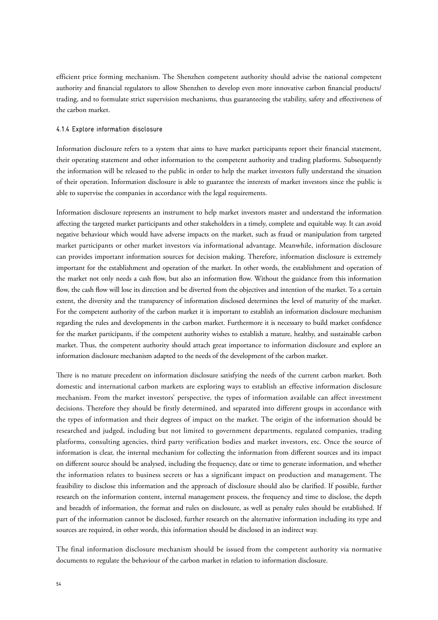efficient price forming mechanism. The Shenzhen competent authority should advise the national competent authority and financial regulators to allow Shenzhen to develop even more innovative carbon financial products/ trading, and to formulate strict supervision mechanisms, thus guaranteeing the stability, safety and effectiveness of the carbon market.

## 4.1.4 Explore information disclosure

Information disclosure refers to a system that aims to have market participants report their financial statement, their operating statement and other information to the competent authority and trading platforms. Subsequently the information will be released to the public in order to help the market investors fully understand the situation of their operation. Information disclosure is able to guarantee the interests of market investors since the public is able to supervise the companies in accordance with the legal requirements.

Information disclosure represents an instrument to help market investors master and understand the information affecting the targeted market participants and other stakeholders in a timely, complete and equitable way. It can avoid negative behaviour which would have adverse impacts on the market, such as fraud or manipulation from targeted market participants or other market investors via informational advantage. Meanwhile, information disclosure can provides important information sources for decision making. Therefore, information disclosure is extremely important for the establishment and operation of the market. In other words, the establishment and operation of the market not only needs a cash flow, but also an information flow. Without the guidance from this information flow, the cash flow will lose its direction and be diverted from the objectives and intention of the market. To a certain extent, the diversity and the transparency of information disclosed determines the level of maturity of the market. For the competent authority of the carbon market it is important to establish an information disclosure mechanism regarding the rules and developments in the carbon market. Furthermore it is necessary to build market confidence for the market participants, if the competent authority wishes to establish a mature, healthy, and sustainable carbon market. Thus, the competent authority should attach great importance to information disclosure and explore an information disclosure mechanism adapted to the needs of the development of the carbon market.

There is no mature precedent on information disclosure satisfying the needs of the current carbon market. Both domestic and international carbon markets are exploring ways to establish an effective information disclosure mechanism. From the market investors' perspective, the types of information available can affect investment decisions. Therefore they should be firstly determined, and separated into different groups in accordance with the types of information and their degrees of impact on the market. The origin of the information should be researched and judged, including but not limited to government departments, regulated companies, trading platforms, consulting agencies, third party verification bodies and market investors, etc. Once the source of information is clear, the internal mechanism for collecting the information from different sources and its impact on different source should be analysed, including the frequency, date or time to generate information, and whether the information relates to business secrets or has a significant impact on production and management. The feasibility to disclose this information and the approach of disclosure should also be clarified. If possible, further research on the information content, internal management process, the frequency and time to disclose, the depth and breadth of information, the format and rules on disclosure, as well as penalty rules should be established. If part of the information cannot be disclosed, further research on the alternative information including its type and sources are required, in other words, this information should be disclosed in an indirect way.

The final information disclosure mechanism should be issued from the competent authority via normative documents to regulate the behaviour of the carbon market in relation to information disclosure.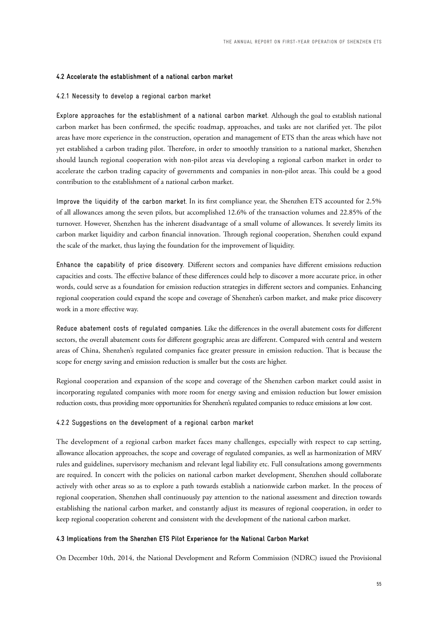## **4.2 Accelerate the establishment of a national carbon market**

#### 4.2.1 Necessity to develop a regional carbon market

Explore approaches for the establishment of a national carbon market. Although the goal to establish national carbon market has been confirmed, the specific roadmap, approaches, and tasks are not clarified yet. The pilot areas have more experience in the construction, operation and management of ETS than the areas which have not yet established a carbon trading pilot. Therefore, in order to smoothly transition to a national market, Shenzhen should launch regional cooperation with non-pilot areas via developing a regional carbon market in order to accelerate the carbon trading capacity of governments and companies in non-pilot areas. This could be a good contribution to the establishment of a national carbon market.

Improve the liquidity of the carbon market. In its first compliance year, the Shenzhen ETS accounted for 2.5% of all allowances among the seven pilots, but accomplished 12.6% of the transaction volumes and 22.85% of the turnover. However, Shenzhen has the inherent disadvantage of a small volume of allowances. It severely limits its carbon market liquidity and carbon financial innovation. Through regional cooperation, Shenzhen could expand the scale of the market, thus laying the foundation for the improvement of liquidity.

Enhance the capability of price discovery. Different sectors and companies have different emissions reduction capacities and costs. The effective balance of these differences could help to discover a more accurate price, in other words, could serve as a foundation for emission reduction strategies in different sectors and companies. Enhancing regional cooperation could expand the scope and coverage of Shenzhen's carbon market, and make price discovery work in a more effective way.

Reduce abatement costs of regulated companies. Like the differences in the overall abatement costs for different sectors, the overall abatement costs for different geographic areas are different. Compared with central and western areas of China, Shenzhen's regulated companies face greater pressure in emission reduction. That is because the scope for energy saving and emission reduction is smaller but the costs are higher.

Regional cooperation and expansion of the scope and coverage of the Shenzhen carbon market could assist in incorporating regulated companies with more room for energy saving and emission reduction but lower emission reduction costs, thus providing more opportunities for Shenzhen's regulated companies to reduce emissions at low cost.

#### 4.2.2 Suggestions on the development of a regional carbon market

The development of a regional carbon market faces many challenges, especially with respect to cap setting, allowance allocation approaches, the scope and coverage of regulated companies, as well as harmonization of MRV rules and guidelines, supervisory mechanism and relevant legal liability etc. Full consultations among governments are required. In concert with the policies on national carbon market development, Shenzhen should collaborate actively with other areas so as to explore a path towards establish a nationwide carbon market. In the process of regional cooperation, Shenzhen shall continuously pay attention to the national assessment and direction towards establishing the national carbon market, and constantly adjust its measures of regional cooperation, in order to keep regional cooperation coherent and consistent with the development of the national carbon market.

#### **4.3 Implications from the Shenzhen ETS Pilot Experience for the National Carbon Market**

On December 10th, 2014, the National Development and Reform Commission (NDRC) issued the Provisional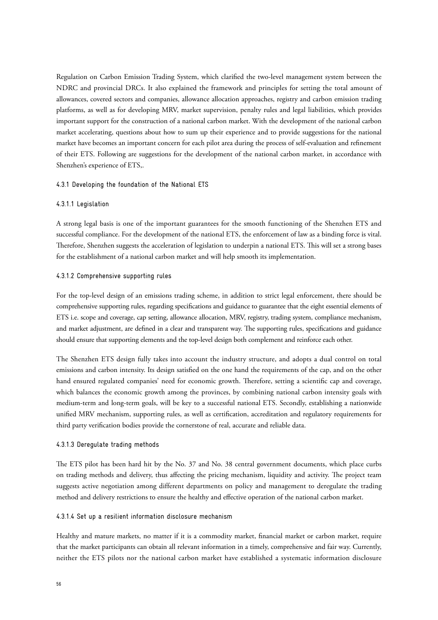Regulation on Carbon Emission Trading System, which clarified the two-level management system between the NDRC and provincial DRCs. It also explained the framework and principles for setting the total amount of allowances, covered sectors and companies, allowance allocation approaches, registry and carbon emission trading platforms, as well as for developing MRV, market supervision, penalty rules and legal liabilities, which provides important support for the construction of a national carbon market. With the development of the national carbon market accelerating, questions about how to sum up their experience and to provide suggestions for the national market have becomes an important concern for each pilot area during the process of self-evaluation and refinement of their ETS. Following are suggestions for the development of the national carbon market, in accordance with Shenzhen's experience of ETS,.

#### 4.3.1 Developing the foundation of the National ETS

#### 4.3.1.1 Legislation

A strong legal basis is one of the important guarantees for the smooth functioning of the Shenzhen ETS and successful compliance. For the development of the national ETS, the enforcement of law as a binding force is vital. Therefore, Shenzhen suggests the acceleration of legislation to underpin a national ETS. This will set a strong bases for the establishment of a national carbon market and will help smooth its implementation.

#### 4.3.1.2 Comprehensive supporting rules

For the top-level design of an emissions trading scheme, in addition to strict legal enforcement, there should be comprehensive supporting rules, regarding specifications and guidance to guarantee that the eight essential elements of ETS i.e. scope and coverage, cap setting, allowance allocation, MRV, registry, trading system, compliance mechanism, and market adjustment, are defined in a clear and transparent way. The supporting rules, specifications and guidance should ensure that supporting elements and the top-level design both complement and reinforce each other.

The Shenzhen ETS design fully takes into account the industry structure, and adopts a dual control on total emissions and carbon intensity. Its design satisfied on the one hand the requirements of the cap, and on the other hand ensured regulated companies' need for economic growth. Therefore, setting a scientific cap and coverage, which balances the economic growth among the provinces, by combining national carbon intensity goals with medium-term and long-term goals, will be key to a successful national ETS. Secondly, establishing a nationwide unified MRV mechanism, supporting rules, as well as certification, accreditation and regulatory requirements for third party verification bodies provide the cornerstone of real, accurate and reliable data.

#### 4.3.1.3 Deregulate trading methods

The ETS pilot has been hard hit by the No. 37 and No. 38 central government documents, which place curbs on trading methods and delivery, thus affecting the pricing mechanism, liquidity and activity. The project team suggests active negotiation among different departments on policy and management to deregulate the trading method and delivery restrictions to ensure the healthy and effective operation of the national carbon market.

#### 4.3.1.4 Set up a resilient information disclosure mechanism

Healthy and mature markets, no matter if it is a commodity market, financial market or carbon market, require that the market participants can obtain all relevant information in a timely, comprehensive and fair way. Currently, neither the ETS pilots nor the national carbon market have established a systematic information disclosure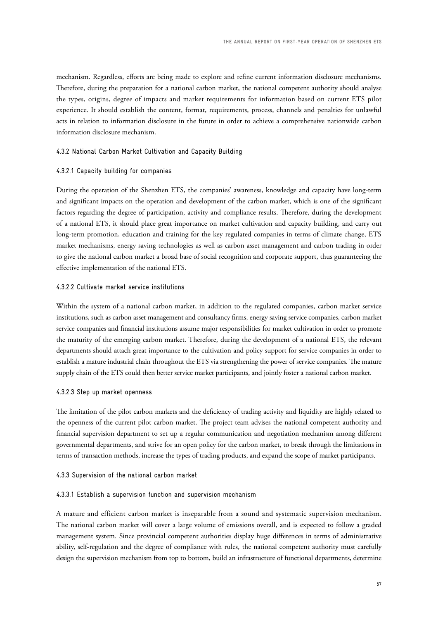mechanism. Regardless, efforts are being made to explore and refine current information disclosure mechanisms. Therefore, during the preparation for a national carbon market, the national competent authority should analyse the types, origins, degree of impacts and market requirements for information based on current ETS pilot experience. It should establish the content, format, requirements, process, channels and penalties for unlawful acts in relation to information disclosure in the future in order to achieve a comprehensive nationwide carbon information disclosure mechanism.

## 4.3.2 National Carbon Market Cultivation and Capacity Building

## 4.3.2.1 Capacity building for companies

During the operation of the Shenzhen ETS, the companies' awareness, knowledge and capacity have long-term and significant impacts on the operation and development of the carbon market, which is one of the significant factors regarding the degree of participation, activity and compliance results. Therefore, during the development of a national ETS, it should place great importance on market cultivation and capacity building, and carry out long-term promotion, education and training for the key regulated companies in terms of climate change, ETS market mechanisms, energy saving technologies as well as carbon asset management and carbon trading in order to give the national carbon market a broad base of social recognition and corporate support, thus guaranteeing the effective implementation of the national ETS.

## 4.3.2.2 Cultivate market service institutions

Within the system of a national carbon market, in addition to the regulated companies, carbon market service institutions, such as carbon asset management and consultancy firms, energy saving service companies, carbon market service companies and financial institutions assume major responsibilities for market cultivation in order to promote the maturity of the emerging carbon market. Therefore, during the development of a national ETS, the relevant departments should attach great importance to the cultivation and policy support for service companies in order to establish a mature industrial chain throughout the ETS via strengthening the power of service companies. The mature supply chain of the ETS could then better service market participants, and jointly foster a national carbon market.

#### 4.3.2.3 Step up market openness

The limitation of the pilot carbon markets and the deficiency of trading activity and liquidity are highly related to the openness of the current pilot carbon market. The project team advises the national competent authority and financial supervision department to set up a regular communication and negotiation mechanism among different governmental departments, and strive for an open policy for the carbon market, to break through the limitations in terms of transaction methods, increase the types of trading products, and expand the scope of market participants.

#### 4.3.3 Supervision of the national carbon market

#### 4.3.3.1 Establish a supervision function and supervision mechanism

A mature and efficient carbon market is inseparable from a sound and systematic supervision mechanism. The national carbon market will cover a large volume of emissions overall, and is expected to follow a graded management system. Since provincial competent authorities display huge differences in terms of administrative ability, self-regulation and the degree of compliance with rules, the national competent authority must carefully design the supervision mechanism from top to bottom, build an infrastructure of functional departments, determine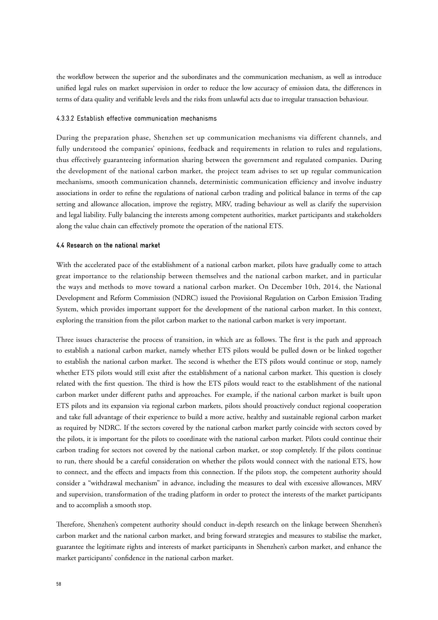the workflow between the superior and the subordinates and the communication mechanism, as well as introduce unified legal rules on market supervision in order to reduce the low accuracy of emission data, the differences in terms of data quality and verifiable levels and the risks from unlawful acts due to irregular transaction behaviour.

## 4.3.3.2 Establish effective communication mechanisms

During the preparation phase, Shenzhen set up communication mechanisms via different channels, and fully understood the companies' opinions, feedback and requirements in relation to rules and regulations, thus effectively guaranteeing information sharing between the government and regulated companies. During the development of the national carbon market, the project team advises to set up regular communication mechanisms, smooth communication channels, deterministic communication efficiency and involve industry associations in order to refine the regulations of national carbon trading and political balance in terms of the cap setting and allowance allocation, improve the registry, MRV, trading behaviour as well as clarify the supervision and legal liability. Fully balancing the interests among competent authorities, market participants and stakeholders along the value chain can effectively promote the operation of the national ETS.

## **4.4 Research on the national market**

With the accelerated pace of the establishment of a national carbon market, pilots have gradually come to attach great importance to the relationship between themselves and the national carbon market, and in particular the ways and methods to move toward a national carbon market. On December 10th, 2014, the National Development and Reform Commission (NDRC) issued the Provisional Regulation on Carbon Emission Trading System, which provides important support for the development of the national carbon market. In this context, exploring the transition from the pilot carbon market to the national carbon market is very important.

Three issues characterise the process of transition, in which are as follows. The first is the path and approach to establish a national carbon market, namely whether ETS pilots would be pulled down or be linked together to establish the national carbon market. The second is whether the ETS pilots would continue or stop, namely whether ETS pilots would still exist after the establishment of a national carbon market. This question is closely related with the first question. The third is how the ETS pilots would react to the establishment of the national carbon market under different paths and approaches. For example, if the national carbon market is built upon ETS pilots and its expansion via regional carbon markets, pilots should proactively conduct regional cooperation and take full advantage of their experience to build a more active, healthy and sustainable regional carbon market as required by NDRC. If the sectors covered by the national carbon market partly coincide with sectors coved by the pilots, it is important for the pilots to coordinate with the national carbon market. Pilots could continue their carbon trading for sectors not covered by the national carbon market, or stop completely. If the pilots continue to run, there should be a careful consideration on whether the pilots would connect with the national ETS, how to connect, and the effects and impacts from this connection. If the pilots stop, the competent authority should consider a "withdrawal mechanism" in advance, including the measures to deal with excessive allowances, MRV and supervision, transformation of the trading platform in order to protect the interests of the market participants and to accomplish a smooth stop.

Therefore, Shenzhen's competent authority should conduct in-depth research on the linkage between Shenzhen's carbon market and the national carbon market, and bring forward strategies and measures to stabilise the market, guarantee the legitimate rights and interests of market participants in Shenzhen's carbon market, and enhance the market participants' confidence in the national carbon market.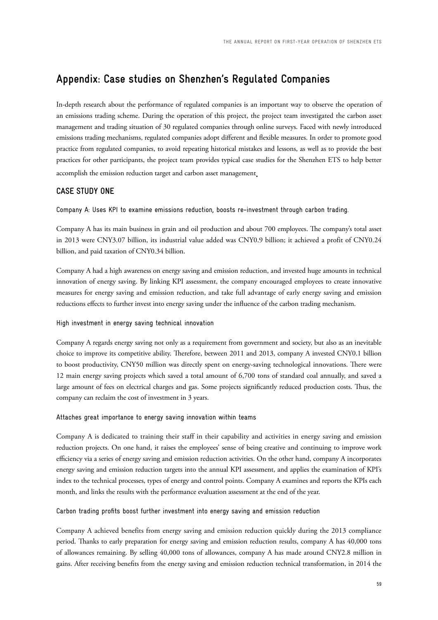# **Appendix: Case studies on Shenzhen's Regulated Companies**

In-depth research about the performance of regulated companies is an important way to observe the operation of an emissions trading scheme. During the operation of this project, the project team investigated the carbon asset management and trading situation of 30 regulated companies through online surveys. Faced with newly introduced emissions trading mechanisms, regulated companies adopt different and flexible measures. In order to promote good practice from regulated companies, to avoid repeating historical mistakes and lessons, as well as to provide the best practices for other participants, the project team provides typical case studies for the Shenzhen ETS to help better accomplish the emission reduction target and carbon asset management**.** 

# **CASE STUDY ONE**

Company A: Uses KPI to examine emissions reduction, boosts re-investment through carbon trading.

Company A has its main business in grain and oil production and about 700 employees. The company's total asset in 2013 were CNY3.07 billion, its industrial value added was CNY0.9 billion; it achieved a profit of CNY0.24 billion, and paid taxation of CNY0.34 billion.

Company A had a high awareness on energy saving and emission reduction, and invested huge amounts in technical innovation of energy saving. By linking KPI assessment, the company encouraged employees to create innovative measures for energy saving and emission reduction, and take full advantage of early energy saving and emission reductions effects to further invest into energy saving under the influence of the carbon trading mechanism.

High investment in energy saving technical innovation

Company A regards energy saving not only as a requirement from government and society, but also as an inevitable choice to improve its competitive ability. Therefore, between 2011 and 2013, company A invested CNY0.1 billion to boost productivity, CNY50 million was directly spent on energy-saving technological innovations. There were 12 main energy saving projects which saved a total amount of 6,700 tons of standard coal annually, and saved a large amount of fees on electrical charges and gas. Some projects significantly reduced production costs. Thus, the company can reclaim the cost of investment in 3 years.

#### Attaches great importance to energy saving innovation within teams

Company A is dedicated to training their staff in their capability and activities in energy saving and emission reduction projects. On one hand, it raises the employees' sense of being creative and continuing to improve work efficiency via a series of energy saving and emission reduction activities. On the other hand, company A incorporates energy saving and emission reduction targets into the annual KPI assessment, and applies the examination of KPI's index to the technical processes, types of energy and control points. Company A examines and reports the KPIs each month, and links the results with the performance evaluation assessment at the end of the year.

## Carbon trading profits boost further investment into energy saving and emission reduction

Company A achieved benefits from energy saving and emission reduction quickly during the 2013 compliance period. Thanks to early preparation for energy saving and emission reduction results, company A has 40,000 tons of allowances remaining. By selling 40,000 tons of allowances, company A has made around CNY2.8 million in gains. After receiving benefits from the energy saving and emission reduction technical transformation, in 2014 the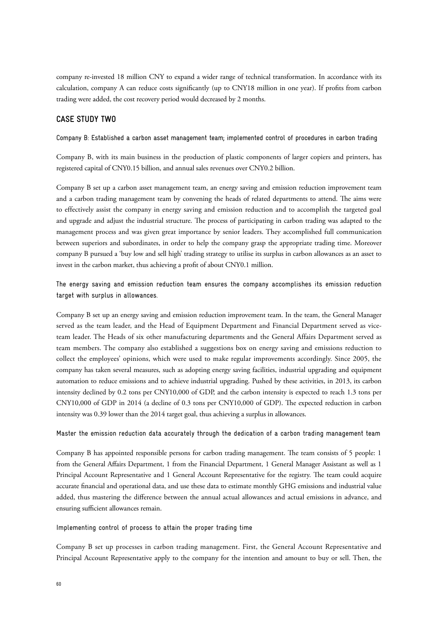company re-invested 18 million CNY to expand a wider range of technical transformation. In accordance with its calculation, company A can reduce costs significantly (up to CNY18 million in one year). If profits from carbon trading were added, the cost recovery period would decreased by 2 months.

# **CASE STUDY TWO**

Company B: Established a carbon asset management team; implemented control of procedures in carbon trading

Company B, with its main business in the production of plastic components of larger copiers and printers, has registered capital of CNY0.15 billion, and annual sales revenues over CNY0.2 billion.

Company B set up a carbon asset management team, an energy saving and emission reduction improvement team and a carbon trading management team by convening the heads of related departments to attend. The aims were to effectively assist the company in energy saving and emission reduction and to accomplish the targeted goal and upgrade and adjust the industrial structure. The process of participating in carbon trading was adapted to the management process and was given great importance by senior leaders. They accomplished full communication between superiors and subordinates, in order to help the company grasp the appropriate trading time. Moreover company B pursued a 'buy low and sell high' trading strategy to utilise its surplus in carbon allowances as an asset to invest in the carbon market, thus achieving a profit of about CNY0.1 million.

The energy saving and emission reduction team ensures the company accomplishes its emission reduction target with surplus in allowances.

Company B set up an energy saving and emission reduction improvement team. In the team, the General Manager served as the team leader, and the Head of Equipment Department and Financial Department served as viceteam leader. The Heads of six other manufacturing departments and the General Affairs Department served as team members. The company also established a suggestions box on energy saving and emissions reduction to collect the employees' opinions, which were used to make regular improvements accordingly. Since 2005, the company has taken several measures, such as adopting energy saving facilities, industrial upgrading and equipment automation to reduce emissions and to achieve industrial upgrading. Pushed by these activities, in 2013, its carbon intensity declined by 0.2 tons per CNY10,000 of GDP, and the carbon intensity is expected to reach 1.3 tons per CNY10,000 of GDP in 2014 (a decline of 0.3 tons per CNY10,000 of GDP). The expected reduction in carbon intensity was 0.39 lower than the 2014 target goal, thus achieving a surplus in allowances.

#### Master the emission reduction data accurately through the dedication of a carbon trading management team

Company B has appointed responsible persons for carbon trading management. The team consists of 5 people: 1 from the General Affairs Department, 1 from the Financial Department, 1 General Manager Assistant as well as 1 Principal Account Representative and 1 General Account Representative for the registry. The team could acquire accurate financial and operational data, and use these data to estimate monthly GHG emissions and industrial value added, thus mastering the difference between the annual actual allowances and actual emissions in advance, and ensuring sufficient allowances remain.

## Implementing control of process to attain the proper trading time

Company B set up processes in carbon trading management. First, the General Account Representative and Principal Account Representative apply to the company for the intention and amount to buy or sell. Then, the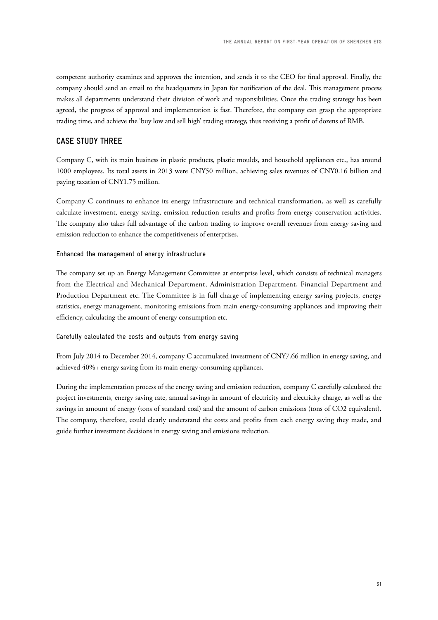competent authority examines and approves the intention, and sends it to the CEO for final approval. Finally, the company should send an email to the headquarters in Japan for notification of the deal. This management process makes all departments understand their division of work and responsibilities. Once the trading strategy has been agreed, the progress of approval and implementation is fast. Therefore, the company can grasp the appropriate trading time, and achieve the 'buy low and sell high' trading strategy, thus receiving a profit of dozens of RMB.

# **CASE STUDY THREE**

Company C, with its main business in plastic products, plastic moulds, and household appliances etc., has around 1000 employees. Its total assets in 2013 were CNY50 million, achieving sales revenues of CNY0.16 billion and paying taxation of CNY1.75 million.

Company C continues to enhance its energy infrastructure and technical transformation, as well as carefully calculate investment, energy saving, emission reduction results and profits from energy conservation activities. The company also takes full advantage of the carbon trading to improve overall revenues from energy saving and emission reduction to enhance the competitiveness of enterprises.

### Enhanced the management of energy infrastructure

The company set up an Energy Management Committee at enterprise level, which consists of technical managers from the Electrical and Mechanical Department, Administration Department, Financial Department and Production Department etc. The Committee is in full charge of implementing energy saving projects, energy statistics, energy management, monitoring emissions from main energy-consuming appliances and improving their efficiency, calculating the amount of energy consumption etc.

### Carefully calculated the costs and outputs from energy saving

From July 2014 to December 2014, company C accumulated investment of CNY7.66 million in energy saving, and achieved 40%+ energy saving from its main energy-consuming appliances.

During the implementation process of the energy saving and emission reduction, company C carefully calculated the project investments, energy saving rate, annual savings in amount of electricity and electricity charge, as well as the savings in amount of energy (tons of standard coal) and the amount of carbon emissions (tons of CO2 equivalent). The company, therefore, could clearly understand the costs and profits from each energy saving they made, and guide further investment decisions in energy saving and emissions reduction.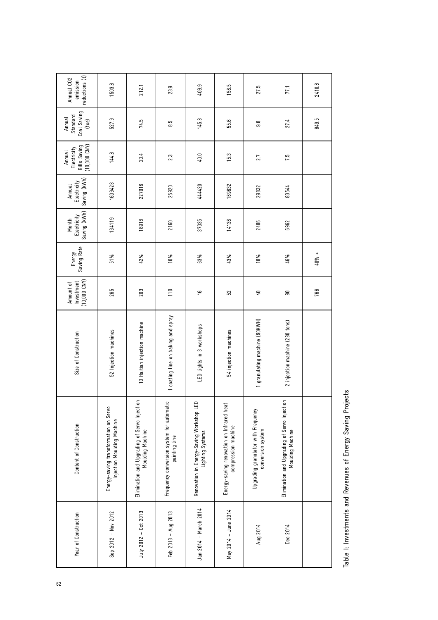| reductions (t)<br>Annual CO <sub>2</sub><br>emission  | 1503.8                                                              | 212.1                                                            | 23.9                                                       | 409.9                                                        | 156.5                                                            | 27.5                                                     | 77.1                                                             | 2410.8  |
|-------------------------------------------------------|---------------------------------------------------------------------|------------------------------------------------------------------|------------------------------------------------------------|--------------------------------------------------------------|------------------------------------------------------------------|----------------------------------------------------------|------------------------------------------------------------------|---------|
| Coal Saving<br>Standard<br>Annual<br>(tce)            | 527.9                                                               | 74.5                                                             | 8.5                                                        | 145.8                                                        | 55.6                                                             | 9.8                                                      | 27.4                                                             | 849.5   |
| Bills Saving<br>(10,000 CNY)<br>Electricity<br>Annual | 144.8                                                               | 20.4                                                             | 2.3                                                        | 40.0                                                         | 15.3                                                             | 27                                                       | 7.5                                                              |         |
| Saving (kWh)<br>Electricity<br>Annual                 | 1609428                                                             | 227016                                                           | 25920                                                      | 444420                                                       | 169632                                                           | 29832                                                    | 83544                                                            |         |
| Saving (kWh)<br>Electricity<br>Month                  | 134119                                                              | 18918                                                            | 2160                                                       | 37035                                                        | 14136                                                            | 2486                                                     | 6962                                                             |         |
| Saving Rate<br>Energy                                 | 51%                                                                 | 42%                                                              | 10%                                                        | 63%                                                          | 43%                                                              | 18%                                                      | 46%                                                              | $40% +$ |
| $(10,000$ CNY)<br>Investment<br>Amount of             | 265                                                                 | 203                                                              | $\frac{1}{10}$                                             | $\frac{6}{5}$                                                | 52                                                               | ₽                                                        | 80                                                               | 766     |
| Size of Construction                                  | 52 Injection machines                                               | 10 Haitian injection machine                                     | 1 coating line on baking and spray                         | LED lights in 3 workshops                                    | 54 injection machines                                            | I granulating machine (90KWH)                            | 2 injection machine (280 tons)                                   |         |
| Content of Construction                               | Energy-saving transformation on Servo<br>Injection Moulding Machine | Elimination and Upgrading of Servo Injection<br>Moulding Machine | Frequency conversion system for automatic<br>painting line | Renovation in Energy-Saving Workshop LED<br>Lighting Systems | Energy-saving renovation on Infrared heat<br>compression machine | Upgrading granulator with Frequency<br>conversion system | Elimination and Upgrading of Servo Injection<br>Moulding Machine |         |
| Year of Construction                                  | Sep 2012 - Nov 2012                                                 | July 2012 - 0ct 2013                                             | Feb 2013 - Aug 2013                                        | Jan 2014 - March 2014                                        | May 2014 - June 2014                                             | Aug 2014                                                 | Dec 2014                                                         |         |

Table I: Investments and Revenues of Energy Saving Projects Table I: Investments and Revenues of Energy Saving Projects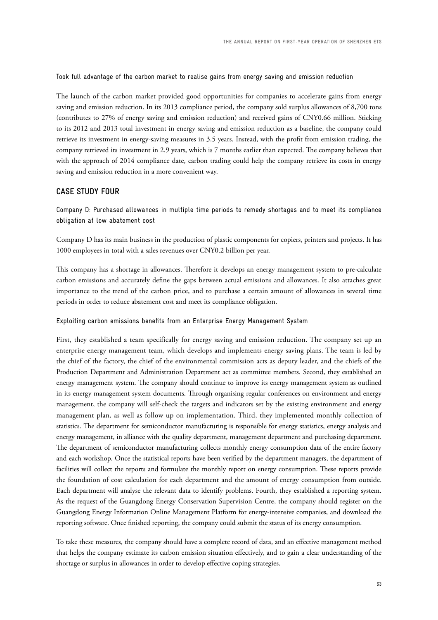Took full advantage of the carbon market to realise gains from energy saving and emission reduction

The launch of the carbon market provided good opportunities for companies to accelerate gains from energy saving and emission reduction. In its 2013 compliance period, the company sold surplus allowances of 8,700 tons (contributes to 27% of energy saving and emission reduction) and received gains of CNY0.66 million. Sticking to its 2012 and 2013 total investment in energy saving and emission reduction as a baseline, the company could retrieve its investment in energy-saving measures in 3.5 years. Instead, with the profit from emission trading, the company retrieved its investment in 2.9 years, which is 7 months earlier than expected. The company believes that with the approach of 2014 compliance date, carbon trading could help the company retrieve its costs in energy saving and emission reduction in a more convenient way.

## **CASE STUDY FOUR**

Company D: Purchased allowances in multiple time periods to remedy shortages and to meet its compliance obligation at low abatement cost

Company D has its main business in the production of plastic components for copiers, printers and projects. It has 1000 employees in total with a sales revenues over CNY0.2 billion per year.

This company has a shortage in allowances. Therefore it develops an energy management system to pre-calculate carbon emissions and accurately define the gaps between actual emissions and allowances. It also attaches great importance to the trend of the carbon price, and to purchase a certain amount of allowances in several time periods in order to reduce abatement cost and meet its compliance obligation.

#### Exploiting carbon emissions benefits from an Enterprise Energy Management System

First, they established a team specifically for energy saving and emission reduction. The company set up an enterprise energy management team, which develops and implements energy saving plans. The team is led by the chief of the factory, the chief of the environmental commission acts as deputy leader, and the chiefs of the Production Department and Administration Department act as committee members. Second, they established an energy management system. The company should continue to improve its energy management system as outlined in its energy management system documents. Through organising regular conferences on environment and energy management, the company will self-check the targets and indicators set by the existing environment and energy management plan, as well as follow up on implementation. Third, they implemented monthly collection of statistics. The department for semiconductor manufacturing is responsible for energy statistics, energy analysis and energy management, in alliance with the quality department, management department and purchasing department. The department of semiconductor manufacturing collects monthly energy consumption data of the entire factory and each workshop. Once the statistical reports have been verified by the department managers, the department of facilities will collect the reports and formulate the monthly report on energy consumption. These reports provide the foundation of cost calculation for each department and the amount of energy consumption from outside. Each department will analyse the relevant data to identify problems. Fourth, they established a reporting system. As the request of the Guangdong Energy Conservation Supervision Centre, the company should register on the Guangdong Energy Information Online Management Platform for energy-intensive companies, and download the reporting software. Once finished reporting, the company could submit the status of its energy consumption.

To take these measures, the company should have a complete record of data, and an effective management method that helps the company estimate its carbon emission situation effectively, and to gain a clear understanding of the shortage or surplus in allowances in order to develop effective coping strategies.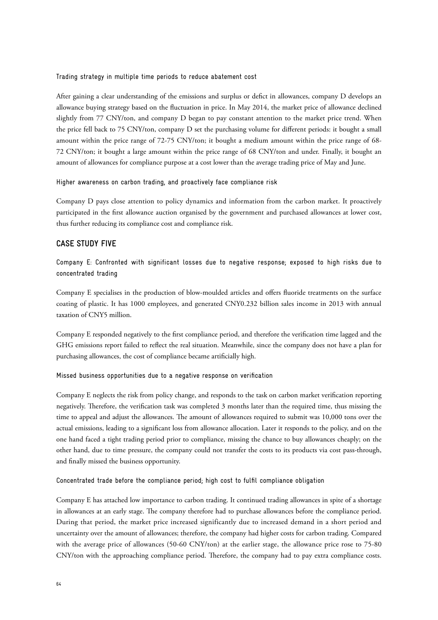Trading strategy in multiple time periods to reduce abatement cost

After gaining a clear understanding of the emissions and surplus or defict in allowances, company D develops an allowance buying strategy based on the fluctuation in price. In May 2014, the market price of allowance declined slightly from 77 CNY/ton, and company D began to pay constant attention to the market price trend. When the price fell back to 75 CNY/ton, company D set the purchasing volume for different periods: it bought a small amount within the price range of 72-75 CNY/ton; it bought a medium amount within the price range of 68- 72 CNY/ton; it bought a large amount within the price range of 68 CNY/ton and under. Finally, it bought an amount of allowances for compliance purpose at a cost lower than the average trading price of May and June.

Higher awareness on carbon trading, and proactively face compliance risk

Company D pays close attention to policy dynamics and information from the carbon market. It proactively participated in the first allowance auction organised by the government and purchased allowances at lower cost, thus further reducing its compliance cost and compliance risk.

## **CASE STUDY FIVE**

Company E: Confronted with significant losses due to negative response; exposed to high risks due to concentrated trading

Company E specialises in the production of blow-moulded articles and offers fluoride treatments on the surface coating of plastic. It has 1000 employees, and generated CNY0.232 billion sales income in 2013 with annual taxation of CNY5 million.

Company E responded negatively to the first compliance period, and therefore the verification time lagged and the GHG emissions report failed to reflect the real situation. Meanwhile, since the company does not have a plan for purchasing allowances, the cost of compliance became artificially high.

Missed business opportunities due to a negative response on verification

Company E neglects the risk from policy change, and responds to the task on carbon market verification reporting negatively. Therefore, the verification task was completed 3 months later than the required time, thus missing the time to appeal and adjust the allowances. The amount of allowances required to submit was 10,000 tons over the actual emissions, leading to a significant loss from allowance allocation. Later it responds to the policy, and on the one hand faced a tight trading period prior to compliance, missing the chance to buy allowances cheaply; on the other hand, due to time pressure, the company could not transfer the costs to its products via cost pass-through, and finally missed the business opportunity.

Concentrated trade before the compliance period; high cost to fulfil compliance obligation

Company E has attached low importance to carbon trading. It continued trading allowances in spite of a shortage in allowances at an early stage. The company therefore had to purchase allowances before the compliance period. During that period, the market price increased significantly due to increased demand in a short period and uncertainty over the amount of allowances; therefore, the company had higher costs for carbon trading. Compared with the average price of allowances (50-60 CNY/ton) at the earlier stage, the allowance price rose to 75-80 CNY/ton with the approaching compliance period. Therefore, the company had to pay extra compliance costs.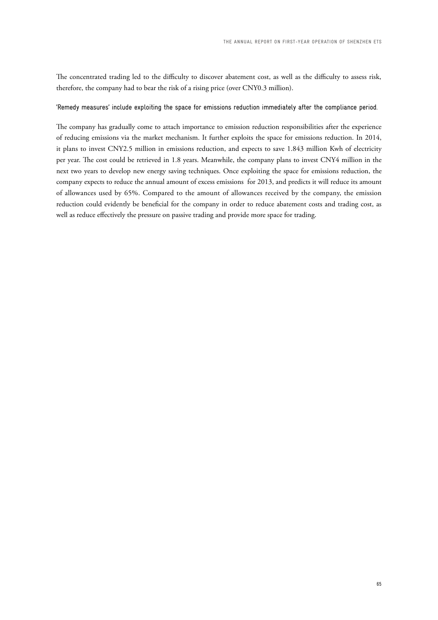The concentrated trading led to the difficulty to discover abatement cost, as well as the difficulty to assess risk, therefore, the company had to bear the risk of a rising price (over CNY0.3 million).

#### 'Remedy measures' include exploiting the space for emissions reduction immediately after the compliance period.

The company has gradually come to attach importance to emission reduction responsibilities after the experience of reducing emissions via the market mechanism. It further exploits the space for emissions reduction. In 2014, it plans to invest CNY2.5 million in emissions reduction, and expects to save 1.843 million Kwh of electricity per year. The cost could be retrieved in 1.8 years. Meanwhile, the company plans to invest CNY4 million in the next two years to develop new energy saving techniques. Once exploiting the space for emissions reduction, the company expects to reduce the annual amount of excess emissions for 2013, and predicts it will reduce its amount of allowances used by 65%. Compared to the amount of allowances received by the company, the emission reduction could evidently be beneficial for the company in order to reduce abatement costs and trading cost, as well as reduce effectively the pressure on passive trading and provide more space for trading.